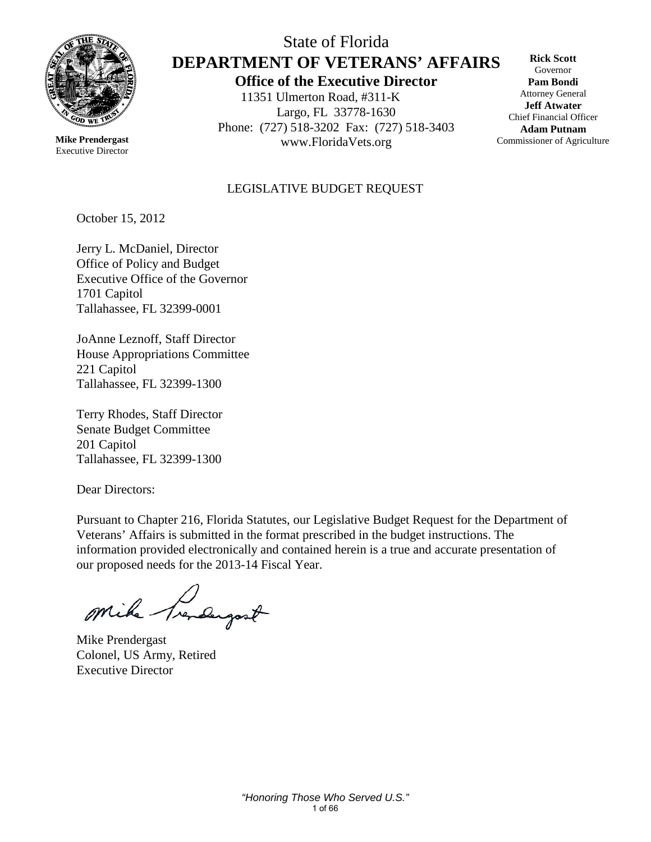

## State of Florida **DEPARTMENT OF VETERANS' AFFAIRS Office of the Executive Director**

11351 Ulmerton Road, #311-K Largo, FL 33778-1630 Phone: (727) 518-3202 Fax: (727) 518-3403 Mike Prendergast **Mike Prendergast** WWW.FloridaVets.org Commissioner of Agriculture

**Rick Scott** Governor **Pam Bondi** Attorney General **Jeff Atwater** Chief Financial Officer **Adam Putnam**

Executive Director

#### LEGISLATIVE BUDGET REQUEST

October 15, 2012

Jerry L. McDaniel, Director Office of Policy and Budget Executive Office of the Governor 1701 Capitol Tallahassee, FL 32399-0001

JoAnne Leznoff, Staff Director House Appropriations Committee 221 Capitol Tallahassee, FL 32399-1300

Terry Rhodes, Staff Director Senate Budget Committee 201 Capitol Tallahassee, FL 32399-1300

Dear Directors:

Pursuant to Chapter 216, Florida Statutes, our Legislative Budget Request for the Department of Veterans' Affairs is submitted in the format prescribed in the budget instructions. The information provided electronically and contained herein is a true and accurate presentation of our proposed needs for the 2013-14 Fiscal Year.

Mike Trendergost

Mike Prendergast Colonel, US Army, Retired Executive Director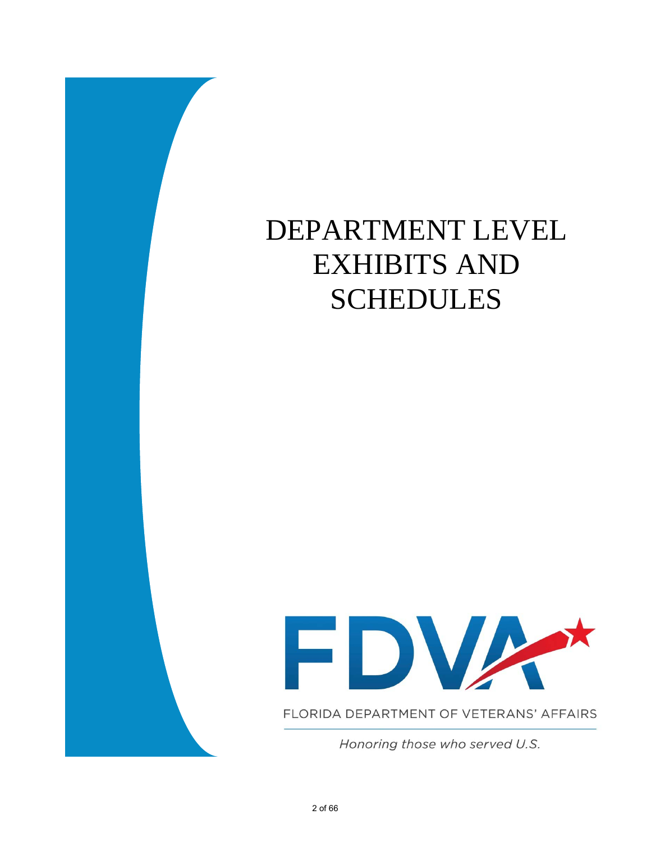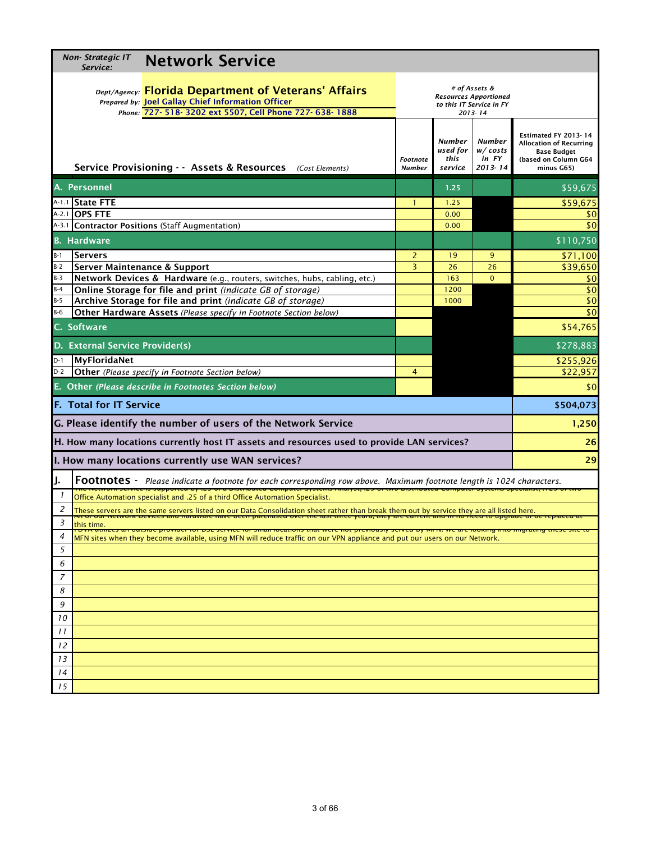|                | Non-Strategic IT<br><b>Network Service</b><br>Service:                                                                                                                                                                                         |                           |                                                                                          |                                              |                                                                                                                    |
|----------------|------------------------------------------------------------------------------------------------------------------------------------------------------------------------------------------------------------------------------------------------|---------------------------|------------------------------------------------------------------------------------------|----------------------------------------------|--------------------------------------------------------------------------------------------------------------------|
|                | Dept/Agency: Florida Department of Veterans' Affairs<br>Prepared by: Joel Gallay Chief Information Officer<br>Phone: 727- 518- 3202 ext 5507, Cell Phone 727- 638- 1888                                                                        |                           | # of Assets &<br><b>Resources Apportioned</b><br>to this IT Service in FY<br>$2013 - 14$ |                                              |                                                                                                                    |
|                | Service Provisioning - - Assets & Resources (Cost Elements)                                                                                                                                                                                    | Footnote<br><b>Number</b> | <b>Number</b><br>used for<br>this<br>service                                             | <b>Number</b><br>w/costs<br>in FY<br>2013-14 | Estimated FY 2013-14<br><b>Allocation of Recurring</b><br><b>Base Budget</b><br>(based on Column G64<br>minus G65) |
|                | A. Personnel                                                                                                                                                                                                                                   |                           | 1.25                                                                                     |                                              | \$59.675                                                                                                           |
|                | A-1.1 State FTE                                                                                                                                                                                                                                |                           | 1.25                                                                                     |                                              | \$59,675                                                                                                           |
|                | A-2.1 <b>OPS FTE</b>                                                                                                                                                                                                                           |                           | 0.00                                                                                     |                                              | \$0                                                                                                                |
|                | A-3.1 Contractor Positions (Staff Augmentation)                                                                                                                                                                                                |                           | 0.00                                                                                     |                                              | \$0                                                                                                                |
|                | <b>B.</b> Hardware                                                                                                                                                                                                                             |                           |                                                                                          |                                              | \$110,750                                                                                                          |
| B-1            | <b>Servers</b>                                                                                                                                                                                                                                 | 2                         | 19                                                                                       | 9                                            | \$71,100                                                                                                           |
| B-2            | Server Maintenance & Support                                                                                                                                                                                                                   | 3                         | 26                                                                                       | 26                                           | \$39,650                                                                                                           |
| B-3            | Network Devices & Hardware (e.g., routers, switches, hubs, cabling, etc.)                                                                                                                                                                      |                           | 163                                                                                      | $\Omega$                                     | \$0                                                                                                                |
| $B-4$          | Online Storage for file and print (indicate GB of storage)                                                                                                                                                                                     |                           | 1200                                                                                     |                                              | \$0                                                                                                                |
| $B-5$          | Archive Storage for file and print (indicate GB of storage)                                                                                                                                                                                    |                           | 1000                                                                                     |                                              | \$0                                                                                                                |
| B-6            | Other Hardware Assets (Please specify in Footnote Section below)                                                                                                                                                                               |                           |                                                                                          |                                              | \$0                                                                                                                |
|                | C. Software                                                                                                                                                                                                                                    |                           |                                                                                          |                                              | \$54,765                                                                                                           |
|                | D. External Service Provider(s)                                                                                                                                                                                                                |                           |                                                                                          |                                              | \$278,883                                                                                                          |
| D-1            | <b>MyFloridaNet</b>                                                                                                                                                                                                                            |                           |                                                                                          |                                              | \$255,926                                                                                                          |
| D-2            | Other (Please specify in Footnote Section below)                                                                                                                                                                                               | 4                         |                                                                                          |                                              | \$22,957                                                                                                           |
|                | E. Other (Please describe in Footnotes Section below)                                                                                                                                                                                          |                           |                                                                                          |                                              | \$0                                                                                                                |
|                | F. Total for IT Service                                                                                                                                                                                                                        |                           |                                                                                          |                                              | \$504,073                                                                                                          |
|                | G. Please identify the number of users of the Network Service                                                                                                                                                                                  |                           |                                                                                          |                                              | 1,250                                                                                                              |
|                | H. How many locations currently host IT assets and resources used to provide LAN services?                                                                                                                                                     |                           |                                                                                          |                                              | 26                                                                                                                 |
|                | I. How many locations currently use WAN services?                                                                                                                                                                                              |                           |                                                                                          |                                              | 29                                                                                                                 |
| J.             | Footnotes - Please indicate a footnote for each corresponding row above. Maximum footnote length is 1024 characters.                                                                                                                           |                           |                                                                                          |                                              |                                                                                                                    |
| $\mathbf{I}$   | <u>, כ וא שער מהקומונים אין בא טרע סארווטענט שטוויקטנט איז העמידו אווענט איז טרענט אוויסטער איז איסטער פו ט</u><br>Office Automation specialist and .25 of a third Office Automation Specialist.                                               |                           |                                                                                          |                                              |                                                                                                                    |
| 2              |                                                                                                                                                                                                                                                |                           |                                                                                          |                                              |                                                                                                                    |
| 3              | These servers are the same servers listed on our Data Consolidation sheet rather than break them out by service they are all listed here.<br>אם טו טען מכנשטות טכימכנז מום המוטעמוכ המעכ טכנו טעוכותם שעבר נווכ תוכנות של הוכץ מ<br>this time. |                           |                                                                                          |                                              |                                                                                                                    |
| $\overline{4}$ | <u>ה מנחובכא מודטמוסים מטיסוקים ואיז אזוואן ואיסטאט אומט איז האמנטים איז האזור וטו איז איז אס הייט אויסטאט איז הא</u>                                                                                                                          |                           |                                                                                          |                                              |                                                                                                                    |
|                | MFN sites when they become available, using MFN will reduce traffic on our VPN appliance and put our users on our Network.                                                                                                                     |                           |                                                                                          |                                              |                                                                                                                    |
| 5              |                                                                                                                                                                                                                                                |                           |                                                                                          |                                              |                                                                                                                    |
| 6              |                                                                                                                                                                                                                                                |                           |                                                                                          |                                              |                                                                                                                    |
| $\overline{z}$ |                                                                                                                                                                                                                                                |                           |                                                                                          |                                              |                                                                                                                    |
| 8              |                                                                                                                                                                                                                                                |                           |                                                                                          |                                              |                                                                                                                    |
| 9              |                                                                                                                                                                                                                                                |                           |                                                                                          |                                              |                                                                                                                    |
| 10             |                                                                                                                                                                                                                                                |                           |                                                                                          |                                              |                                                                                                                    |
| 11             |                                                                                                                                                                                                                                                |                           |                                                                                          |                                              |                                                                                                                    |
| 12             |                                                                                                                                                                                                                                                |                           |                                                                                          |                                              |                                                                                                                    |
| 13             |                                                                                                                                                                                                                                                |                           |                                                                                          |                                              |                                                                                                                    |
| 14             |                                                                                                                                                                                                                                                |                           |                                                                                          |                                              |                                                                                                                    |
| 15             |                                                                                                                                                                                                                                                |                           |                                                                                          |                                              |                                                                                                                    |
|                |                                                                                                                                                                                                                                                |                           |                                                                                          |                                              |                                                                                                                    |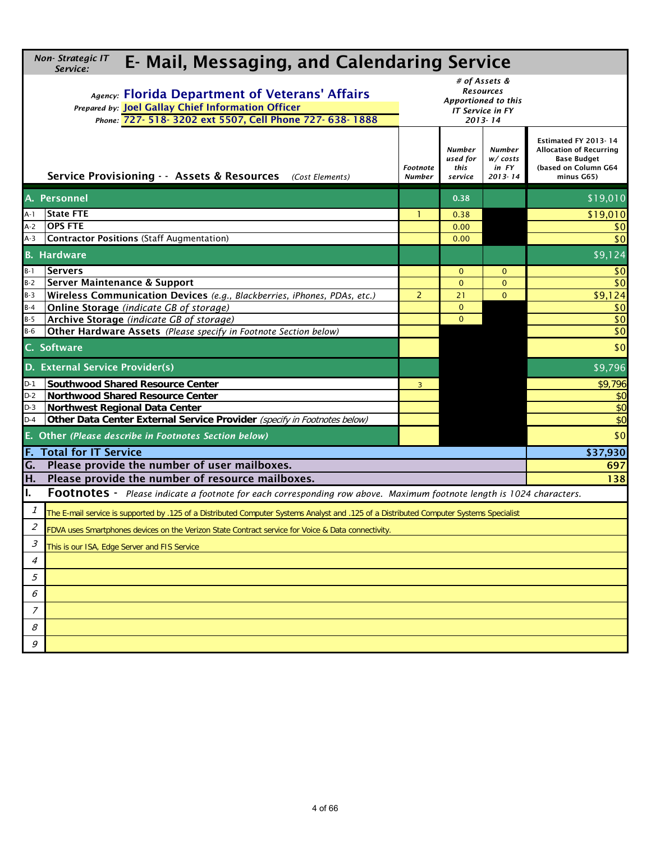|                             | Non-Strategic IT<br>E- Mail, Messaging, and Calendaring Service<br>Service:                                                                                        |                           |                                       |                                                                                                |                                                                                                                    |  |  |  |  |
|-----------------------------|--------------------------------------------------------------------------------------------------------------------------------------------------------------------|---------------------------|---------------------------------------|------------------------------------------------------------------------------------------------|--------------------------------------------------------------------------------------------------------------------|--|--|--|--|
|                             | Agency: Florida Department of Veterans' Affairs<br>Prepared by: Joel Gallay Chief Information Officer<br>Phone: 727- 518- 3202 ext 5507, Cell Phone 727- 638- 1888 |                           |                                       | # of Assets &<br><b>Resources</b><br>Apportioned to this<br><b>IT Service in FY</b><br>2013-14 |                                                                                                                    |  |  |  |  |
|                             | Service Provisioning - - Assets & Resources (Cost Elements)                                                                                                        | Footnote<br><b>Number</b> | Number<br>used for<br>this<br>service | <b>Number</b><br>w/costs<br>in FY<br>$2013 - 14$                                               | Estimated FY 2013-14<br><b>Allocation of Recurring</b><br><b>Base Budget</b><br>(based on Column G64<br>minus G65) |  |  |  |  |
|                             | A. Personnel                                                                                                                                                       |                           | 0.38                                  |                                                                                                | \$19,010                                                                                                           |  |  |  |  |
| A-1                         | <b>State FTE</b>                                                                                                                                                   |                           | 0.38                                  |                                                                                                | \$19,010                                                                                                           |  |  |  |  |
| $A-2$                       | <b>OPS FTE</b>                                                                                                                                                     |                           | 0.00                                  |                                                                                                | \$0                                                                                                                |  |  |  |  |
| $A-3$                       | Contractor Positions (Staff Augmentation)                                                                                                                          |                           | 0.00                                  |                                                                                                | \$0                                                                                                                |  |  |  |  |
|                             | <b>B.</b> Hardware                                                                                                                                                 |                           |                                       |                                                                                                | \$9,124                                                                                                            |  |  |  |  |
| $B-1$                       | Servers                                                                                                                                                            |                           | $\mathbf{0}$                          | $\mathbf{0}$                                                                                   | \$0                                                                                                                |  |  |  |  |
| $B-2$                       | <b>Server Maintenance &amp; Support</b>                                                                                                                            |                           | $\Omega$                              | $\Omega$                                                                                       | \$0                                                                                                                |  |  |  |  |
| $B-3$                       | Wireless Communication Devices (e.g., Blackberries, iPhones, PDAs, etc.)                                                                                           | $\overline{2}$            | 21                                    | $\mathbf{0}$                                                                                   | \$9,124                                                                                                            |  |  |  |  |
| $B-4$                       | Online Storage (indicate GB of storage)                                                                                                                            |                           | $\mathbf{0}$                          |                                                                                                | \$0                                                                                                                |  |  |  |  |
| $B-5$                       | Archive Storage (indicate GB of storage)                                                                                                                           |                           | $\Omega$                              |                                                                                                | \$0                                                                                                                |  |  |  |  |
| $B-6$                       | Other Hardware Assets (Please specify in Footnote Section below)                                                                                                   |                           |                                       |                                                                                                | \$0                                                                                                                |  |  |  |  |
|                             | C. Software                                                                                                                                                        |                           |                                       |                                                                                                | \$0                                                                                                                |  |  |  |  |
|                             | D. External Service Provider(s)                                                                                                                                    |                           |                                       |                                                                                                | \$9,796                                                                                                            |  |  |  |  |
| $D-1$                       | <b>Southwood Shared Resource Center</b>                                                                                                                            | $\mathbf{3}$              |                                       |                                                                                                | \$9,796                                                                                                            |  |  |  |  |
| $D-2$                       | Northwood Shared Resource Center                                                                                                                                   |                           |                                       |                                                                                                | \$0                                                                                                                |  |  |  |  |
| $D-3$                       | Northwest Regional Data Center                                                                                                                                     |                           |                                       |                                                                                                | \$0                                                                                                                |  |  |  |  |
| $D-4$                       | Other Data Center External Service Provider (specify in Footnotes below)                                                                                           |                           |                                       |                                                                                                | \$0                                                                                                                |  |  |  |  |
|                             | E. Other (Please describe in Footnotes Section below)                                                                                                              |                           |                                       |                                                                                                | \$0                                                                                                                |  |  |  |  |
|                             | <b>F. Total for IT Service</b>                                                                                                                                     |                           |                                       |                                                                                                | \$37,930                                                                                                           |  |  |  |  |
| G.                          | Please provide the number of user mailboxes.                                                                                                                       |                           |                                       |                                                                                                | 697                                                                                                                |  |  |  |  |
| H.                          | Please provide the number of resource mailboxes.                                                                                                                   |                           |                                       |                                                                                                | 138                                                                                                                |  |  |  |  |
| I.                          | Footnotes - Please indicate a footnote for each corresponding row above. Maximum footnote length is 1024 characters.                                               |                           |                                       |                                                                                                |                                                                                                                    |  |  |  |  |
| $\mathcal{I}$               | The E-mail service is supported by .125 of a Distributed Computer Systems Analyst and .125 of a Distributed Computer Systems Specialist                            |                           |                                       |                                                                                                |                                                                                                                    |  |  |  |  |
| $\mathcal{L}_{\mathcal{L}}$ | FDVA uses Smartphones devices on the Verizon State Contract service for Voice & Data connectivity.                                                                 |                           |                                       |                                                                                                |                                                                                                                    |  |  |  |  |
| $\mathcal{S}_{\mathcal{S}}$ | This is our ISA, Edge Server and FIS Service                                                                                                                       |                           |                                       |                                                                                                |                                                                                                                    |  |  |  |  |
| 4                           |                                                                                                                                                                    |                           |                                       |                                                                                                |                                                                                                                    |  |  |  |  |
| 5                           |                                                                                                                                                                    |                           |                                       |                                                                                                |                                                                                                                    |  |  |  |  |
| 6<br>$\overline{7}$         |                                                                                                                                                                    |                           |                                       |                                                                                                |                                                                                                                    |  |  |  |  |
| 8                           |                                                                                                                                                                    |                           |                                       |                                                                                                |                                                                                                                    |  |  |  |  |
| 9                           |                                                                                                                                                                    |                           |                                       |                                                                                                |                                                                                                                    |  |  |  |  |
|                             |                                                                                                                                                                    |                           |                                       |                                                                                                |                                                                                                                    |  |  |  |  |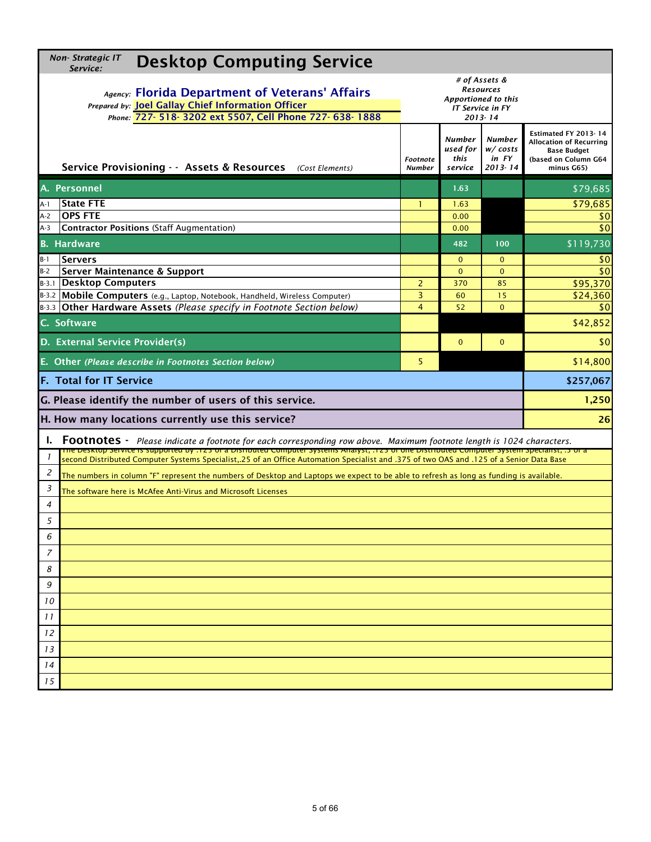| Non-Strategic IT<br><b>Desktop Computing Service</b><br>Service:                                                                                                                                                                                                                                |                           |                                              |                                                  |                                                                                                                    |  |  |
|-------------------------------------------------------------------------------------------------------------------------------------------------------------------------------------------------------------------------------------------------------------------------------------------------|---------------------------|----------------------------------------------|--------------------------------------------------|--------------------------------------------------------------------------------------------------------------------|--|--|
| # of Assets &<br><b>Resources</b>                                                                                                                                                                                                                                                               |                           |                                              |                                                  |                                                                                                                    |  |  |
| Agency: Florida Department of Veterans' Affairs                                                                                                                                                                                                                                                 |                           |                                              | Apportioned to this                              |                                                                                                                    |  |  |
| Prepared by: Joel Gallay Chief Information Officer                                                                                                                                                                                                                                              |                           |                                              | <b>IT Service in FY</b>                          |                                                                                                                    |  |  |
| Phone: 727- 518- 3202 ext 5507, Cell Phone 727- 638- 1888                                                                                                                                                                                                                                       |                           |                                              | $2013 - 14$                                      |                                                                                                                    |  |  |
| Service Provisioning - - Assets & Resources (Cost Elements)                                                                                                                                                                                                                                     | Footnote<br><b>Number</b> | <b>Number</b><br>used for<br>this<br>service | <b>Number</b><br>W/costs<br>in FY<br>$2013 - 14$ | Estimated FY 2013-14<br><b>Allocation of Recurring</b><br><b>Base Budget</b><br>(based on Column G64<br>minus G65) |  |  |
|                                                                                                                                                                                                                                                                                                 |                           |                                              |                                                  |                                                                                                                    |  |  |
| A. Personnel                                                                                                                                                                                                                                                                                    |                           | 1.63                                         |                                                  | \$79,685                                                                                                           |  |  |
| <b>State FTE</b><br>A-1                                                                                                                                                                                                                                                                         | $\mathbf{1}$              | 1.63                                         |                                                  | \$79,685                                                                                                           |  |  |
| <b>OPS FTE</b><br>$A-2$                                                                                                                                                                                                                                                                         |                           | 0.00                                         |                                                  | \$0                                                                                                                |  |  |
| <b>Contractor Positions (Staff Augmentation)</b><br>$A-3$                                                                                                                                                                                                                                       |                           | 0.00                                         |                                                  | \$0                                                                                                                |  |  |
| <b>B.</b> Hardware                                                                                                                                                                                                                                                                              |                           | 482                                          | 100                                              | \$119,730                                                                                                          |  |  |
| $B-1$<br><b>Servers</b>                                                                                                                                                                                                                                                                         |                           | $\mathbf{0}$                                 | $\Omega$                                         | \$0                                                                                                                |  |  |
| <b>Server Maintenance &amp; Support</b><br>$B-2$                                                                                                                                                                                                                                                |                           | $\mathbf{0}$                                 | $\Omega$                                         | \$0                                                                                                                |  |  |
| B-3.1 Desktop Computers                                                                                                                                                                                                                                                                         | $\overline{2}$            | 370                                          | 85                                               | \$95,370                                                                                                           |  |  |
| B-3.2 Mobile Computers (e.g., Laptop, Notebook, Handheld, Wireless Computer)                                                                                                                                                                                                                    | 3                         | 60                                           | 15                                               | \$24,360                                                                                                           |  |  |
| B-3.3 Other Hardware Assets (Please specify in Footnote Section below)                                                                                                                                                                                                                          | $\overline{4}$            | 52                                           | $\Omega$                                         | \$0                                                                                                                |  |  |
| C. Software                                                                                                                                                                                                                                                                                     |                           |                                              |                                                  | \$42,852                                                                                                           |  |  |
| D. External Service Provider(s)                                                                                                                                                                                                                                                                 |                           | $\mathbf{0}$                                 | $\mathbf{0}$                                     | \$0                                                                                                                |  |  |
| E. Other (Please describe in Footnotes Section below)                                                                                                                                                                                                                                           | 5                         |                                              |                                                  | \$14,800                                                                                                           |  |  |
| <b>F. Total for IT Service</b>                                                                                                                                                                                                                                                                  |                           |                                              |                                                  | \$257,067                                                                                                          |  |  |
| G. Please identify the number of users of this service.                                                                                                                                                                                                                                         |                           |                                              |                                                  | 1,250                                                                                                              |  |  |
| H. How many locations currently use this service?                                                                                                                                                                                                                                               |                           |                                              |                                                  | 26                                                                                                                 |  |  |
| Ъ.<br><b>Footnotes</b> - Please indicate a footnote for each corresponding row above. Maximum footnote length is 1024 characters.                                                                                                                                                               |                           |                                              |                                                  |                                                                                                                    |  |  |
| тне резкtop зегviсе is supported by . וב ט ום משנה ומענצים שטווקטים און אוויט שטוופוש אז יום כזו. The pesktop service is supported by . וע כזו<br>1<br>second Distributed Computer Systems Specialist, 25 of an Office Automation Specialist and .375 of two OAS and .125 of a Senior Data Base |                           |                                              |                                                  |                                                                                                                    |  |  |
| $\overline{c}$<br>The numbers in column "F" represent the numbers of Desktop and Laptops we expect to be able to refresh as long as funding is available.                                                                                                                                       |                           |                                              |                                                  |                                                                                                                    |  |  |
| 3<br>The software here is McAfee Anti-Virus and Microsoft Licenses                                                                                                                                                                                                                              |                           |                                              |                                                  |                                                                                                                    |  |  |
| $\overline{4}$                                                                                                                                                                                                                                                                                  |                           |                                              |                                                  |                                                                                                                    |  |  |
| 5                                                                                                                                                                                                                                                                                               |                           |                                              |                                                  |                                                                                                                    |  |  |
| 6                                                                                                                                                                                                                                                                                               |                           |                                              |                                                  |                                                                                                                    |  |  |
| 7                                                                                                                                                                                                                                                                                               |                           |                                              |                                                  |                                                                                                                    |  |  |
| 8                                                                                                                                                                                                                                                                                               |                           |                                              |                                                  |                                                                                                                    |  |  |
| 9                                                                                                                                                                                                                                                                                               |                           |                                              |                                                  |                                                                                                                    |  |  |
| 10                                                                                                                                                                                                                                                                                              |                           |                                              |                                                  |                                                                                                                    |  |  |
| 11<br>12                                                                                                                                                                                                                                                                                        |                           |                                              |                                                  |                                                                                                                    |  |  |
| 13                                                                                                                                                                                                                                                                                              |                           |                                              |                                                  |                                                                                                                    |  |  |
| 14                                                                                                                                                                                                                                                                                              |                           |                                              |                                                  |                                                                                                                    |  |  |
| 15                                                                                                                                                                                                                                                                                              |                           |                                              |                                                  |                                                                                                                    |  |  |
|                                                                                                                                                                                                                                                                                                 |                           |                                              |                                                  |                                                                                                                    |  |  |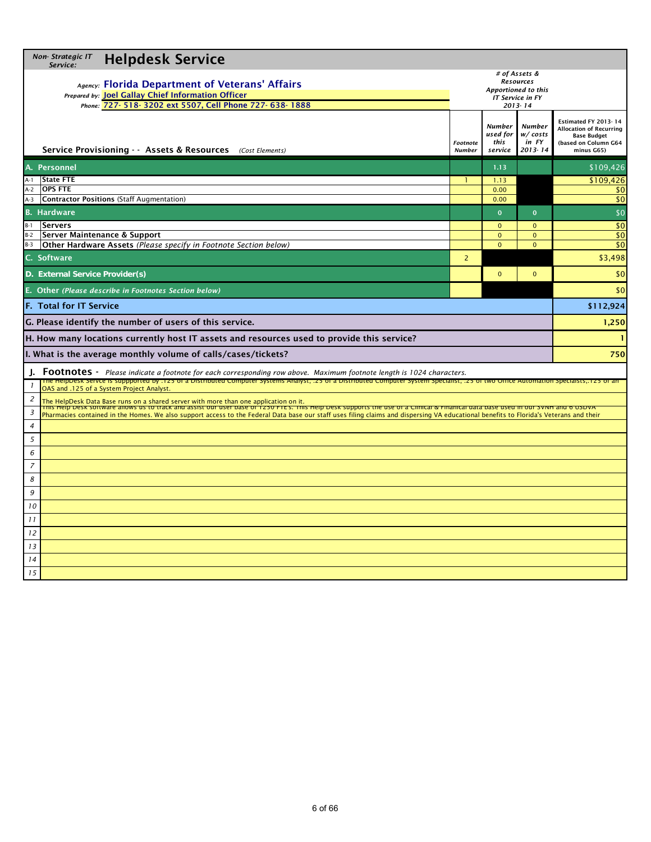| Non-Strategic IT<br><b>Helpdesk Service</b><br>Service:                                                                                                                                                                                                |                           |                                                                                             |                                                    |                                                                                                                    |
|--------------------------------------------------------------------------------------------------------------------------------------------------------------------------------------------------------------------------------------------------------|---------------------------|---------------------------------------------------------------------------------------------|----------------------------------------------------|--------------------------------------------------------------------------------------------------------------------|
| Agency: Florida Department of Veterans' Affairs<br>Prepared by: Joel Gallay Chief Information Officer<br>Phone: 727-518-3202 ext 5507, Cell Phone 727-638-1888                                                                                         |                           | # of Assets &<br><b>Resources</b><br>Apportioned to this<br>IT Service in FY<br>$2013 - 14$ |                                                    |                                                                                                                    |
| Service Provisioning - - Assets & Resources (Cost Elements)                                                                                                                                                                                            | Footnote<br><b>Number</b> | <b>Number</b><br>used for<br>this<br>service                                                | <b>Number</b><br>$W / \cos ts$<br>in FY<br>2013-14 | Estimated FY 2013-14<br><b>Allocation of Recurring</b><br><b>Base Budget</b><br>(based on Column G64<br>minus G65) |
| A. Personnel                                                                                                                                                                                                                                           |                           | 1.13                                                                                        |                                                    | \$109,426                                                                                                          |
| <b>State FTE</b><br>A-1                                                                                                                                                                                                                                |                           | 1.13                                                                                        |                                                    | \$109,426                                                                                                          |
| <b>OPS FTE</b><br>$A-2$                                                                                                                                                                                                                                |                           | 0.00                                                                                        |                                                    | \$0                                                                                                                |
| Contractor Positions (Staff Augmentation)<br>$A-3$                                                                                                                                                                                                     |                           | 0.00                                                                                        |                                                    | \$0                                                                                                                |
| <b>B.</b> Hardware                                                                                                                                                                                                                                     |                           | $\mathbf{0}$                                                                                | $\mathbf{0}$                                       | \$0                                                                                                                |
| $B-1$<br><b>Servers</b>                                                                                                                                                                                                                                |                           | $\mathbf{0}$                                                                                | $\mathbf{0}$                                       | \$0                                                                                                                |
| $B-2$<br>Server Maintenance & Support<br>Other Hardware Assets (Please specify in Footnote Section below)<br>$B-3$                                                                                                                                     |                           | $\mathbf{0}$<br>$\mathbf{0}$                                                                | $\mathbf{0}$<br>$\Omega$                           | \$0<br>\$0                                                                                                         |
| C. Software                                                                                                                                                                                                                                            | $\overline{2}$            |                                                                                             |                                                    | \$3,498                                                                                                            |
| D. External Service Provider(s)                                                                                                                                                                                                                        |                           | $\mathbf{0}$                                                                                | $\mathbf{0}$                                       | \$0                                                                                                                |
| E. Other (Please describe in Footnotes Section below)                                                                                                                                                                                                  |                           |                                                                                             |                                                    | \$0                                                                                                                |
| <b>F. Total for IT Service</b>                                                                                                                                                                                                                         |                           |                                                                                             | \$112,924                                          |                                                                                                                    |
| G. Please identify the number of users of this service.                                                                                                                                                                                                |                           |                                                                                             |                                                    | 1,250                                                                                                              |
| H. How many locations currently host IT assets and resources used to provide this service?                                                                                                                                                             |                           |                                                                                             |                                                    | $\mathbf{1}$                                                                                                       |
| I. What is the average monthly volume of calls/cases/tickets?                                                                                                                                                                                          |                           |                                                                                             |                                                    | 750                                                                                                                |
| J. FOOTNOTES - Please indicate a footnote for each corresponding row above. Maximum footnote length is 1024 characters.                                                                                                                                |                           |                                                                                             |                                                    |                                                                                                                    |
| ine HeipDesk Servce is supported by .125 of a Distributed Computer Systems Analyst, .25 of a Distributed Computer System Specialist, .25 of two Office Automation Specialists, .125 of an<br>$\mathbf{I}$<br>OAS and .125 of a System Project Analyst. |                           |                                                                                             |                                                    |                                                                                                                    |
| $\overline{c}$<br>The HelpDesk Data Base runs on a shared server with more than one application on it.<br>This Help Desk software allows us to track and assist our user base of 1250 FTES. This Help Desk supports the use or a Clinical & Finanic    |                           |                                                                                             |                                                    |                                                                                                                    |
| 3<br>Pharmacies contained in the Homes. We also support access to the Federal Data base our staff uses filing claims and dispersing VA educational benefits to Florida's Veterans and their<br>$\overline{4}$                                          |                           |                                                                                             |                                                    |                                                                                                                    |
| 5                                                                                                                                                                                                                                                      |                           |                                                                                             |                                                    |                                                                                                                    |
| 6                                                                                                                                                                                                                                                      |                           |                                                                                             |                                                    |                                                                                                                    |
| $\overline{z}$                                                                                                                                                                                                                                         |                           |                                                                                             |                                                    |                                                                                                                    |
| 8                                                                                                                                                                                                                                                      |                           |                                                                                             |                                                    |                                                                                                                    |
| 9                                                                                                                                                                                                                                                      |                           |                                                                                             |                                                    |                                                                                                                    |
| 10                                                                                                                                                                                                                                                     |                           |                                                                                             |                                                    |                                                                                                                    |
|                                                                                                                                                                                                                                                        |                           |                                                                                             |                                                    |                                                                                                                    |
| 11                                                                                                                                                                                                                                                     |                           |                                                                                             |                                                    |                                                                                                                    |
| 12                                                                                                                                                                                                                                                     |                           |                                                                                             |                                                    |                                                                                                                    |
| 13<br>14                                                                                                                                                                                                                                               |                           |                                                                                             |                                                    |                                                                                                                    |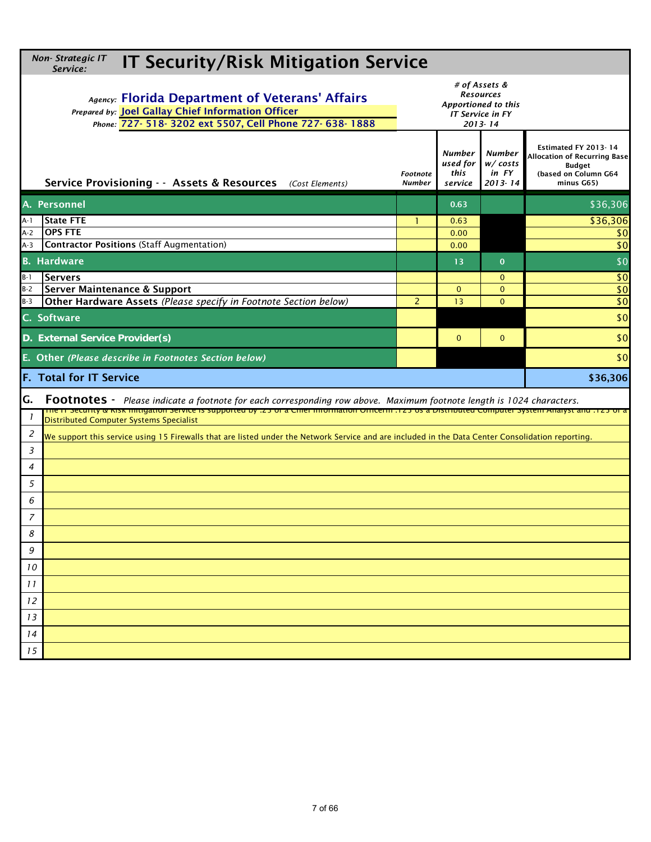| Non-Strategic IT<br><b>IT Security/Risk Mitigation Service</b><br>Service:                                                                                                                                                                                                                                         |                           |                                                                                             |                                           |                                                                                                             |  |  |  |
|--------------------------------------------------------------------------------------------------------------------------------------------------------------------------------------------------------------------------------------------------------------------------------------------------------------------|---------------------------|---------------------------------------------------------------------------------------------|-------------------------------------------|-------------------------------------------------------------------------------------------------------------|--|--|--|
| Agency: Florida Department of Veterans' Affairs<br>Prepared by: Joel Gallay Chief Information Officer<br>Phone: 727-518-3202 ext 5507, Cell Phone 727-638-1888                                                                                                                                                     |                           | # of Assets &<br>Resources<br>Apportioned to this<br><b>IT Service in FY</b><br>$2013 - 14$ |                                           |                                                                                                             |  |  |  |
| Service Provisioning - - Assets & Resources (Cost Elements)                                                                                                                                                                                                                                                        | Footnote<br><b>Number</b> | Number<br>used for<br>this<br>service                                                       | Number<br>w/costs<br>in FY<br>$2013 - 14$ | Estimated FY 2013-14<br><b>Allocation of Recurring Base</b><br>Budget<br>(based on Column G64<br>minus G65) |  |  |  |
| A. Personnel                                                                                                                                                                                                                                                                                                       |                           | 0.63                                                                                        |                                           | \$36,306                                                                                                    |  |  |  |
| <b>State FTE</b><br>A-1                                                                                                                                                                                                                                                                                            | ı.                        | 0.63                                                                                        |                                           | 36,306                                                                                                      |  |  |  |
| <b>OPS FTE</b><br>$A-2$<br><b>Contractor Positions (Staff Augmentation)</b>                                                                                                                                                                                                                                        |                           | 0.00                                                                                        |                                           | \$0                                                                                                         |  |  |  |
| A-3                                                                                                                                                                                                                                                                                                                |                           | 0.00                                                                                        |                                           | \$0                                                                                                         |  |  |  |
| <b>B.</b> Hardware                                                                                                                                                                                                                                                                                                 |                           | 13                                                                                          | $\mathbf{0}$                              | \$0                                                                                                         |  |  |  |
| B-1<br><b>Servers</b><br>Server Maintenance & Support<br>$B-2$                                                                                                                                                                                                                                                     |                           | $\mathbf{0}$                                                                                | $\mathbf{0}$<br>$\overline{0}$            | \$0<br>\$0                                                                                                  |  |  |  |
| Other Hardware Assets (Please specify in Footnote Section below)<br>$B-3$                                                                                                                                                                                                                                          | 2                         | 13                                                                                          | $\mathbf{0}$                              | \$0                                                                                                         |  |  |  |
| C. Software                                                                                                                                                                                                                                                                                                        |                           |                                                                                             |                                           | \$0                                                                                                         |  |  |  |
| D. External Service Provider(s)                                                                                                                                                                                                                                                                                    |                           | $\Omega$                                                                                    | $\mathbf{0}$                              | \$0                                                                                                         |  |  |  |
| E. Other (Please describe in Footnotes Section below)                                                                                                                                                                                                                                                              |                           |                                                                                             |                                           | \$0                                                                                                         |  |  |  |
| <b>F. Total for IT Service</b>                                                                                                                                                                                                                                                                                     |                           |                                                                                             |                                           | \$36,306                                                                                                    |  |  |  |
| G.<br><b>Footnotes</b> - Please indicate a footnote for each corresponding row above. Maximum footnote length is 1024 characters.<br><u>ة ان כזו. וווא האנצע האטערווואנט כס האטרווואנט האט כאן הוויס הוואס האט כא. און האט האט האט האט האט האט הוויס ה</u><br>-1<br><b>Distributed Computer Systems Specialist</b> |                           |                                                                                             |                                           |                                                                                                             |  |  |  |
| $\overline{c}$<br>We support this service using 15 Firewalls that are listed under the Network Service and are included in the Data Center Consolidation reporting.                                                                                                                                                |                           |                                                                                             |                                           |                                                                                                             |  |  |  |
| 3                                                                                                                                                                                                                                                                                                                  |                           |                                                                                             |                                           |                                                                                                             |  |  |  |
| $\overline{4}$                                                                                                                                                                                                                                                                                                     |                           |                                                                                             |                                           |                                                                                                             |  |  |  |
| 5                                                                                                                                                                                                                                                                                                                  |                           |                                                                                             |                                           |                                                                                                             |  |  |  |
| 6                                                                                                                                                                                                                                                                                                                  |                           |                                                                                             |                                           |                                                                                                             |  |  |  |
| $\overline{7}$                                                                                                                                                                                                                                                                                                     |                           |                                                                                             |                                           |                                                                                                             |  |  |  |
| 8                                                                                                                                                                                                                                                                                                                  |                           |                                                                                             |                                           |                                                                                                             |  |  |  |
| 9                                                                                                                                                                                                                                                                                                                  |                           |                                                                                             |                                           |                                                                                                             |  |  |  |
| 10                                                                                                                                                                                                                                                                                                                 |                           |                                                                                             |                                           |                                                                                                             |  |  |  |
| 11                                                                                                                                                                                                                                                                                                                 |                           |                                                                                             |                                           |                                                                                                             |  |  |  |
| 12                                                                                                                                                                                                                                                                                                                 |                           |                                                                                             |                                           |                                                                                                             |  |  |  |
| 13                                                                                                                                                                                                                                                                                                                 |                           |                                                                                             |                                           |                                                                                                             |  |  |  |
| 14                                                                                                                                                                                                                                                                                                                 |                           |                                                                                             |                                           |                                                                                                             |  |  |  |
| 15                                                                                                                                                                                                                                                                                                                 |                           |                                                                                             |                                           |                                                                                                             |  |  |  |
|                                                                                                                                                                                                                                                                                                                    |                           |                                                                                             |                                           |                                                                                                             |  |  |  |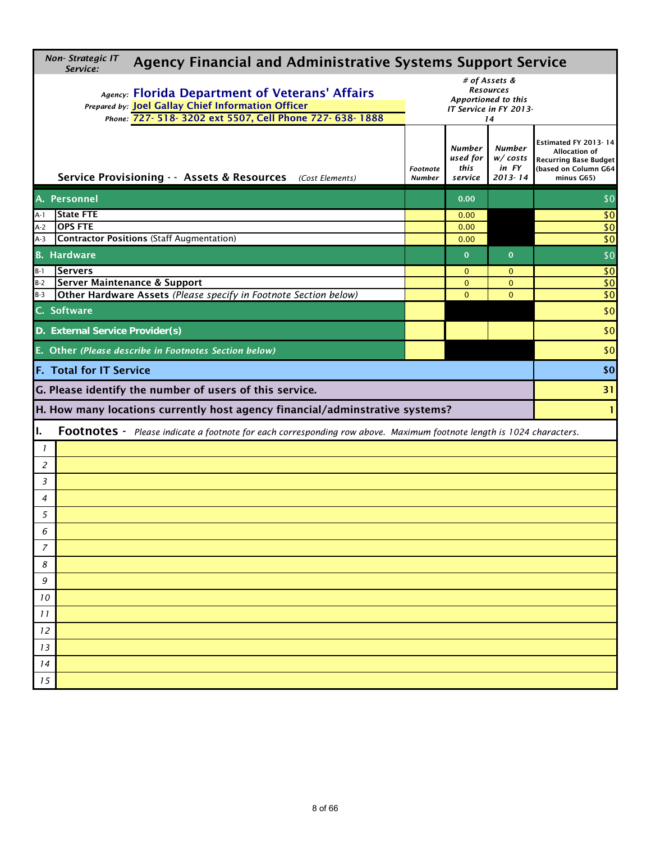|                | Non-Strategic IT<br><b>Agency Financial and Administrative Systems Support Service</b><br>Service:                                                                 |                                                                                          |                                       |                                       |                                                                                                             |  |  |  |  |
|----------------|--------------------------------------------------------------------------------------------------------------------------------------------------------------------|------------------------------------------------------------------------------------------|---------------------------------------|---------------------------------------|-------------------------------------------------------------------------------------------------------------|--|--|--|--|
|                | Agency: Florida Department of Veterans' Affairs<br>Prepared by: Joel Gallay Chief Information Officer<br>Phone: 727- 518- 3202 ext 5507, Cell Phone 727- 638- 1888 | # of Assets &<br><b>Resources</b><br>Apportioned to this<br>IT Service in FY 2013-<br>14 |                                       |                                       |                                                                                                             |  |  |  |  |
|                | Service Provisioning - - Assets & Resources (Cost Elements)                                                                                                        | Footnote<br><b>Number</b>                                                                | Number<br>used for<br>this<br>service | Number<br>w/costs<br>in FY<br>2013-14 | Estimated FY 2013-14<br>Allocation of<br><b>Recurring Base Budget</b><br>(based on Column G64<br>minus G65) |  |  |  |  |
|                | A. Personnel                                                                                                                                                       |                                                                                          | 0.00                                  |                                       | \$0                                                                                                         |  |  |  |  |
| A-1            | <b>State FTE</b>                                                                                                                                                   |                                                                                          | 0.00                                  |                                       | \$0                                                                                                         |  |  |  |  |
| $A-2$          | <b>OPS FTE</b>                                                                                                                                                     |                                                                                          | 0.00                                  |                                       | \$0                                                                                                         |  |  |  |  |
| $A-3$          | Contractor Positions (Staff Augmentation)                                                                                                                          |                                                                                          | 0.00                                  |                                       | \$0                                                                                                         |  |  |  |  |
|                | <b>B.</b> Hardware                                                                                                                                                 |                                                                                          | $\mathbf{0}$                          | $\mathbf{0}$                          | \$0                                                                                                         |  |  |  |  |
| $B-1$          | <b>Servers</b>                                                                                                                                                     |                                                                                          | $\mathbf{0}$                          | $\mathbf{0}$                          | \$0                                                                                                         |  |  |  |  |
| $B-2$<br>$B-3$ | Server Maintenance & Support<br>Other Hardware Assets (Please specify in Footnote Section below)                                                                   |                                                                                          | $\mathbf{0}$<br>$\Omega$              | $\mathbf{0}$<br>$\Omega$              | \$0<br>\$0                                                                                                  |  |  |  |  |
|                | C. Software                                                                                                                                                        |                                                                                          |                                       |                                       | \$0                                                                                                         |  |  |  |  |
|                | D. External Service Provider(s)                                                                                                                                    |                                                                                          |                                       |                                       | \$0                                                                                                         |  |  |  |  |
|                | E. Other (Please describe in Footnotes Section below)                                                                                                              |                                                                                          |                                       |                                       | \$0                                                                                                         |  |  |  |  |
|                | <b>F. Total for IT Service</b>                                                                                                                                     |                                                                                          |                                       |                                       | \$0                                                                                                         |  |  |  |  |
|                | G. Please identify the number of users of this service.                                                                                                            |                                                                                          |                                       |                                       | 31                                                                                                          |  |  |  |  |
|                | H. How many locations currently host agency financial/adminstrative systems?                                                                                       |                                                                                          |                                       |                                       | $\mathbf{1}$                                                                                                |  |  |  |  |
| Ι.             | Footnotes - Please indicate a footnote for each corresponding row above. Maximum footnote length is 1024 characters.                                               |                                                                                          |                                       |                                       |                                                                                                             |  |  |  |  |
| -1             |                                                                                                                                                                    |                                                                                          |                                       |                                       |                                                                                                             |  |  |  |  |
| 2              |                                                                                                                                                                    |                                                                                          |                                       |                                       |                                                                                                             |  |  |  |  |
| $\overline{3}$ |                                                                                                                                                                    |                                                                                          |                                       |                                       |                                                                                                             |  |  |  |  |
| 4              |                                                                                                                                                                    |                                                                                          |                                       |                                       |                                                                                                             |  |  |  |  |
| 5              |                                                                                                                                                                    |                                                                                          |                                       |                                       |                                                                                                             |  |  |  |  |
| 6              |                                                                                                                                                                    |                                                                                          |                                       |                                       |                                                                                                             |  |  |  |  |
| $\overline{7}$ |                                                                                                                                                                    |                                                                                          |                                       |                                       |                                                                                                             |  |  |  |  |
| 8              |                                                                                                                                                                    |                                                                                          |                                       |                                       |                                                                                                             |  |  |  |  |
| 9              |                                                                                                                                                                    |                                                                                          |                                       |                                       |                                                                                                             |  |  |  |  |
| 10             |                                                                                                                                                                    |                                                                                          |                                       |                                       |                                                                                                             |  |  |  |  |
| 11             |                                                                                                                                                                    |                                                                                          |                                       |                                       |                                                                                                             |  |  |  |  |
| 12             |                                                                                                                                                                    |                                                                                          |                                       |                                       |                                                                                                             |  |  |  |  |
| 13             |                                                                                                                                                                    |                                                                                          |                                       |                                       |                                                                                                             |  |  |  |  |
| 14             |                                                                                                                                                                    |                                                                                          |                                       |                                       |                                                                                                             |  |  |  |  |
| 15             |                                                                                                                                                                    |                                                                                          |                                       |                                       |                                                                                                             |  |  |  |  |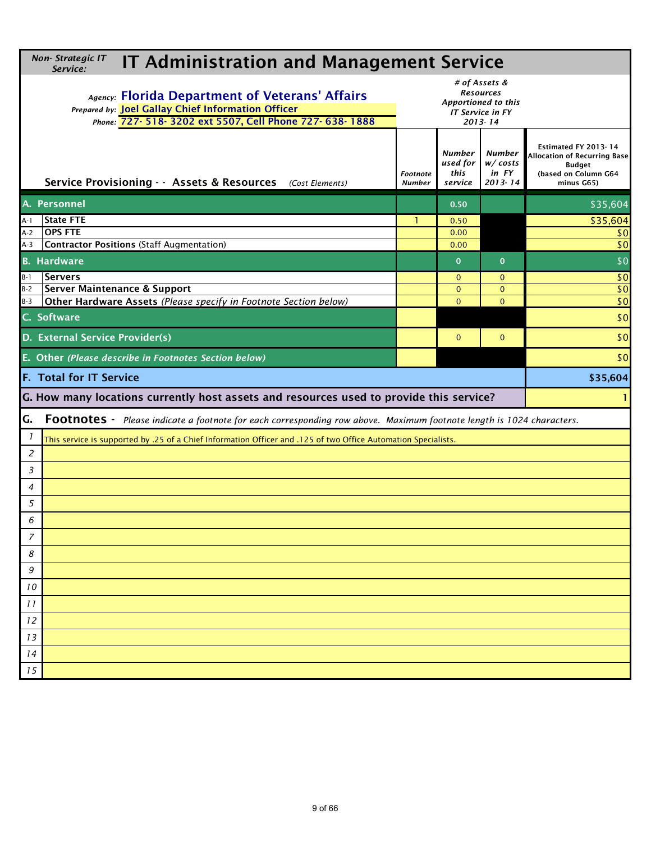| Non-Strategic IT<br><b>IT Administration and Management Service</b><br>Service:                                                                                    |                                  |                                       |                                           |                                                                                                             |  |  |  |  |
|--------------------------------------------------------------------------------------------------------------------------------------------------------------------|----------------------------------|---------------------------------------|-------------------------------------------|-------------------------------------------------------------------------------------------------------------|--|--|--|--|
| Agency: Florida Department of Veterans' Affairs<br>Prepared by: Joel Gallay Chief Information Officer<br>Phone: 727- 518- 3202 ext 5507, Cell Phone 727- 638- 1888 |                                  |                                       |                                           |                                                                                                             |  |  |  |  |
| Service Provisioning - - Assets & Resources (Cost Elements)                                                                                                        | <b>Footnote</b><br><b>Number</b> | Number<br>used for<br>this<br>service | Number<br>w/costs<br>in FY<br>$2013 - 14$ | Estimated FY 2013-14<br>Allocation of Recurring Base<br><b>Budget</b><br>(based on Column G64<br>minus G65) |  |  |  |  |
| A. Personnel                                                                                                                                                       |                                  | 0.50                                  |                                           | \$35,604                                                                                                    |  |  |  |  |
| <b>State FTE</b><br>A-1                                                                                                                                            | -1                               | 0.50                                  |                                           | \$35,604                                                                                                    |  |  |  |  |
| <b>OPS FTE</b><br>A-2<br>Contractor Positions (Staff Augmentation)<br>$A-3$                                                                                        |                                  | 0.00<br>0.00                          |                                           | \$0<br>\$0                                                                                                  |  |  |  |  |
| <b>B.</b> Hardware                                                                                                                                                 |                                  | $\mathbf{0}$                          | $\mathbf{0}$                              | \$0                                                                                                         |  |  |  |  |
| $B-1$<br><b>Servers</b>                                                                                                                                            |                                  | $\mathbf{0}$                          | $\mathbf{0}$                              | \$0                                                                                                         |  |  |  |  |
| Server Maintenance & Support<br>$B-2$                                                                                                                              |                                  | $\Omega$                              | $\mathbf{0}$                              | \$0                                                                                                         |  |  |  |  |
| $B-3$<br>Other Hardware Assets (Please specify in Footnote Section below)                                                                                          |                                  | $\Omega$                              | $\Omega$                                  | \$0                                                                                                         |  |  |  |  |
| C. Software                                                                                                                                                        |                                  |                                       |                                           | \$0                                                                                                         |  |  |  |  |
| D. External Service Provider(s)                                                                                                                                    | \$0                              |                                       |                                           |                                                                                                             |  |  |  |  |
| E. Other (Please describe in Footnotes Section below)                                                                                                              |                                  |                                       |                                           | \$0                                                                                                         |  |  |  |  |
|                                                                                                                                                                    |                                  |                                       |                                           |                                                                                                             |  |  |  |  |
| <b>F. Total for IT Service</b>                                                                                                                                     |                                  |                                       |                                           | \$35,604                                                                                                    |  |  |  |  |
| G. How many locations currently host assets and resources used to provide this service?                                                                            |                                  |                                       |                                           | 1                                                                                                           |  |  |  |  |
| G.<br>Footnotes - Please indicate a footnote for each corresponding row above. Maximum footnote length is 1024 characters.                                         |                                  |                                       |                                           |                                                                                                             |  |  |  |  |
| 1                                                                                                                                                                  |                                  |                                       |                                           |                                                                                                             |  |  |  |  |
| This service is supported by .25 of a Chief Information Officer and .125 of two Office Automation Specialists.<br>$\overline{c}$                                   |                                  |                                       |                                           |                                                                                                             |  |  |  |  |
| 3                                                                                                                                                                  |                                  |                                       |                                           |                                                                                                             |  |  |  |  |
| 4                                                                                                                                                                  |                                  |                                       |                                           |                                                                                                             |  |  |  |  |
| 5                                                                                                                                                                  |                                  |                                       |                                           |                                                                                                             |  |  |  |  |
| 6                                                                                                                                                                  |                                  |                                       |                                           |                                                                                                             |  |  |  |  |
| $\overline{7}$                                                                                                                                                     |                                  |                                       |                                           |                                                                                                             |  |  |  |  |
| 8                                                                                                                                                                  |                                  |                                       |                                           |                                                                                                             |  |  |  |  |
| 9                                                                                                                                                                  |                                  |                                       |                                           |                                                                                                             |  |  |  |  |
| 10                                                                                                                                                                 |                                  |                                       |                                           |                                                                                                             |  |  |  |  |
| 11                                                                                                                                                                 |                                  |                                       |                                           |                                                                                                             |  |  |  |  |
| 12                                                                                                                                                                 |                                  |                                       |                                           |                                                                                                             |  |  |  |  |
| 13                                                                                                                                                                 |                                  |                                       |                                           |                                                                                                             |  |  |  |  |
| 14                                                                                                                                                                 |                                  |                                       |                                           |                                                                                                             |  |  |  |  |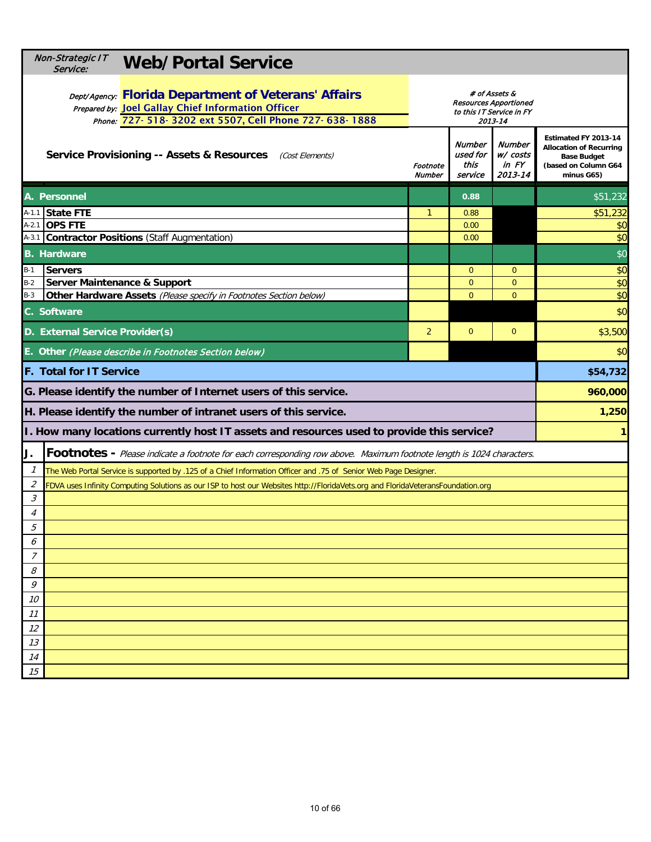| Non-Strategic IT<br><b>Web/Portal Service</b><br>Service:                                                                                                                      |                           |                                       |                                                                                          |                                                                                                                    |
|--------------------------------------------------------------------------------------------------------------------------------------------------------------------------------|---------------------------|---------------------------------------|------------------------------------------------------------------------------------------|--------------------------------------------------------------------------------------------------------------------|
| <b>Dept/Agency:</b> Florida Department of Veterans' Affairs<br>Prepared by: Joel Gallay Chief Information Officer<br>Phone: 727- 518- 3202 ext 5507, Cell Phone 727- 638- 1888 |                           |                                       | # of Assets &<br><b>Resources Apportioned</b><br>to this IT Service in FY<br>$2013 - 14$ |                                                                                                                    |
| <b>Service Provisioning -- Assets &amp; Resources</b><br>(Cost Elements)                                                                                                       | Footnote<br><b>Number</b> | Number<br>used for<br>this<br>service | <b>Number</b><br>w/ costs<br>in FY<br>2013-14                                            | Estimated FY 2013-14<br><b>Allocation of Recurring</b><br><b>Base Budget</b><br>(based on Column G64<br>minus G65) |
| A. Personnel                                                                                                                                                                   |                           | 0.88                                  |                                                                                          | \$51,232                                                                                                           |
| A-1.1 State FTE                                                                                                                                                                | $\mathbf{1}$              | 0.88                                  |                                                                                          | \$51,232                                                                                                           |
| A-2.1 OPS FTE                                                                                                                                                                  |                           | 0.00                                  |                                                                                          | \$0                                                                                                                |
| A-3.1 Contractor Positions (Staff Augmentation)                                                                                                                                |                           | 0.00                                  |                                                                                          | \$0                                                                                                                |
| <b>B.</b> Hardware                                                                                                                                                             |                           |                                       |                                                                                          | \$0                                                                                                                |
| $B-1$<br><b>Servers</b>                                                                                                                                                        |                           | $\mathbf{0}$                          | $\mathbf{0}$                                                                             | \$0                                                                                                                |
| Server Maintenance & Support<br>$B-2$                                                                                                                                          |                           | $\mathbf{0}$                          | $\mathbf{0}$                                                                             | \$0                                                                                                                |
| $B-3$<br>Other Hardware Assets (Please specify in Footnotes Section below)                                                                                                     |                           | $\Omega$                              | $\Omega$                                                                                 | \$0                                                                                                                |
| C. Software                                                                                                                                                                    |                           |                                       |                                                                                          | \$0                                                                                                                |
| D. External Service Provider(s)                                                                                                                                                | 2                         | $\mathbf{0}$                          | $\mathbf 0$                                                                              | \$3,500                                                                                                            |
| E. Other (Please describe in Footnotes Section below)                                                                                                                          |                           |                                       |                                                                                          | \$0                                                                                                                |
| <b>F. Total for IT Service</b>                                                                                                                                                 |                           |                                       |                                                                                          | \$54,732                                                                                                           |
| G. Please identify the number of Internet users of this service.                                                                                                               |                           |                                       |                                                                                          | 960,000                                                                                                            |
| H. Please identify the number of intranet users of this service.                                                                                                               |                           |                                       |                                                                                          | 1,250                                                                                                              |
| 1. How many locations currently host IT assets and resources used to provide this service?                                                                                     |                           |                                       |                                                                                          | 1                                                                                                                  |
| Footnotes - Please indicate a footnote for each corresponding row above. Maximum footnote length is 1024 characters.<br>J.                                                     |                           |                                       |                                                                                          |                                                                                                                    |
| $\mathcal I$<br>The Web Portal Service is supported by .125 of a Chief Information Officer and .75 of Senior Web Page Designer.                                                |                           |                                       |                                                                                          |                                                                                                                    |
| 2<br>FDVA uses Infinity Computing Solutions as our ISP to host our Websites http://FloridaVets.org and FloridaVeteransFoundation.org                                           |                           |                                       |                                                                                          |                                                                                                                    |
| 3                                                                                                                                                                              |                           |                                       |                                                                                          |                                                                                                                    |
| $\overline{4}$                                                                                                                                                                 |                           |                                       |                                                                                          |                                                                                                                    |
| 5                                                                                                                                                                              |                           |                                       |                                                                                          |                                                                                                                    |
| 6                                                                                                                                                                              |                           |                                       |                                                                                          |                                                                                                                    |
| $\overline{7}$                                                                                                                                                                 |                           |                                       |                                                                                          |                                                                                                                    |
| 8                                                                                                                                                                              |                           |                                       |                                                                                          |                                                                                                                    |
| 9                                                                                                                                                                              |                           |                                       |                                                                                          |                                                                                                                    |
| 10                                                                                                                                                                             |                           |                                       |                                                                                          |                                                                                                                    |
| 11                                                                                                                                                                             |                           |                                       |                                                                                          |                                                                                                                    |
| 12<br>13                                                                                                                                                                       |                           |                                       |                                                                                          |                                                                                                                    |
| 14                                                                                                                                                                             |                           |                                       |                                                                                          |                                                                                                                    |
| 15                                                                                                                                                                             |                           |                                       |                                                                                          |                                                                                                                    |
|                                                                                                                                                                                |                           |                                       |                                                                                          |                                                                                                                    |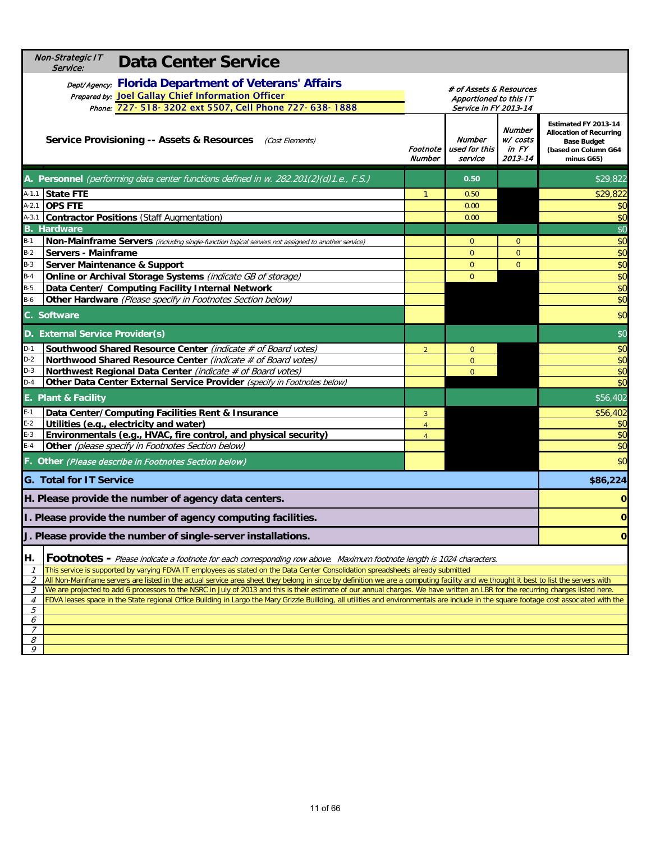| <b>Non-Strategic IT</b><br><b>Data Center Service</b><br>Service:                                                                                                                                               |                           |                                                                            |                                        |                                                                                                                    |
|-----------------------------------------------------------------------------------------------------------------------------------------------------------------------------------------------------------------|---------------------------|----------------------------------------------------------------------------|----------------------------------------|--------------------------------------------------------------------------------------------------------------------|
| <b>Dept/Agency: Florida Department of Veterans' Affairs</b><br>Prepared by: Joel Gallay Chief Information Officer<br>Phone: 727- 518- 3202 ext 5507, Cell Phone 727- 638- 1888                                  |                           | # of Assets & Resources<br>Apportioned to this IT<br>Service in FY 2013-14 |                                        |                                                                                                                    |
| <b>Service Provisioning -- Assets &amp; Resources</b><br>(Cost Elements)                                                                                                                                        | Footnote<br><b>Number</b> | Number<br>used for this<br>service                                         | Number<br>W/ costs<br>in FY<br>2013-14 | Estimated FY 2013-14<br><b>Allocation of Recurring</b><br><b>Base Budget</b><br>(based on Column G64<br>minus G65) |
| A. Personnel (performing data center functions defined in w. 282.201(2)(d)1.e., F.S.)                                                                                                                           |                           | 0.50                                                                       |                                        | \$29,822                                                                                                           |
| A-1.1 State FTE                                                                                                                                                                                                 | $\mathbf{1}$              | 0.50                                                                       |                                        | \$29,822                                                                                                           |
| <b>OPS FTE</b><br>$A-2.1$                                                                                                                                                                                       |                           | 0.00                                                                       |                                        | \$0                                                                                                                |
| A-3.1 Contractor Positions (Staff Augmentation)                                                                                                                                                                 |                           | 0.00                                                                       |                                        | \$0                                                                                                                |
| <b>B.</b> Hardware                                                                                                                                                                                              |                           |                                                                            |                                        | \$0                                                                                                                |
| $B-1$<br>Non-Mainframe Servers (including single-function logical servers not assigned to another service)                                                                                                      |                           | $\mathbf{0}$                                                               | $\mathbf{0}$                           | \$0                                                                                                                |
| $B-2$<br><b>Servers - Mainframe</b>                                                                                                                                                                             |                           | $\overline{0}$                                                             | $\mathbf{0}$                           | \$0                                                                                                                |
| Server Maintenance & Support<br>$B-3$                                                                                                                                                                           |                           | $\overline{0}$                                                             | $\Omega$                               | \$0                                                                                                                |
| Online or Archival Storage Systems (indicate GB of storage)<br>$B-4$                                                                                                                                            |                           | $\overline{0}$                                                             |                                        | \$0                                                                                                                |
| Data Center/ Computing Facility Internal Network<br>$B-5$                                                                                                                                                       |                           |                                                                            |                                        | \$0                                                                                                                |
| Other Hardware (Please specify in Footnotes Section below)<br>$B-6$                                                                                                                                             |                           |                                                                            |                                        | \$0                                                                                                                |
| C. Software                                                                                                                                                                                                     |                           |                                                                            |                                        | \$0                                                                                                                |
| D. External Service Provider(s)                                                                                                                                                                                 |                           |                                                                            |                                        | \$0                                                                                                                |
| $D-1$<br>Southwood Shared Resource Center (indicate # of Board votes)                                                                                                                                           | $\overline{2}$            | $\mathbf 0$                                                                |                                        | \$0                                                                                                                |
| Northwood Shared Resource Center (indicate # of Board votes)<br>$D-2$                                                                                                                                           |                           | $\mathbf{0}$                                                               |                                        | \$0                                                                                                                |
| $D-3$<br><b>Northwest Regional Data Center</b> (indicate # of Board votes)                                                                                                                                      |                           | $\overline{0}$                                                             |                                        | \$0                                                                                                                |
| Other Data Center External Service Provider (specify in Footnotes below)<br>$D-4$                                                                                                                               |                           |                                                                            |                                        | \$0                                                                                                                |
| E. Plant & Facility                                                                                                                                                                                             |                           |                                                                            |                                        | \$56,402                                                                                                           |
| $E-1$<br>Data Center/Computing Facilities Rent & Insurance                                                                                                                                                      | 3                         |                                                                            |                                        | \$56,402                                                                                                           |
| Utilities (e.g., electricity and water)<br>$E-2$                                                                                                                                                                | $\overline{4}$            |                                                                            |                                        | \$0                                                                                                                |
| Environmentals (e.g., HVAC, fire control, and physical security)<br>E-3                                                                                                                                         | $\overline{4}$            |                                                                            |                                        | \$0                                                                                                                |
| $E-4$<br>Other (please specify in Footnotes Section below)                                                                                                                                                      |                           |                                                                            |                                        | \$0                                                                                                                |
| F. Other (Please describe in Footnotes Section below)                                                                                                                                                           |                           |                                                                            |                                        | \$0                                                                                                                |
| <b>G. Total for IT Service</b>                                                                                                                                                                                  |                           |                                                                            |                                        | \$86,224                                                                                                           |
| H. Please provide the number of agency data centers.                                                                                                                                                            |                           |                                                                            |                                        | $\mathbf{0}$                                                                                                       |
| I. Please provide the number of agency computing facilities.                                                                                                                                                    |                           |                                                                            |                                        | $\mathbf{O}$                                                                                                       |
| J. Please provide the number of single-server installations.                                                                                                                                                    |                           |                                                                            |                                        | $\mathbf{O}$                                                                                                       |
| Н.<br>Footnotes - Please indicate a footnote for each corresponding row above. Maximum footnote length is 1024 characters.                                                                                      |                           |                                                                            |                                        |                                                                                                                    |
| This service is supported by varying FDVA IT employees as stated on the Data Center Consolidation spreadsheets already submitted                                                                                |                           |                                                                            |                                        |                                                                                                                    |
| All Non-Mainframe servers are listed in the actual service area sheet they belong in since by definition we are a computing facility and we thought it best to list the servers with<br>2                       |                           |                                                                            |                                        |                                                                                                                    |
| We are projected to add 6 processors to the NSRC in July of 2013 and this is their estimate of our annual charges. We have written an LBR for the recurring charges listed here.<br>3                           |                           |                                                                            |                                        |                                                                                                                    |
| FDVA leases space in the State regional Office Building in Largo the Mary Grizzle Buillding, all utilities and environmentals are include in the square footage cost associated with the<br>$\overline{4}$<br>5 |                           |                                                                            |                                        |                                                                                                                    |
| 6                                                                                                                                                                                                               |                           |                                                                            |                                        |                                                                                                                    |
| $\overline{z}$                                                                                                                                                                                                  |                           |                                                                            |                                        |                                                                                                                    |
| 8                                                                                                                                                                                                               |                           |                                                                            |                                        |                                                                                                                    |
| 9                                                                                                                                                                                                               |                           |                                                                            |                                        |                                                                                                                    |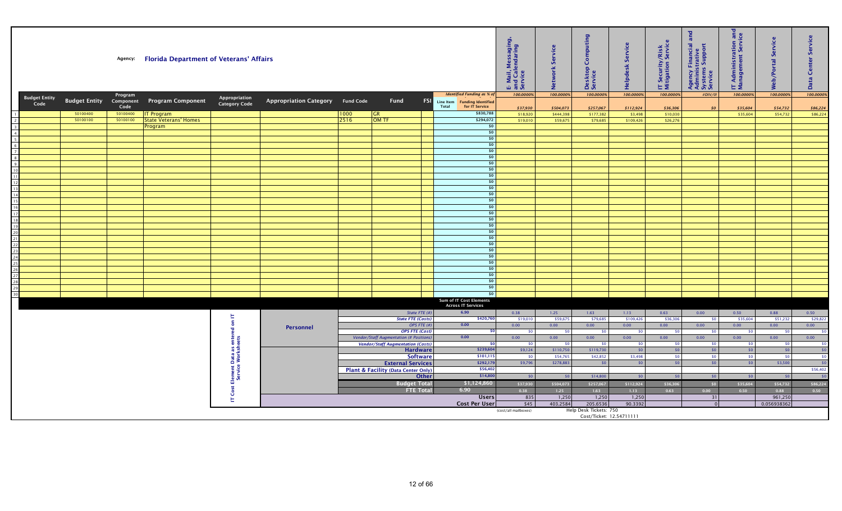|                                 |                                | Agency:         | <b>Florida Department of Veterans' Affairs</b> |                                             |                                  |      |                                          |                                  |                                                                                  | E- Mail, Messaging,<br>and Calendaring<br>Service | <b>Network Service</b> | Computing<br>Desktop<br>Service                    | Service<br>Helpdesk  | IT Security/Risk<br>Mitigation Service | and<br>Agency Financial a<br>Administrative<br>Systems Support<br>Service | IT Administration and<br>Management Service | Service<br>Web/Portal | Service<br>Center<br>Data |
|---------------------------------|--------------------------------|-----------------|------------------------------------------------|---------------------------------------------|----------------------------------|------|------------------------------------------|----------------------------------|----------------------------------------------------------------------------------|---------------------------------------------------|------------------------|----------------------------------------------------|----------------------|----------------------------------------|---------------------------------------------------------------------------|---------------------------------------------|-----------------------|---------------------------|
| <b>Budget Entity</b><br>Code    | <b>Budget Entity Component</b> | Program<br>Code | <b>Program Component</b>                       | Appropriation<br><b>Category Code</b>       | Appropriation Category Fund Code |      | Fund                                     | <b>FSI</b><br>Line Item<br>Total | <b>Identified Funding as % of</b><br><b>Funding Identified</b><br>for IT Service | 100.0000%                                         | 100.0000%              | 100.0000%                                          | 100.0000%            | 100.0000%                              | #DIV/0!<br>50                                                             | 100.0000%                                   | 100.0000%             | 100.0000%                 |
|                                 | 50100400                       | 50100400        | <b>IT Program</b>                              |                                             |                                  | 1000 | <b>GR</b>                                |                                  | \$830,788                                                                        | \$37,930<br>\$18,920                              | \$504,073<br>\$444,398 | \$257,067<br>\$177,382                             | \$112,924<br>\$3,498 | \$36,306<br>\$10,030                   |                                                                           | \$35,604<br>\$35,604                        | \$54,732<br>\$54,732  | \$86,224<br>\$86,224      |
|                                 | 50100100                       | 50100100        | <b>State Veterans' Homes</b>                   |                                             |                                  | 2516 | OM TF                                    |                                  | \$294,072                                                                        | \$19,010                                          | \$59,675               | \$79,685                                           | \$109,426            | \$26,276                               |                                                                           |                                             |                       |                           |
|                                 |                                |                 | Program                                        |                                             |                                  |      |                                          |                                  | \$0                                                                              |                                                   |                        |                                                    |                      |                                        |                                                                           |                                             |                       |                           |
|                                 |                                |                 |                                                |                                             |                                  |      |                                          |                                  | \$0                                                                              |                                                   |                        |                                                    |                      |                                        |                                                                           |                                             |                       |                           |
|                                 |                                |                 |                                                |                                             |                                  |      |                                          |                                  | \$0                                                                              |                                                   |                        |                                                    |                      |                                        |                                                                           |                                             |                       |                           |
|                                 |                                |                 |                                                |                                             |                                  |      |                                          |                                  | 50                                                                               |                                                   |                        |                                                    |                      |                                        |                                                                           |                                             |                       |                           |
|                                 |                                |                 |                                                |                                             |                                  |      |                                          |                                  | \$0                                                                              |                                                   |                        |                                                    |                      |                                        |                                                                           |                                             |                       |                           |
|                                 |                                |                 |                                                |                                             |                                  |      |                                          |                                  | \$0                                                                              |                                                   |                        |                                                    |                      |                                        |                                                                           |                                             |                       |                           |
| $\mathbf{q}$<br>10 <sup>1</sup> |                                |                 |                                                |                                             |                                  |      |                                          |                                  | \$0<br>\$0                                                                       |                                                   |                        |                                                    |                      |                                        |                                                                           |                                             |                       |                           |
|                                 |                                |                 |                                                |                                             |                                  |      |                                          |                                  | \$0                                                                              |                                                   |                        |                                                    |                      |                                        |                                                                           |                                             |                       |                           |
|                                 |                                |                 |                                                |                                             |                                  |      |                                          |                                  | \$0                                                                              |                                                   |                        |                                                    |                      |                                        |                                                                           |                                             |                       |                           |
|                                 |                                |                 |                                                |                                             |                                  |      |                                          |                                  | \$0                                                                              |                                                   |                        |                                                    |                      |                                        |                                                                           |                                             |                       |                           |
|                                 |                                |                 |                                                |                                             |                                  |      |                                          |                                  | \$0                                                                              |                                                   |                        |                                                    |                      |                                        |                                                                           |                                             |                       |                           |
|                                 |                                |                 |                                                |                                             |                                  |      |                                          |                                  | \$0                                                                              |                                                   |                        |                                                    |                      |                                        |                                                                           |                                             |                       |                           |
|                                 |                                |                 |                                                |                                             |                                  |      |                                          |                                  | \$0                                                                              |                                                   |                        |                                                    |                      |                                        |                                                                           |                                             |                       |                           |
|                                 |                                |                 |                                                |                                             |                                  |      |                                          |                                  | \$0                                                                              |                                                   |                        |                                                    |                      |                                        |                                                                           |                                             |                       |                           |
|                                 |                                |                 |                                                |                                             |                                  |      |                                          |                                  | \$0                                                                              |                                                   |                        |                                                    |                      |                                        |                                                                           |                                             |                       |                           |
| 19                              |                                |                 |                                                |                                             |                                  |      |                                          |                                  | \$0                                                                              |                                                   |                        |                                                    |                      |                                        |                                                                           |                                             |                       |                           |
|                                 |                                |                 |                                                |                                             |                                  |      |                                          |                                  | \$0                                                                              |                                                   |                        |                                                    |                      |                                        |                                                                           |                                             |                       |                           |
|                                 |                                |                 |                                                |                                             |                                  |      |                                          |                                  | \$0                                                                              |                                                   |                        |                                                    |                      |                                        |                                                                           |                                             |                       |                           |
| 22                              |                                |                 |                                                |                                             |                                  |      |                                          |                                  | \$0                                                                              |                                                   |                        |                                                    |                      |                                        |                                                                           |                                             |                       |                           |
|                                 |                                |                 |                                                |                                             |                                  |      |                                          |                                  | \$0<br>\$0                                                                       |                                                   |                        |                                                    |                      |                                        |                                                                           |                                             |                       |                           |
|                                 |                                |                 |                                                |                                             |                                  |      |                                          |                                  | \$0                                                                              |                                                   |                        |                                                    |                      |                                        |                                                                           |                                             |                       |                           |
|                                 |                                |                 |                                                |                                             |                                  |      |                                          |                                  | \$0                                                                              |                                                   |                        |                                                    |                      |                                        |                                                                           |                                             |                       |                           |
|                                 |                                |                 |                                                |                                             |                                  |      |                                          |                                  | \$0                                                                              |                                                   |                        |                                                    |                      |                                        |                                                                           |                                             |                       |                           |
| 28                              |                                |                 |                                                |                                             |                                  |      |                                          |                                  | \$0                                                                              |                                                   |                        |                                                    |                      |                                        |                                                                           |                                             |                       |                           |
|                                 |                                |                 |                                                |                                             |                                  |      |                                          |                                  | \$0                                                                              |                                                   |                        |                                                    |                      |                                        |                                                                           |                                             |                       |                           |
|                                 |                                |                 |                                                |                                             |                                  |      |                                          |                                  | \$0                                                                              |                                                   |                        |                                                    |                      |                                        |                                                                           |                                             |                       |                           |
|                                 |                                |                 |                                                |                                             |                                  |      |                                          |                                  | Sum of IT Cost Elements<br><b>Across IT Services</b>                             |                                                   |                        |                                                    |                      |                                        |                                                                           |                                             |                       |                           |
|                                 |                                |                 |                                                |                                             |                                  |      | State FTE $#$                            |                                  | 6.90                                                                             | 0.38                                              | 1.25                   | 1.63                                               | $-1.13 -$            | 0.63                                   | 0.00                                                                      | 0.50                                        | 0.88                  | 0.50                      |
|                                 |                                |                 |                                                | Е                                           |                                  |      | <b>State FTE (Costs)</b>                 |                                  | \$420,760                                                                        | \$19,010                                          | \$59,675               | \$79,685                                           | \$109,426            | \$36,306                               | 50                                                                        | \$35,604                                    | \$51,232              | \$29,822                  |
|                                 |                                |                 |                                                | -S                                          | <b>Personnel</b>                 |      | OPS FTE (#)                              |                                  | 0.00                                                                             | 0.00                                              | 0.00                   | 0.00                                               | 0.00                 | 0.00                                   | 0.00                                                                      | 0.00                                        | 0.00                  | 0.00                      |
|                                 |                                |                 |                                                | ᄝ                                           |                                  |      | <b>OPS FTE (Cost)</b>                    |                                  | -50                                                                              | <b>CO</b>                                         | sn.                    | 50                                                 | \$0                  | \$0                                    | \$0                                                                       | \$0                                         | <b>SO</b>             | S <sub>0</sub>            |
|                                 |                                |                 |                                                |                                             |                                  |      | Vendor/Staff Augmentation (# Positions,  |                                  | 0.00                                                                             | 0.00                                              | 0.00                   | 0.00                                               | 0.00                 | 0.00                                   | 0.00                                                                      | 0.00                                        | 0.00                  | 0.00                      |
|                                 |                                |                 |                                                |                                             |                                  |      | <b>Vendor/Staff Augmentation (Costs)</b> |                                  | \$0                                                                              | 50                                                | SO <sub>2</sub>        | 50                                                 | \$0                  | \$0                                    | so l                                                                      | SO <sub>2</sub>                             | \$0                   | \$0                       |
|                                 |                                |                 |                                                |                                             |                                  |      | <b>Hardware</b>                          |                                  | \$239,604                                                                        | \$9,124                                           | \$110,750              | \$119,730                                          | \$0                  | SO                                     | \$0                                                                       | \$0                                         | \$0                   | SO                        |
|                                 |                                |                 |                                                |                                             |                                  |      | <b>Software</b>                          |                                  | \$101,11                                                                         | 50                                                | \$54,765               | \$42,852                                           | \$3,498              | \$0                                    | \$0                                                                       | \$0                                         | \$0                   | \$0                       |
|                                 |                                |                 |                                                |                                             |                                  |      | <b>External Services</b>                 |                                  | \$292,179<br>\$56,402                                                            | \$9,796                                           | \$278,883              | S <sub>0</sub>                                     | \$0                  | SO                                     | \$0                                                                       | \$0                                         | \$3,500               | SO<br>\$56,402            |
|                                 |                                |                 |                                                |                                             |                                  |      | Plant & Facility (Data Center Only)      |                                  | \$14,80                                                                          | S <sub>0</sub>                                    | SO <sub>2</sub>        |                                                    |                      | 50 <sup>1</sup>                        | 50 <sup>1</sup>                                                           | \$0                                         | 50                    |                           |
|                                 |                                |                 |                                                | Element Data as enter<br>Service Worksheets |                                  |      | <b>Other</b>                             |                                  |                                                                                  |                                                   |                        | \$14,800                                           | \$0                  |                                        |                                                                           |                                             |                       | S <sub>0</sub>            |
|                                 |                                |                 |                                                |                                             |                                  |      | <b>Budget Total</b>                      |                                  | \$1,124,860                                                                      | \$37,930                                          | \$504.073              | \$257,067                                          | \$112,924            | \$36,306                               | SO <sub>2</sub>                                                           | \$35,604                                    | \$54,732              | \$86,224                  |
|                                 |                                |                 |                                                | Cost                                        |                                  |      | <b>FTE Total</b>                         |                                  | 6.90                                                                             | 0.38                                              | 1.25                   | 1.63                                               | $1.13 -$             | 0.63                                   | 0.00                                                                      | 0.50                                        | 0.88                  | 0.50                      |
|                                 |                                |                 |                                                | $\blacksquare$                              |                                  |      |                                          |                                  | <b>Users</b>                                                                     | 835                                               | 1,250                  | 1,250                                              | 1,250                |                                        | 31                                                                        |                                             | 961,250               |                           |
|                                 |                                |                 |                                                |                                             |                                  |      |                                          |                                  | <b>Cost Per User</b>                                                             | \$45                                              | 403.2584               | 205.6536                                           | 90.3392              |                                        | $\Omega$                                                                  |                                             | 0.056938362           |                           |
|                                 |                                |                 |                                                |                                             |                                  |      |                                          |                                  |                                                                                  | (cost/all mailboxes)                              |                        | Help Desk Tickets: 750<br>Cost/Ticket: 12.54711111 |                      |                                        |                                                                           |                                             |                       |                           |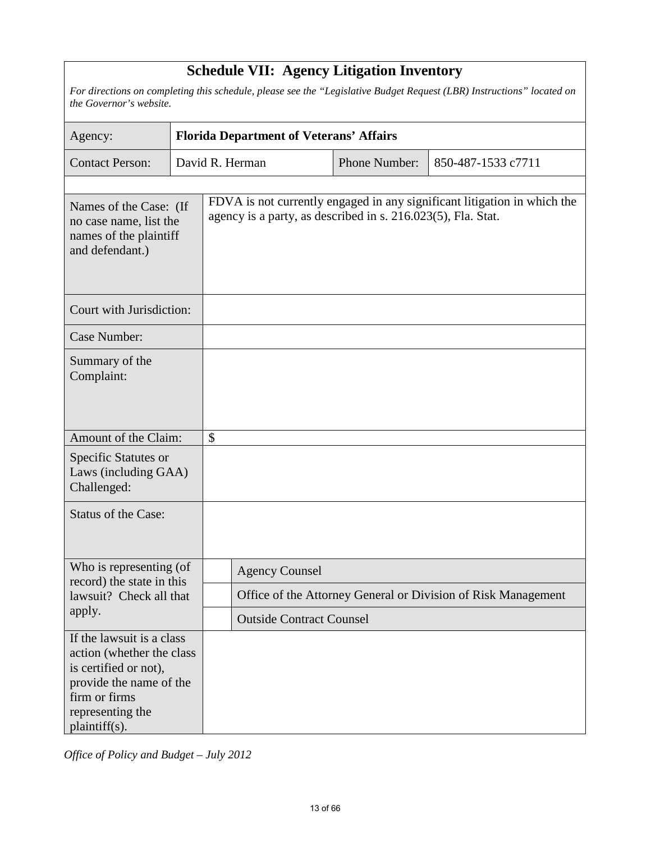## **Schedule VII: Agency Litigation Inventory**

*For directions on completing this schedule, please see the "Legislative Budget Request (LBR) Instructions" located on the Governor's website.*

| <b>Florida Department of Veterans' Affairs</b><br>Agency:                                                                                                        |  |    |                                                              |               |                                                                          |  |
|------------------------------------------------------------------------------------------------------------------------------------------------------------------|--|----|--------------------------------------------------------------|---------------|--------------------------------------------------------------------------|--|
| <b>Contact Person:</b>                                                                                                                                           |  |    | David R. Herman                                              | Phone Number: | 850-487-1533 c7711                                                       |  |
|                                                                                                                                                                  |  |    |                                                              |               |                                                                          |  |
| Names of the Case: (If<br>no case name, list the<br>names of the plaintiff<br>and defendant.)                                                                    |  |    | agency is a party, as described in s. 216.023(5), Fla. Stat. |               | FDVA is not currently engaged in any significant litigation in which the |  |
| Court with Jurisdiction:                                                                                                                                         |  |    |                                                              |               |                                                                          |  |
| Case Number:                                                                                                                                                     |  |    |                                                              |               |                                                                          |  |
| Summary of the<br>Complaint:                                                                                                                                     |  |    |                                                              |               |                                                                          |  |
| Amount of the Claim:                                                                                                                                             |  | \$ |                                                              |               |                                                                          |  |
| Specific Statutes or<br>Laws (including GAA)<br>Challenged:                                                                                                      |  |    |                                                              |               |                                                                          |  |
| <b>Status of the Case:</b>                                                                                                                                       |  |    |                                                              |               |                                                                          |  |
| Who is representing (of<br>record) the state in this                                                                                                             |  |    | <b>Agency Counsel</b>                                        |               |                                                                          |  |
| lawsuit? Check all that                                                                                                                                          |  |    |                                                              |               | Office of the Attorney General or Division of Risk Management            |  |
| apply.                                                                                                                                                           |  |    | <b>Outside Contract Counsel</b>                              |               |                                                                          |  |
| If the lawsuit is a class<br>action (whether the class<br>is certified or not),<br>provide the name of the<br>firm or firms<br>representing the<br>plaintiff(s). |  |    |                                                              |               |                                                                          |  |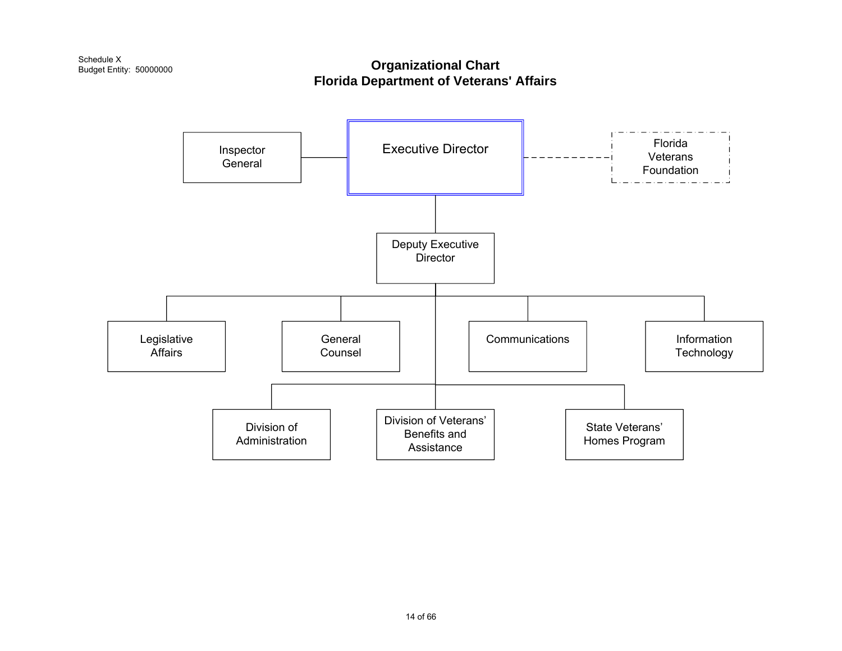Schedule X<br>Budget Entity: 50000000

## **Organizational Chart Florida Department of Veterans' Affairs**

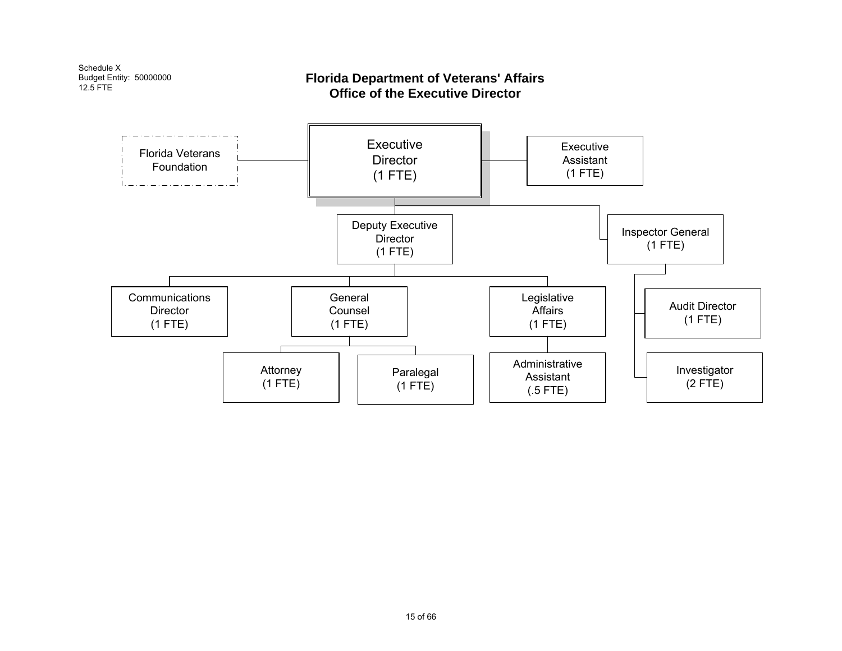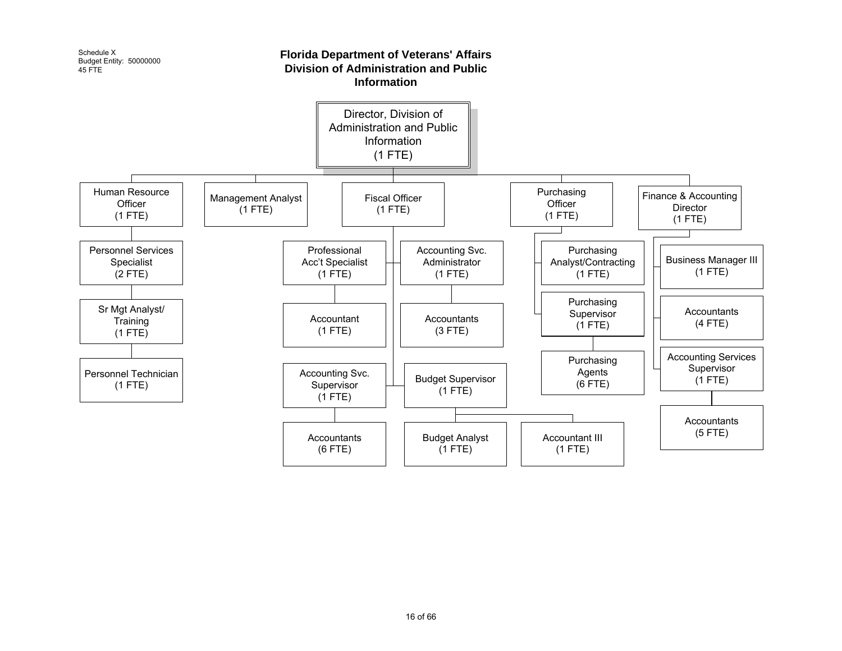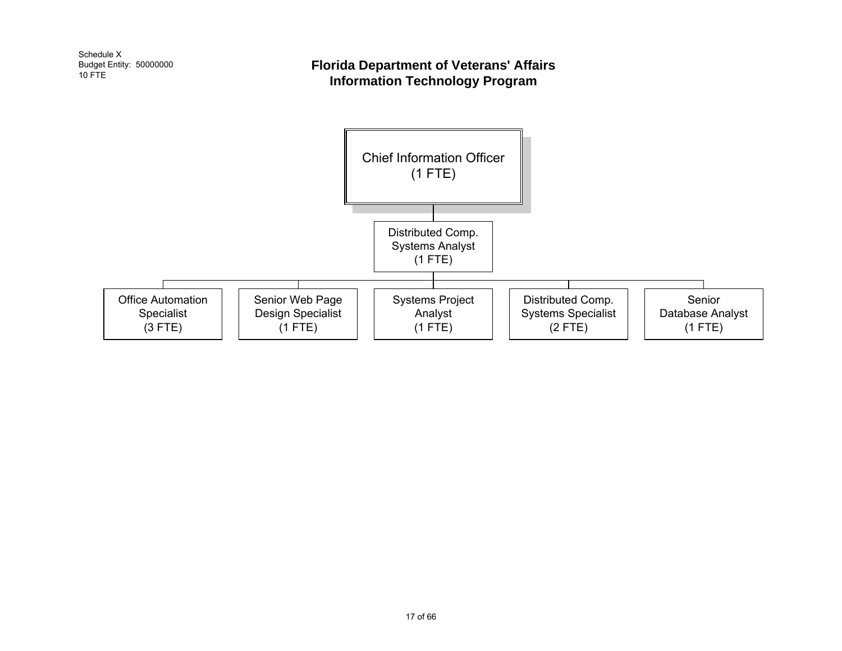Schedule X Budget Entity: 50000000

### **Florida Department of Veterans' Affairs Information Technology Program**

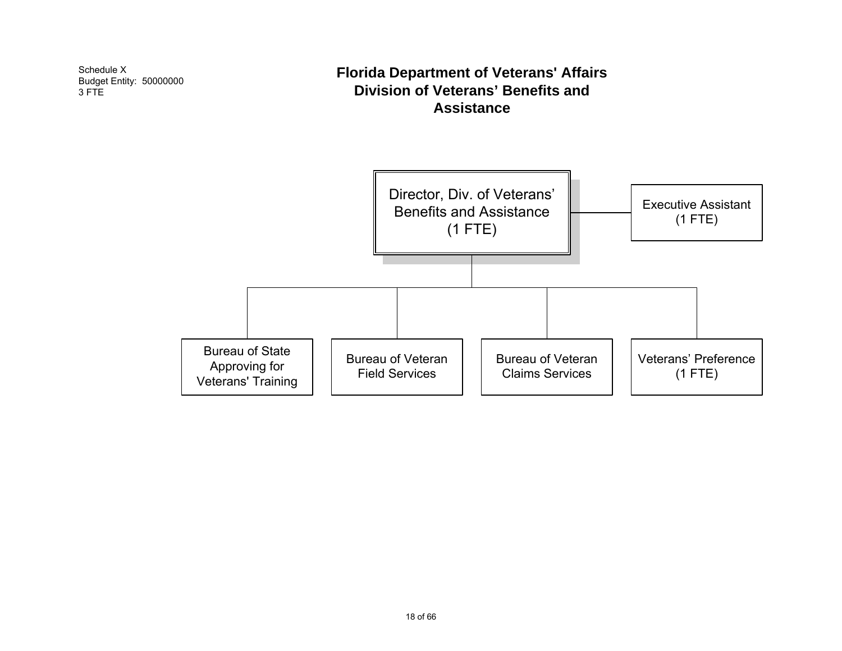

## **Florida Department of Veterans' Affairs Division of Veterans' Benefits and Assistance**

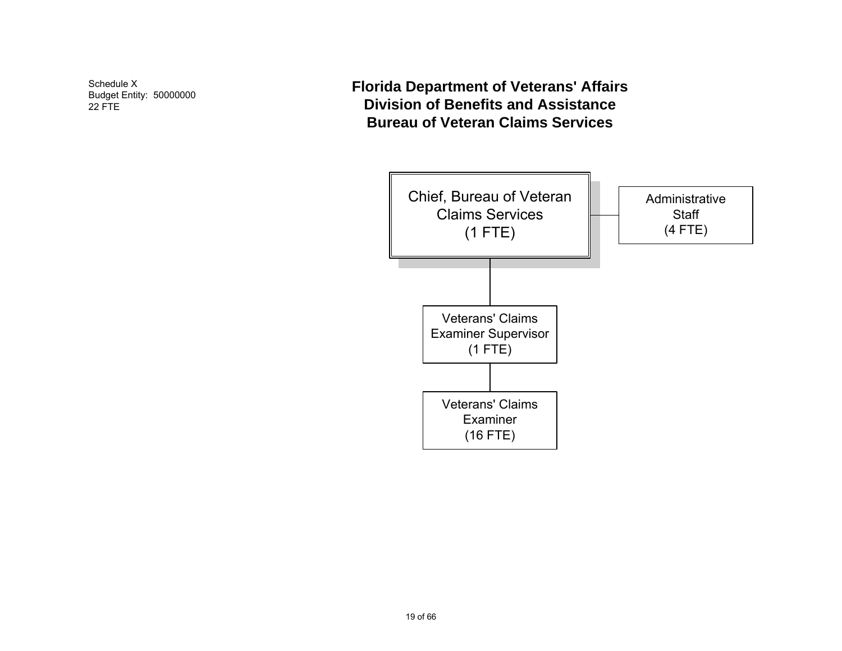Schedule X Budget Entity: 50000000 22 FTE

**Florida Department of Veterans' Affairs Division of Benefits and Assistance Bureau of Veteran Claims Services**

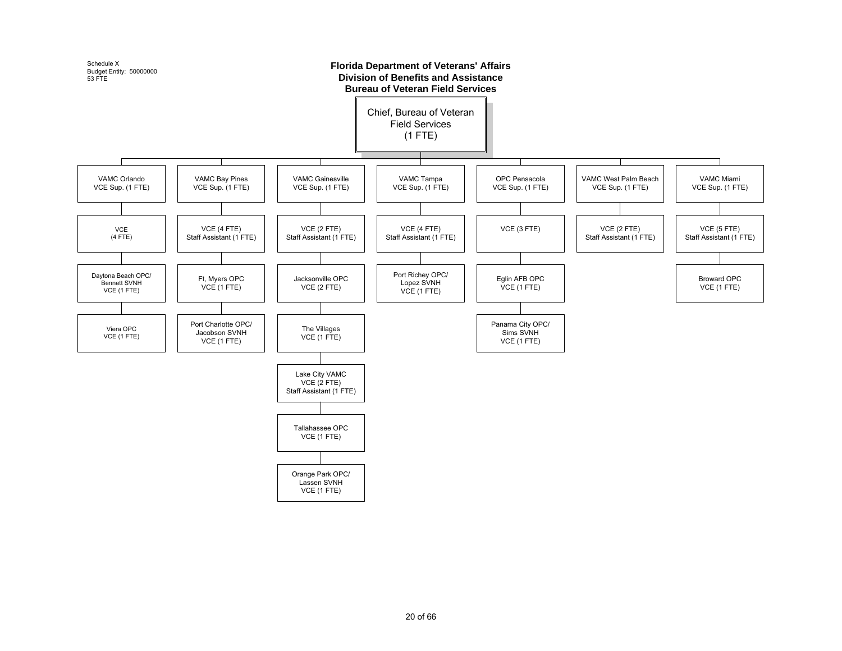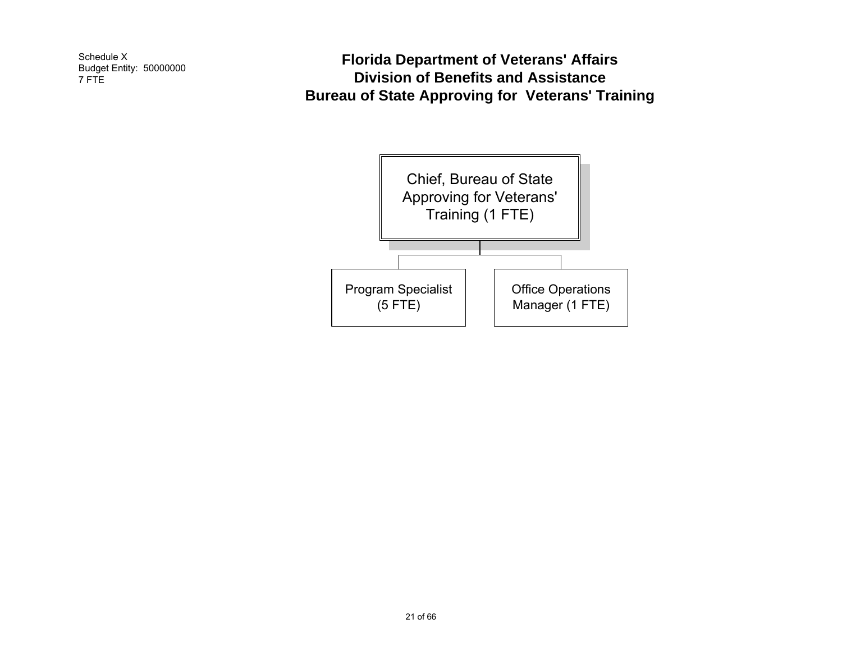Schedule X Budget Entity: 50000000 7 FTE

**Florida Department of Veterans' Affairs Division of Benefits and Assistance Bureau of State Approving for Veterans' Training**

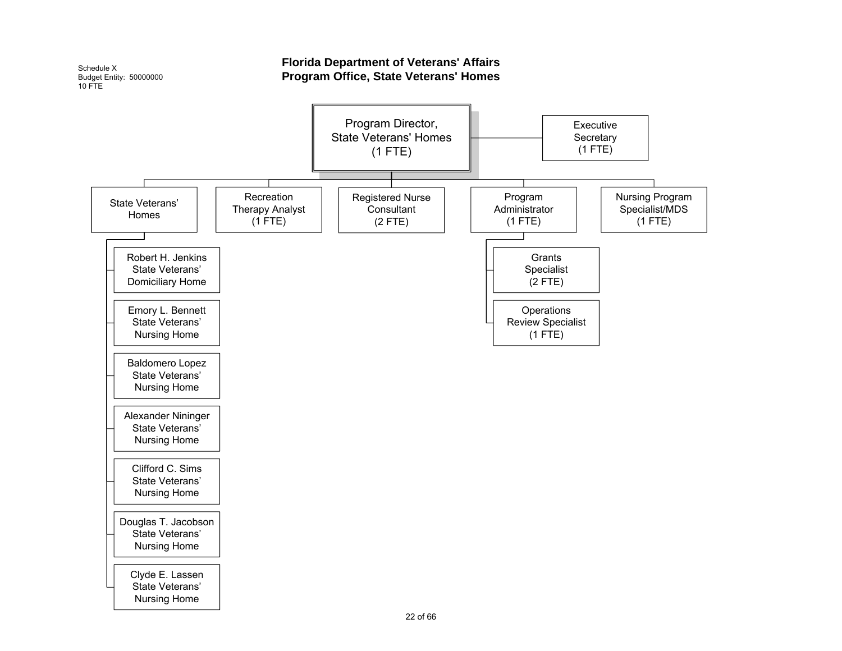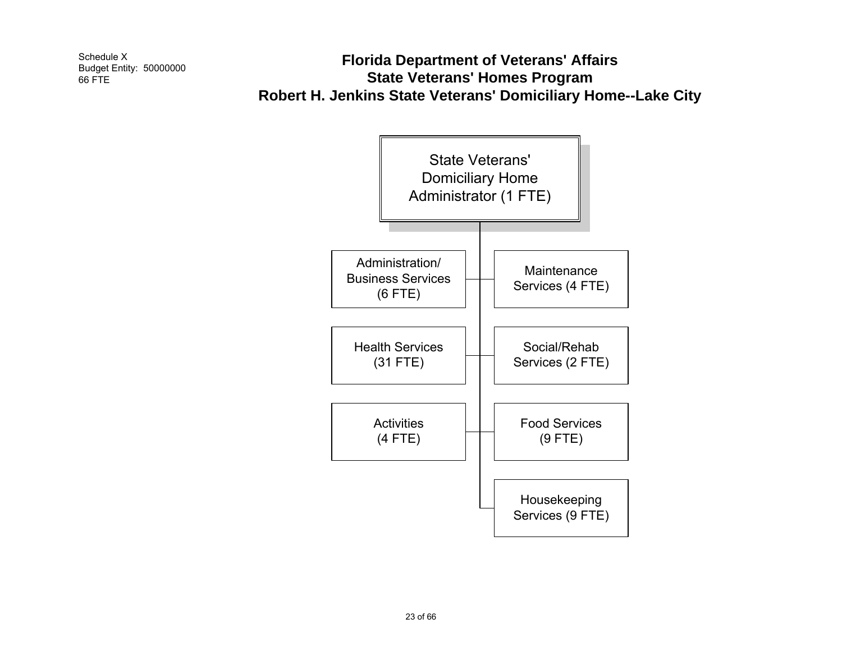Schedule X Budget Entity: 50000000 66 FTE

## **Florida Department of Veterans' Affairs State Veterans' Homes Program Robert H. Jenkins State Veterans' Domiciliary Home--Lake City**

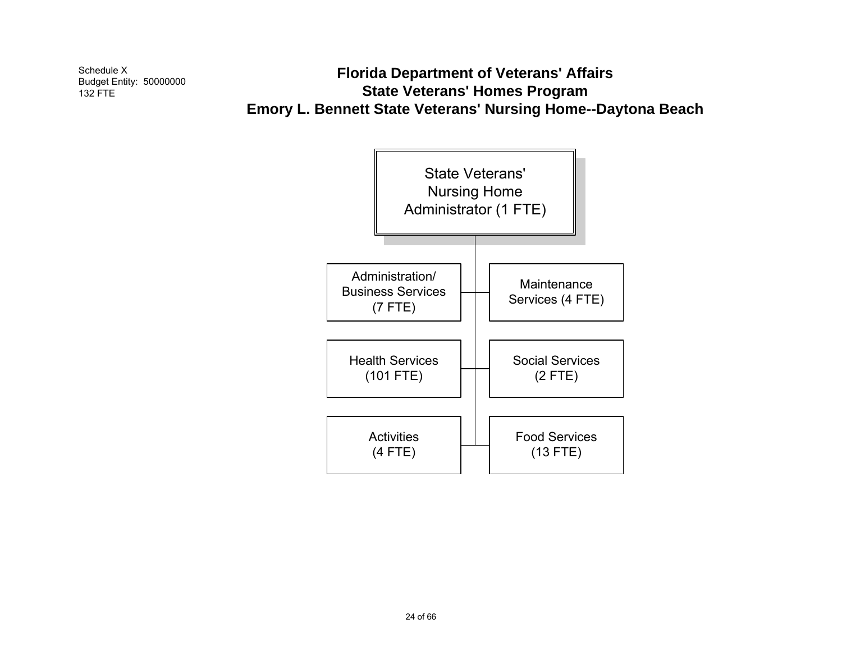Schedule X Budget Entity: 50000000 132 FTE

# **Florida Department of Veterans' Affairs State Veterans' Homes Program Emory L. Bennett State Veterans' Nursing Home--Daytona Beach**

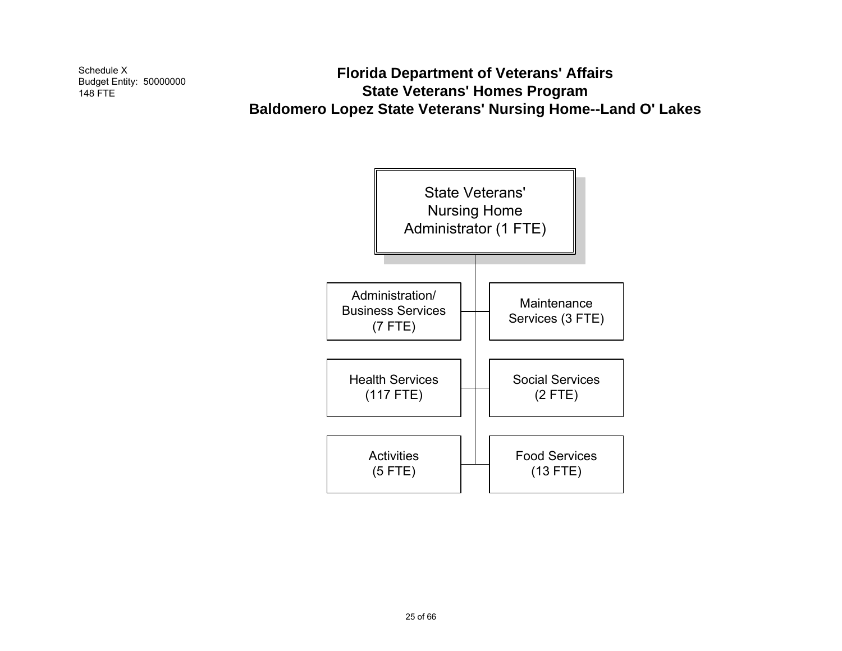Schedule X Budget Entity: 50000000 148 FTE

## **Florida Department of Veterans' Affairs State Veterans' Homes Program Baldomero Lopez State Veterans' Nursing Home--Land O' Lakes**

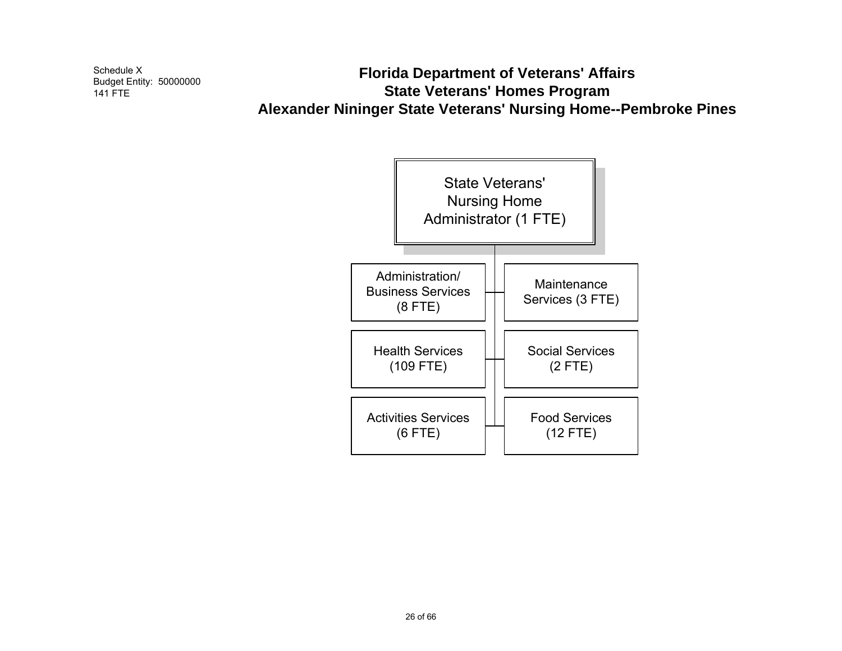Schedule X Budget Entity: 50000000 141 FTE

## **Florida Department of Veterans' Affairs State Veterans' Homes Program Alexander Nininger State Veterans' Nursing Home--Pembroke Pines**

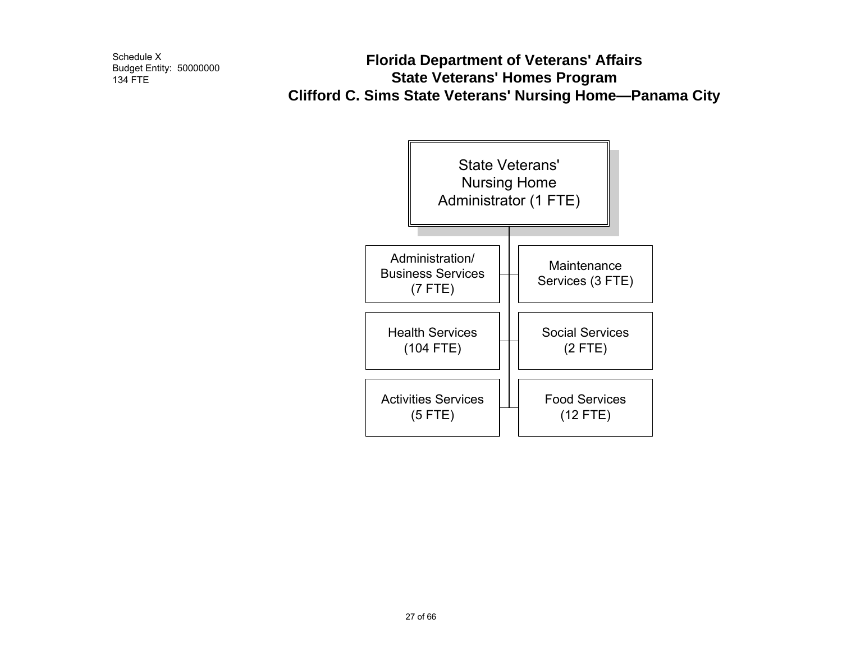Schedule X Budget Entity: 50000000 134 FTE

## **Florida Department of Veterans' Affairs State Veterans' Homes Program Clifford C. Sims State Veterans' Nursing Home—Panama City**

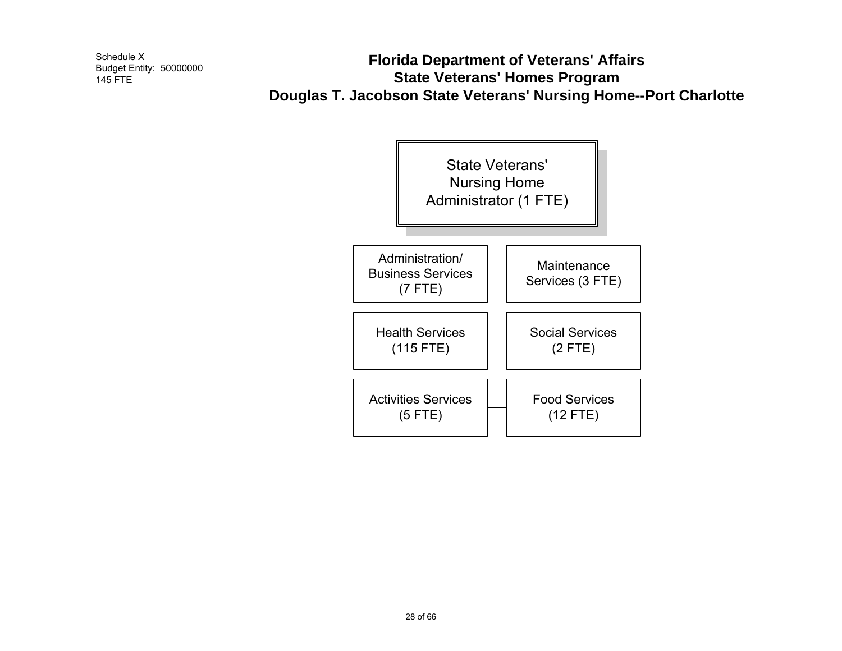Schedule X Budget Entity: 50000000 145 FTE

## **Florida Department of Veterans' Affairs State Veterans' Homes Program Douglas T. Jacobson State Veterans' Nursing Home--Port Charlotte**

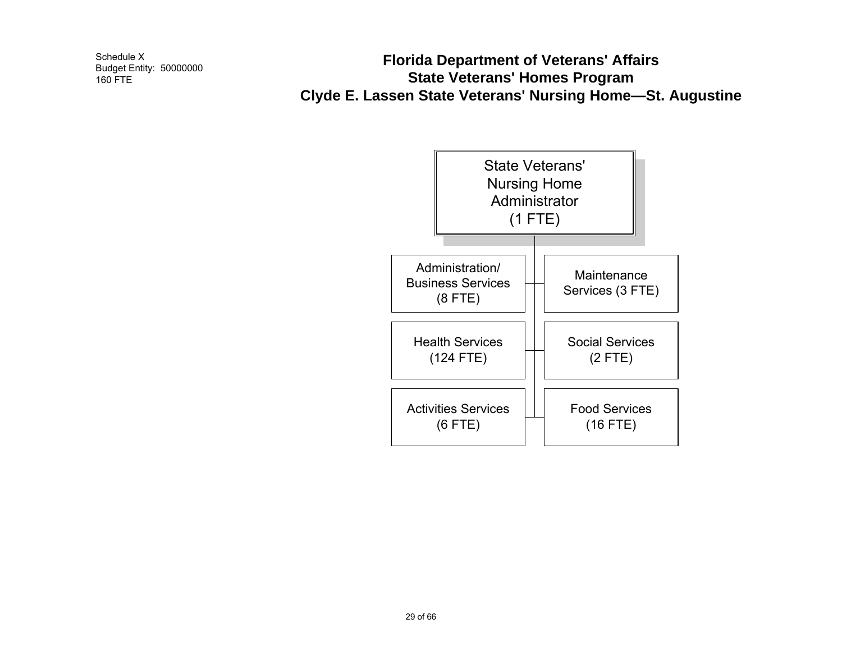Schedule X Budget Entity: 50000000 160 FTE

## **Florida Department of Veterans' Affairs State Veterans' Homes Program Clyde E. Lassen State Veterans' Nursing Home—St. Augustine**

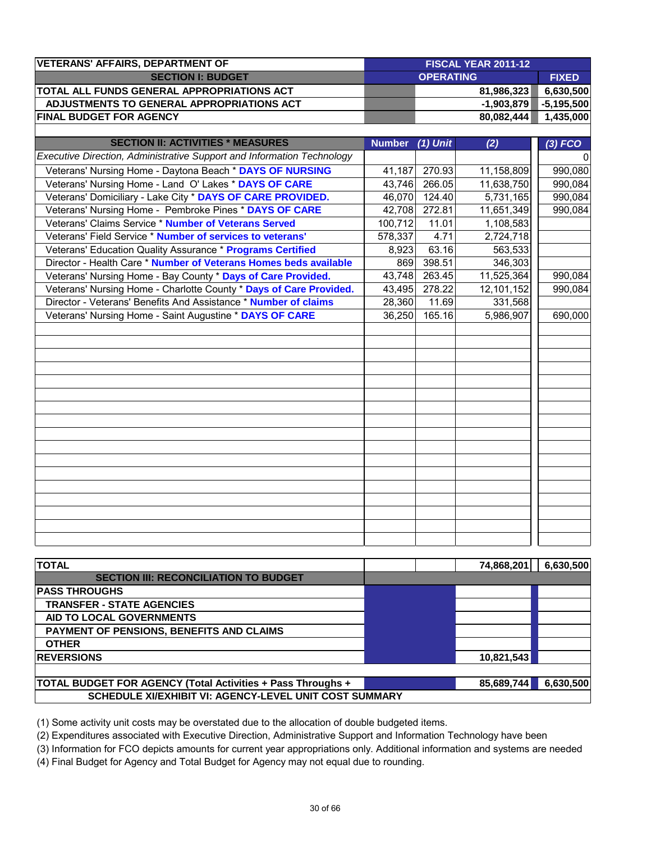| <b>VETERANS' AFFAIRS, DEPARTMENT OF</b>                                | <b>FISCAL YEAR 2011-12</b> |                  |            |              |  |
|------------------------------------------------------------------------|----------------------------|------------------|------------|--------------|--|
| <b>SECTION I: BUDGET</b>                                               |                            | <b>OPERATING</b> |            | <b>FIXED</b> |  |
| TOTAL ALL FUNDS GENERAL APPROPRIATIONS ACT                             |                            |                  | 81,986,323 | 6,630,500    |  |
| ADJUSTMENTS TO GENERAL APPROPRIATIONS ACT                              |                            | $-1,903,879$     |            |              |  |
| <b>FINAL BUDGET FOR AGENCY</b>                                         |                            | 1,435,000        |            |              |  |
|                                                                        |                            |                  |            |              |  |
| <b>SECTION II: ACTIVITIES * MEASURES</b>                               | <b>Number</b>              | $(1)$ Unit       | (2)        | $(3)$ FCO    |  |
| Executive Direction, Administrative Support and Information Technology |                            |                  |            | $\Omega$     |  |
| Veterans' Nursing Home - Daytona Beach * DAYS OF NURSING               |                            | 41,187 270.93    | 11,158,809 | 990,080      |  |
| Veterans' Nursing Home - Land O' Lakes * DAYS OF CARE                  |                            | 43,746 266.05    | 11,638,750 | 990,084      |  |
| Veterans' Domiciliary - Lake City * DAYS OF CARE PROVIDED.             |                            | 46,070 124.40    | 5,731,165  | 990,084      |  |
| Veterans' Nursing Home - Pembroke Pines * DAYS OF CARE                 |                            | 42,708 272.81    | 11,651,349 | 990,084      |  |
| Veterans' Claims Service * Number of Veterans Served                   | 100,712                    | 11.01            | 1,108,583  |              |  |
| Veterans' Field Service * Number of services to veterans'              | 578,337                    | 4.71             | 2,724,718  |              |  |
| Veterans' Education Quality Assurance * Programs Certified             | 8,923                      | 63.16            | 563,533    |              |  |
| Director - Health Care * Number of Veterans Homes beds available       | 869                        | 398.51           | 346,303    |              |  |
| Veterans' Nursing Home - Bay County * Days of Care Provided.           | 43,748                     | 263.45           | 11,525,364 | 990,084      |  |
| Veterans' Nursing Home - Charlotte County * Days of Care Provided.     | 43,495                     | 278.22           | 12,101,152 | 990,084      |  |
| Director - Veterans' Benefits And Assistance * Number of claims        | 28,360                     | 11.69            | 331,568    |              |  |
| Veterans' Nursing Home - Saint Augustine * DAYS OF CARE                | 36,250                     | 165.16           | 5,986,907  | 690,000      |  |
|                                                                        |                            |                  |            |              |  |
|                                                                        |                            |                  |            |              |  |
|                                                                        |                            |                  |            |              |  |
|                                                                        |                            |                  |            |              |  |
|                                                                        |                            |                  |            |              |  |
|                                                                        |                            |                  |            |              |  |
|                                                                        |                            |                  |            |              |  |
|                                                                        |                            |                  |            |              |  |
|                                                                        |                            |                  |            |              |  |
|                                                                        |                            |                  |            |              |  |
|                                                                        |                            |                  |            |              |  |
|                                                                        |                            |                  |            |              |  |
|                                                                        |                            |                  |            |              |  |
|                                                                        |                            |                  |            |              |  |
|                                                                        |                            |                  |            |              |  |
|                                                                        |                            |                  |            |              |  |
|                                                                        |                            |                  |            |              |  |
|                                                                        |                            |                  |            |              |  |
|                                                                        |                            |                  |            |              |  |

| <b>ITOTAL</b>                                                      |  | 74,868,201 | 6,630,500 |
|--------------------------------------------------------------------|--|------------|-----------|
| <b>SECTION III: RECONCILIATION TO BUDGET</b>                       |  |            |           |
| <b>IPASS THROUGHS</b>                                              |  |            |           |
| <b>TRANSFER - STATE AGENCIES</b>                                   |  |            |           |
| AID TO LOCAL GOVERNMENTS                                           |  |            |           |
| PAYMENT OF PENSIONS, BENEFITS AND CLAIMS                           |  |            |           |
| <b>OTHER</b>                                                       |  |            |           |
| <b>REVERSIONS</b>                                                  |  | 10,821,543 |           |
|                                                                    |  |            |           |
| <b>TOTAL BUDGET FOR AGENCY (Total Activities + Pass Throughs +</b> |  | 85,689,744 | 6,630,500 |
| SCHEDULE XI/EXHIBIT VI: AGENCY-LEVEL UNIT COST SUMMARY             |  |            |           |

(1) Some activity unit costs may be overstated due to the allocation of double budgeted items.

(2) Expenditures associated with Executive Direction, Administrative Support and Information Technology have been

(3) Information for FCO depicts amounts for current year appropriations only. Additional information and systems are needed

(4) Final Budget for Agency and Total Budget for Agency may not equal due to rounding.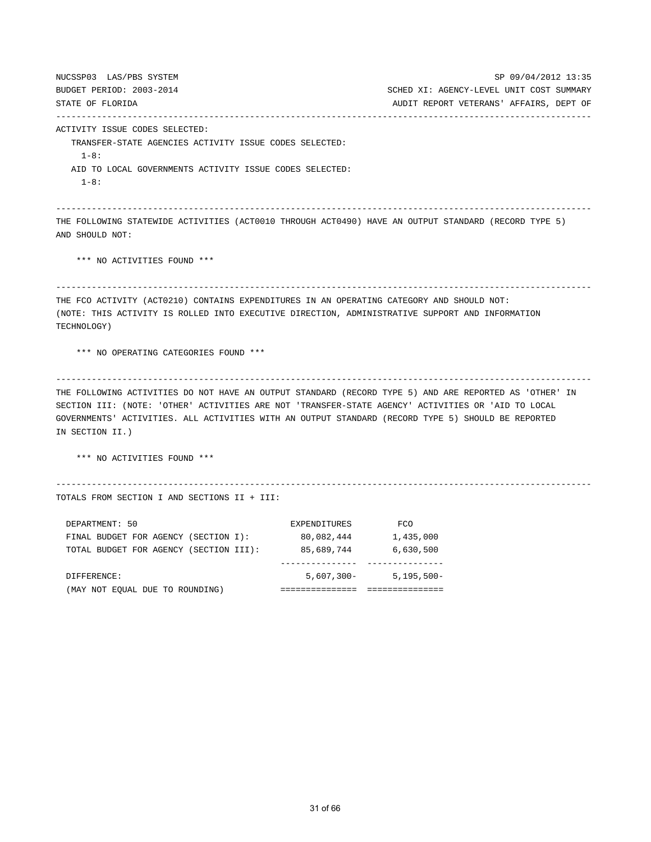NUCSSP03 LAS/PBS SYSTEM SP 09/04/2012 13:35 BUDGET PERIOD: 2003-2014 SCHED XI: AGENCY-LEVEL UNIT COST SUMMARY STATE OF FLORIDA AUDIT REPORT VETERANS' AFFAIRS, DEPT OF --------------------------------------------------------------------------------------------------------- ACTIVITY ISSUE CODES SELECTED: TRANSFER-STATE AGENCIES ACTIVITY ISSUE CODES SELECTED:  $1 - 8:$  AID TO LOCAL GOVERNMENTS ACTIVITY ISSUE CODES SELECTED: 1-8: --------------------------------------------------------------------------------------------------------- THE FOLLOWING STATEWIDE ACTIVITIES (ACT0010 THROUGH ACT0490) HAVE AN OUTPUT STANDARD (RECORD TYPE 5) AND SHOULD NOT: \*\*\* NO ACTIVITIES FOUND \*\*\* --------------------------------------------------------------------------------------------------------- THE FCO ACTIVITY (ACT0210) CONTAINS EXPENDITURES IN AN OPERATING CATEGORY AND SHOULD NOT: (NOTE: THIS ACTIVITY IS ROLLED INTO EXECUTIVE DIRECTION, ADMINISTRATIVE SUPPORT AND INFORMATION TECHNOLOGY) \*\*\* NO OPERATING CATEGORIES FOUND \*\*\* --------------------------------------------------------------------------------------------------------- THE FOLLOWING ACTIVITIES DO NOT HAVE AN OUTPUT STANDARD (RECORD TYPE 5) AND ARE REPORTED AS 'OTHER' IN SECTION III: (NOTE: 'OTHER' ACTIVITIES ARE NOT 'TRANSFER-STATE AGENCY' ACTIVITIES OR 'AID TO LOCAL GOVERNMENTS' ACTIVITIES. ALL ACTIVITIES WITH AN OUTPUT STANDARD (RECORD TYPE 5) SHOULD BE REPORTED IN SECTION II.) \*\*\* NO ACTIVITIES FOUND \*\*\* --------------------------------------------------------------------------------------------------------- TOTALS FROM SECTION I AND SECTIONS II + III: DEPARTMENT: 50 EXPENDITURES FCO FINAL BUDGET FOR AGENCY (SECTION I): 80,082,444 1,435,000 TOTAL BUDGET FOR AGENCY (SECTION III): 85,689,744 6,630,500 --------------- --------------- DIFFERENCE: 5,607,300- 5,195,500- (MAY NOT EQUAL DUE TO ROUNDING) =============== ===============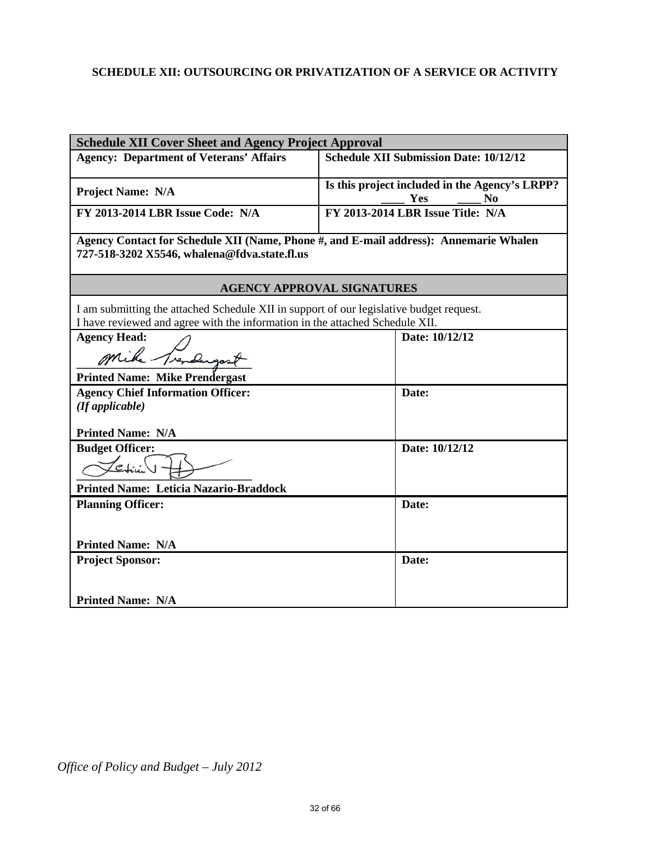### **SCHEDULE XII: OUTSOURCING OR PRIVATIZATION OF A SERVICE OR ACTIVITY**

| <b>Schedule XII Cover Sheet and Agency Project Approval</b>                                                                                                             |                                                                         |
|-------------------------------------------------------------------------------------------------------------------------------------------------------------------------|-------------------------------------------------------------------------|
| <b>Agency: Department of Veterans' Affairs</b>                                                                                                                          | <b>Schedule XII Submission Date: 10/12/12</b>                           |
| <b>Project Name: N/A</b>                                                                                                                                                | Is this project included in the Agency's LRPP?<br>Yes<br>N <sub>0</sub> |
| FY 2013-2014 LBR Issue Code: N/A                                                                                                                                        | FY 2013-2014 LBR Issue Title: N/A                                       |
| Agency Contact for Schedule XII (Name, Phone #, and E-mail address): Annemarie Whalen<br>727-518-3202 X5546, whalena@fdva.state.fl.us                                   |                                                                         |
|                                                                                                                                                                         | <b>AGENCY APPROVAL SIGNATURES</b>                                       |
| I am submitting the attached Schedule XII in support of our legislative budget request.<br>I have reviewed and agree with the information in the attached Schedule XII. |                                                                         |
| <b>Agency Head:</b>                                                                                                                                                     | Date: 10/12/12                                                          |
| mike Trende                                                                                                                                                             |                                                                         |
| <b>Printed Name: Mike Prendergast</b>                                                                                                                                   |                                                                         |
| <b>Agency Chief Information Officer:</b><br>(If applicable)                                                                                                             | Date:                                                                   |
| <b>Printed Name: N/A</b>                                                                                                                                                |                                                                         |
| <b>Budget Officer:</b>                                                                                                                                                  | Date: 10/12/12                                                          |
| <b>Printed Name: Leticia Nazario-Braddock</b>                                                                                                                           |                                                                         |
| <b>Planning Officer:</b>                                                                                                                                                | Date:                                                                   |
| <b>Printed Name: N/A</b>                                                                                                                                                |                                                                         |
| <b>Project Sponsor:</b>                                                                                                                                                 | Date:                                                                   |
| <b>Printed Name: N/A</b>                                                                                                                                                |                                                                         |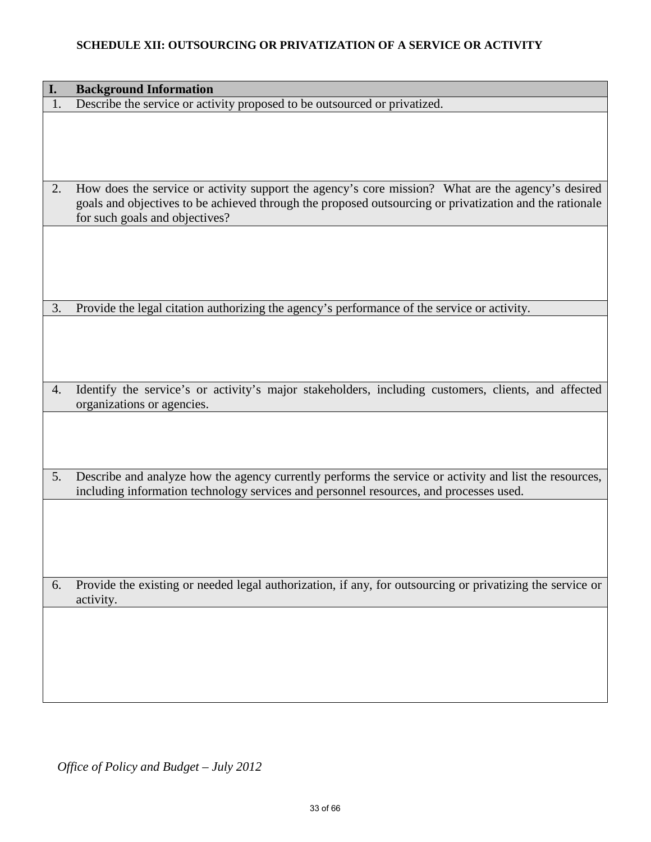### **SCHEDULE XII: OUTSOURCING OR PRIVATIZATION OF A SERVICE OR ACTIVITY**

| I. | <b>Background Information</b>                                                                                                                                                                                                                  |
|----|------------------------------------------------------------------------------------------------------------------------------------------------------------------------------------------------------------------------------------------------|
| 1. | Describe the service or activity proposed to be outsourced or privatized.                                                                                                                                                                      |
|    |                                                                                                                                                                                                                                                |
| 2. | How does the service or activity support the agency's core mission? What are the agency's desired<br>goals and objectives to be achieved through the proposed outsourcing or privatization and the rationale<br>for such goals and objectives? |
|    |                                                                                                                                                                                                                                                |
| 3. | Provide the legal citation authorizing the agency's performance of the service or activity.                                                                                                                                                    |
|    |                                                                                                                                                                                                                                                |
| 4. | Identify the service's or activity's major stakeholders, including customers, clients, and affected                                                                                                                                            |
|    | organizations or agencies.                                                                                                                                                                                                                     |
| 5. | Describe and analyze how the agency currently performs the service or activity and list the resources,<br>including information technology services and personnel resources, and processes used.                                               |
|    |                                                                                                                                                                                                                                                |
| 6. | Provide the existing or needed legal authorization, if any, for outsourcing or privatizing the service or<br>activity.                                                                                                                         |
|    |                                                                                                                                                                                                                                                |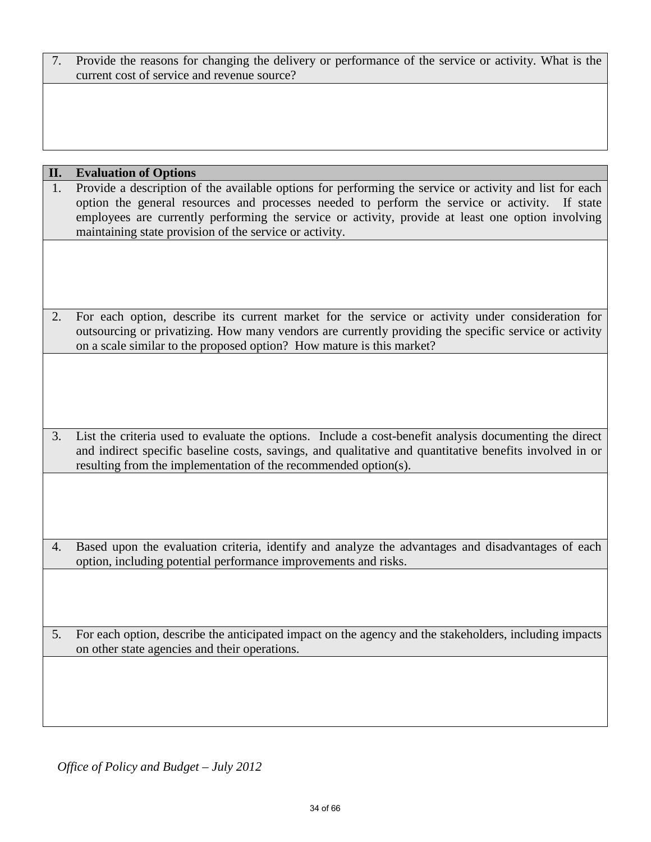7. Provide the reasons for changing the delivery or performance of the service or activity. What is the current cost of service and revenue source?

| II. | <b>Evaluation of Options</b>                                                                                                                                                                                                                                                                                                                                              |
|-----|---------------------------------------------------------------------------------------------------------------------------------------------------------------------------------------------------------------------------------------------------------------------------------------------------------------------------------------------------------------------------|
| 1.  | Provide a description of the available options for performing the service or activity and list for each<br>option the general resources and processes needed to perform the service or activity. If state<br>employees are currently performing the service or activity, provide at least one option involving<br>maintaining state provision of the service or activity. |
|     |                                                                                                                                                                                                                                                                                                                                                                           |
| 2.  | For each option, describe its current market for the service or activity under consideration for<br>outsourcing or privatizing. How many vendors are currently providing the specific service or activity<br>on a scale similar to the proposed option? How mature is this market?                                                                                        |
|     |                                                                                                                                                                                                                                                                                                                                                                           |
| 3.  | List the criteria used to evaluate the options. Include a cost-benefit analysis documenting the direct<br>and indirect specific baseline costs, savings, and qualitative and quantitative benefits involved in or<br>resulting from the implementation of the recommended option(s).                                                                                      |
|     |                                                                                                                                                                                                                                                                                                                                                                           |
| 4.  | Based upon the evaluation criteria, identify and analyze the advantages and disadvantages of each<br>option, including potential performance improvements and risks.                                                                                                                                                                                                      |
|     |                                                                                                                                                                                                                                                                                                                                                                           |
|     | For each option, describe the anticipated impact on the agency and the stakeholders, including impacts<br>on other state agencies and their operations.                                                                                                                                                                                                                   |
|     |                                                                                                                                                                                                                                                                                                                                                                           |
|     |                                                                                                                                                                                                                                                                                                                                                                           |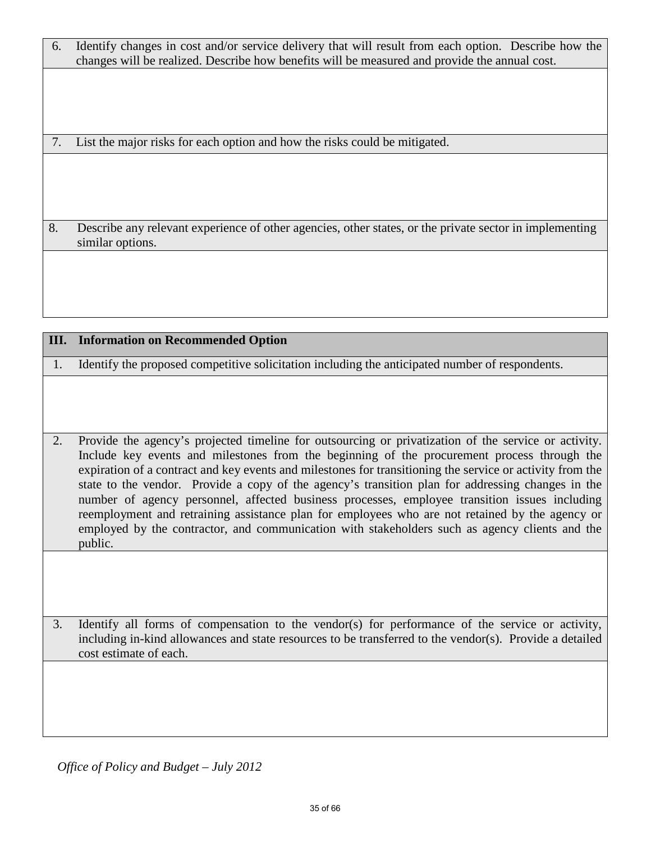6. Identify changes in cost and/or service delivery that will result from each option. Describe how the changes will be realized. Describe how benefits will be measured and provide the annual cost.

7. List the major risks for each option and how the risks could be mitigated.

8. Describe any relevant experience of other agencies, other states, or the private sector in implementing similar options.

|    | <b>III.</b> Information on Recommended Option                                                                                                                                                                                                                                                                                                                                                                                                                                                                                                                                                                                                                                                                                          |
|----|----------------------------------------------------------------------------------------------------------------------------------------------------------------------------------------------------------------------------------------------------------------------------------------------------------------------------------------------------------------------------------------------------------------------------------------------------------------------------------------------------------------------------------------------------------------------------------------------------------------------------------------------------------------------------------------------------------------------------------------|
| 1. | Identify the proposed competitive solicitation including the anticipated number of respondents.                                                                                                                                                                                                                                                                                                                                                                                                                                                                                                                                                                                                                                        |
|    |                                                                                                                                                                                                                                                                                                                                                                                                                                                                                                                                                                                                                                                                                                                                        |
| 2. | Provide the agency's projected timeline for outsourcing or privatization of the service or activity.<br>Include key events and milestones from the beginning of the procurement process through the<br>expiration of a contract and key events and milestones for transitioning the service or activity from the<br>state to the vendor. Provide a copy of the agency's transition plan for addressing changes in the<br>number of agency personnel, affected business processes, employee transition issues including<br>reemployment and retraining assistance plan for employees who are not retained by the agency or<br>employed by the contractor, and communication with stakeholders such as agency clients and the<br>public. |
|    |                                                                                                                                                                                                                                                                                                                                                                                                                                                                                                                                                                                                                                                                                                                                        |
| 3. | Identify all forms of compensation to the vendor(s) for performance of the service or activity,<br>including in-kind allowances and state resources to be transferred to the vendor(s). Provide a detailed<br>cost estimate of each.                                                                                                                                                                                                                                                                                                                                                                                                                                                                                                   |
|    |                                                                                                                                                                                                                                                                                                                                                                                                                                                                                                                                                                                                                                                                                                                                        |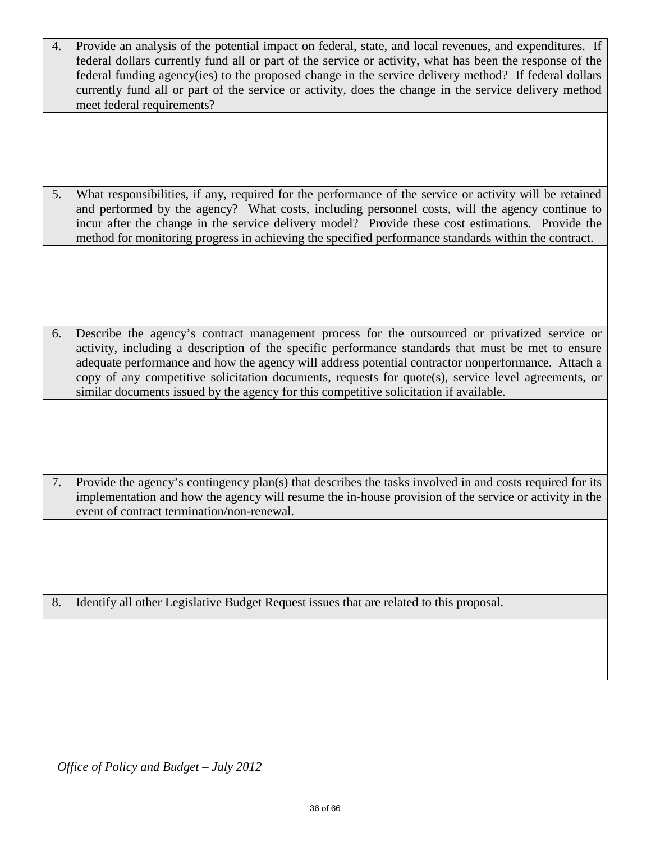4. Provide an analysis of the potential impact on federal, state, and local revenues, and expenditures. If federal dollars currently fund all or part of the service or activity, what has been the response of the federal funding agency(ies) to the proposed change in the service delivery method? If federal dollars currently fund all or part of the service or activity, does the change in the service delivery method meet federal requirements?

5. What responsibilities, if any, required for the performance of the service or activity will be retained and performed by the agency? What costs, including personnel costs, will the agency continue to incur after the change in the service delivery model? Provide these cost estimations. Provide the method for monitoring progress in achieving the specified performance standards within the contract.

6. Describe the agency's contract management process for the outsourced or privatized service or activity, including a description of the specific performance standards that must be met to ensure adequate performance and how the agency will address potential contractor nonperformance. Attach a copy of any competitive solicitation documents, requests for quote(s), service level agreements, or similar documents issued by the agency for this competitive solicitation if available.

7. Provide the agency's contingency plan(s) that describes the tasks involved in and costs required for its implementation and how the agency will resume the in-house provision of the service or activity in the event of contract termination/non-renewal.

8. Identify all other Legislative Budget Request issues that are related to this proposal.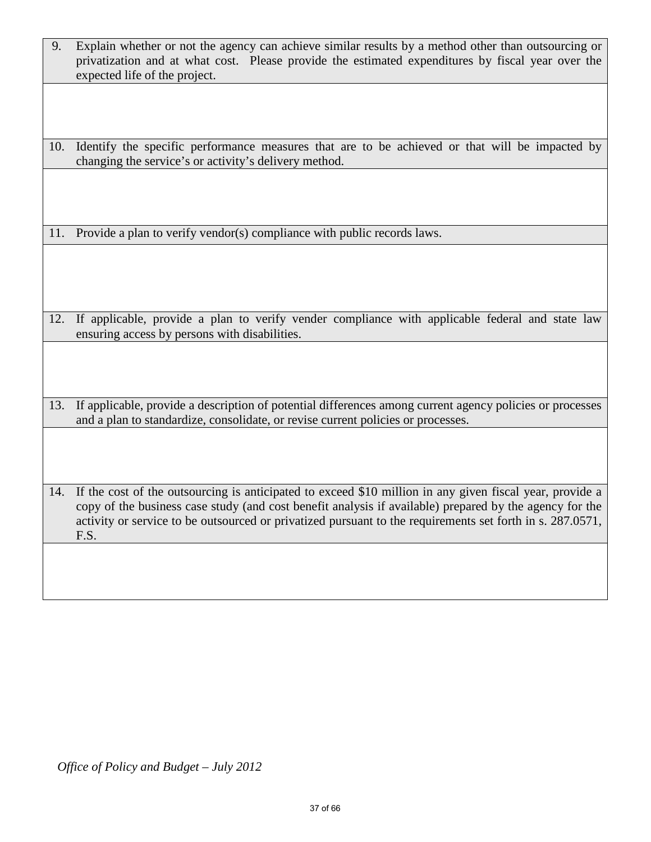- 9. Explain whether or not the agency can achieve similar results by a method other than outsourcing or privatization and at what cost. Please provide the estimated expenditures by fiscal year over the expected life of the project.
- 10. Identify the specific performance measures that are to be achieved or that will be impacted by changing the service's or activity's delivery method.

11. Provide a plan to verify vendor(s) compliance with public records laws.

12. If applicable, provide a plan to verify vender compliance with applicable federal and state law ensuring access by persons with disabilities.

13. If applicable, provide a description of potential differences among current agency policies or processes and a plan to standardize, consolidate, or revise current policies or processes.

14. If the cost of the outsourcing is anticipated to exceed \$10 million in any given fiscal year, provide a copy of the business case study (and cost benefit analysis if available) prepared by the agency for the activity or service to be outsourced or privatized pursuant to the requirements set forth in s. 287.0571, F.S.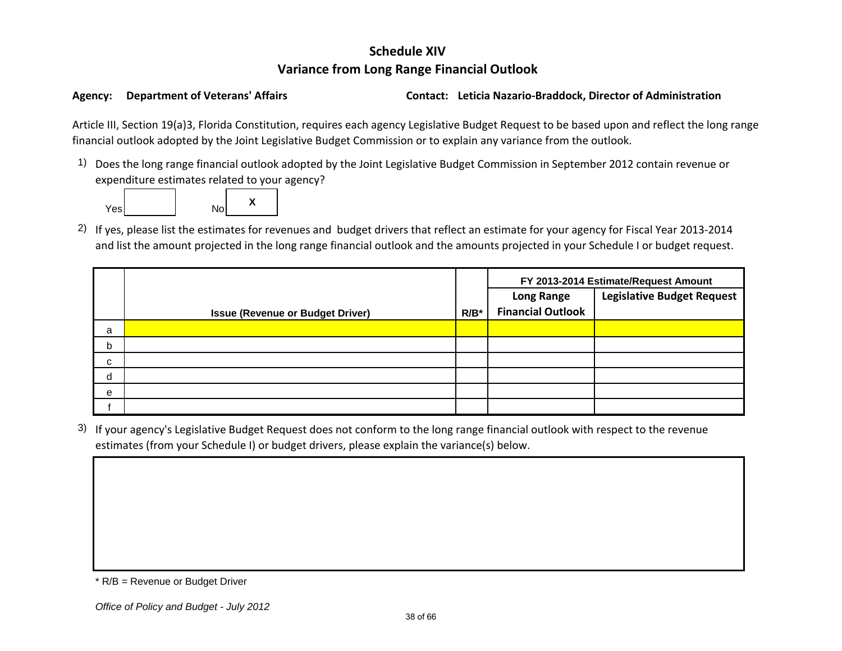## **Schedule XIV Variance from Long Range Financial Outlook**

**Agency: Department of Veterans' Affairs Contact: Leticia Nazario-Braddock, Director of Administration**

Article III, Section 19(a)3, Florida Constitution, requires each agency Legislative Budget Request to be based upon and reflect the long range financial outlook adopted by the Joint Legislative Budget Commission or to explain any variance from the outlook.

1) Does the long range financial outlook adopted by the Joint Legislative Budget Commission in September 2012 contain revenue or expenditure estimates related to your agency?



2) If yes, please list the estimates for revenues and budget drivers that reflect an estimate for your agency for Fiscal Year 2013-2014 and list the amount projected in the long range financial outlook and the amounts projected in your Schedule I or budget request.

|             |                                         |         | FY 2013-2014 Estimate/Request Amount |                                   |  |
|-------------|-----------------------------------------|---------|--------------------------------------|-----------------------------------|--|
|             |                                         |         | <b>Long Range</b>                    | <b>Legislative Budget Request</b> |  |
|             | <b>Issue (Revenue or Budget Driver)</b> | $R/B^*$ | <b>Financial Outlook</b>             |                                   |  |
| a           |                                         |         |                                      |                                   |  |
| b           |                                         |         |                                      |                                   |  |
| $\mathbf C$ |                                         |         |                                      |                                   |  |
| d           |                                         |         |                                      |                                   |  |
| e           |                                         |         |                                      |                                   |  |
|             |                                         |         |                                      |                                   |  |

3) If your agency's Legislative Budget Request does not conform to the long range financial outlook with respect to the revenue estimates (from your Schedule I) or budget drivers, please explain the variance(s) below.

<sup>\*</sup> R/B = Revenue or Budget Driver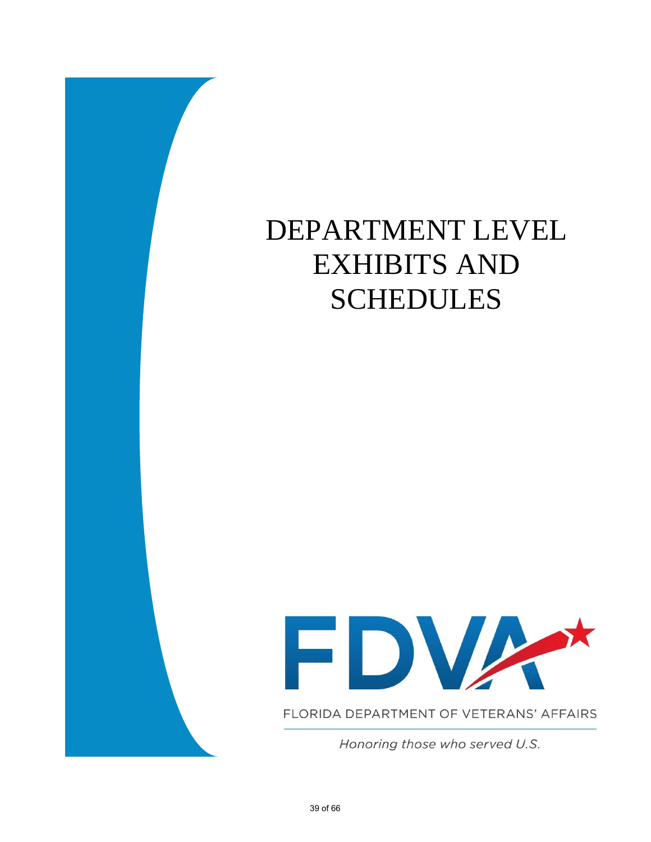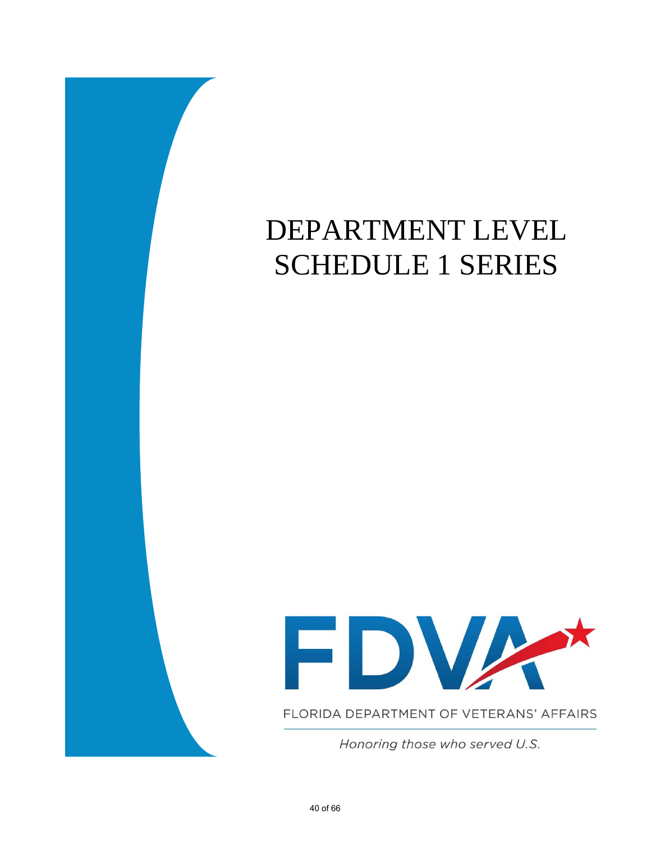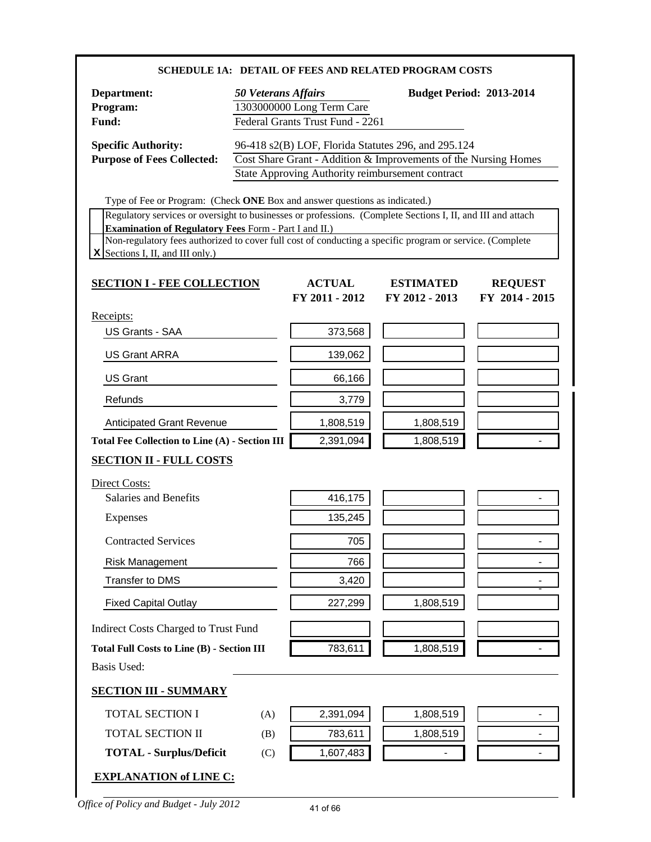|                                                                                                                                                                                                                                                                                                                                                                                                             |                            |                                                               | <b>SCHEDULE 1A: DETAIL OF FEES AND RELATED PROGRAM COSTS</b>                                                                                                               |                                  |
|-------------------------------------------------------------------------------------------------------------------------------------------------------------------------------------------------------------------------------------------------------------------------------------------------------------------------------------------------------------------------------------------------------------|----------------------------|---------------------------------------------------------------|----------------------------------------------------------------------------------------------------------------------------------------------------------------------------|----------------------------------|
| Department:<br>Program:<br>Fund:                                                                                                                                                                                                                                                                                                                                                                            | <b>50 Veterans Affairs</b> | 1303000000 Long Term Care<br>Federal Grants Trust Fund - 2261 |                                                                                                                                                                            | <b>Budget Period: 2013-2014</b>  |
| <b>Specific Authority:</b><br><b>Purpose of Fees Collected:</b>                                                                                                                                                                                                                                                                                                                                             |                            |                                                               | 96-418 s2(B) LOF, Florida Statutes 296, and 295.124<br>Cost Share Grant - Addition & Improvements of the Nursing Homes<br>State Approving Authority reimbursement contract |                                  |
| Type of Fee or Program: (Check ONE Box and answer questions as indicated.)<br>Regulatory services or oversight to businesses or professions. (Complete Sections I, II, and III and attach<br><b>Examination of Regulatory Fees Form - Part I and II.)</b><br>Non-regulatory fees authorized to cover full cost of conducting a specific program or service. (Complete<br>$X$ Sections I, II, and III only.) |                            |                                                               |                                                                                                                                                                            |                                  |
| <b>SECTION I - FEE COLLECTION</b>                                                                                                                                                                                                                                                                                                                                                                           |                            | <b>ACTUAL</b><br>FY 2011 - 2012                               | <b>ESTIMATED</b><br>FY 2012 - 2013                                                                                                                                         | <b>REQUEST</b><br>FY 2014 - 2015 |
| Receipts:<br><b>US Grants - SAA</b>                                                                                                                                                                                                                                                                                                                                                                         |                            | 373,568                                                       |                                                                                                                                                                            |                                  |
| <b>US Grant ARRA</b>                                                                                                                                                                                                                                                                                                                                                                                        |                            | 139,062                                                       |                                                                                                                                                                            |                                  |
| <b>US Grant</b>                                                                                                                                                                                                                                                                                                                                                                                             |                            | 66,166                                                        |                                                                                                                                                                            |                                  |
| Refunds                                                                                                                                                                                                                                                                                                                                                                                                     |                            | 3,779                                                         |                                                                                                                                                                            |                                  |
| <b>Anticipated Grant Revenue</b>                                                                                                                                                                                                                                                                                                                                                                            |                            | 1,808,519                                                     | 1,808,519                                                                                                                                                                  |                                  |
| <b>Total Fee Collection to Line (A) - Section III</b>                                                                                                                                                                                                                                                                                                                                                       |                            | 2,391,094                                                     | 1,808,519                                                                                                                                                                  |                                  |
| <b>SECTION II - FULL COSTS</b>                                                                                                                                                                                                                                                                                                                                                                              |                            |                                                               |                                                                                                                                                                            |                                  |
| Direct Costs:<br>Salaries and Benefits                                                                                                                                                                                                                                                                                                                                                                      |                            |                                                               |                                                                                                                                                                            |                                  |
| <b>Expenses</b>                                                                                                                                                                                                                                                                                                                                                                                             |                            | 416,175<br>135,245                                            |                                                                                                                                                                            |                                  |
|                                                                                                                                                                                                                                                                                                                                                                                                             |                            |                                                               |                                                                                                                                                                            |                                  |
| <b>Contracted Services</b>                                                                                                                                                                                                                                                                                                                                                                                  |                            | 705                                                           |                                                                                                                                                                            | $\overline{\phantom{a}}$         |
| <b>Risk Management</b><br>Transfer to DMS                                                                                                                                                                                                                                                                                                                                                                   |                            | 766<br>3,420                                                  |                                                                                                                                                                            | $\blacksquare$<br>$\blacksquare$ |
| <b>Fixed Capital Outlay</b>                                                                                                                                                                                                                                                                                                                                                                                 |                            | 227,299                                                       | 1,808,519                                                                                                                                                                  |                                  |
| Indirect Costs Charged to Trust Fund                                                                                                                                                                                                                                                                                                                                                                        |                            |                                                               |                                                                                                                                                                            |                                  |
| <b>Total Full Costs to Line (B) - Section III</b>                                                                                                                                                                                                                                                                                                                                                           |                            | 783,611                                                       | 1,808,519                                                                                                                                                                  |                                  |
| <b>Basis Used:</b>                                                                                                                                                                                                                                                                                                                                                                                          |                            |                                                               |                                                                                                                                                                            |                                  |
| <b>SECTION III - SUMMARY</b>                                                                                                                                                                                                                                                                                                                                                                                |                            |                                                               |                                                                                                                                                                            |                                  |
| <b>TOTAL SECTION I</b>                                                                                                                                                                                                                                                                                                                                                                                      | (A)                        | 2,391,094                                                     | 1,808,519                                                                                                                                                                  | $\blacksquare$                   |
| <b>TOTAL SECTION II</b>                                                                                                                                                                                                                                                                                                                                                                                     | (B)                        | 783,611                                                       | 1,808,519                                                                                                                                                                  |                                  |
| <b>TOTAL - Surplus/Deficit</b>                                                                                                                                                                                                                                                                                                                                                                              | (C)                        | 1,607,483                                                     |                                                                                                                                                                            |                                  |
| <b>EXPLANATION of LINE C:</b>                                                                                                                                                                                                                                                                                                                                                                               |                            |                                                               |                                                                                                                                                                            |                                  |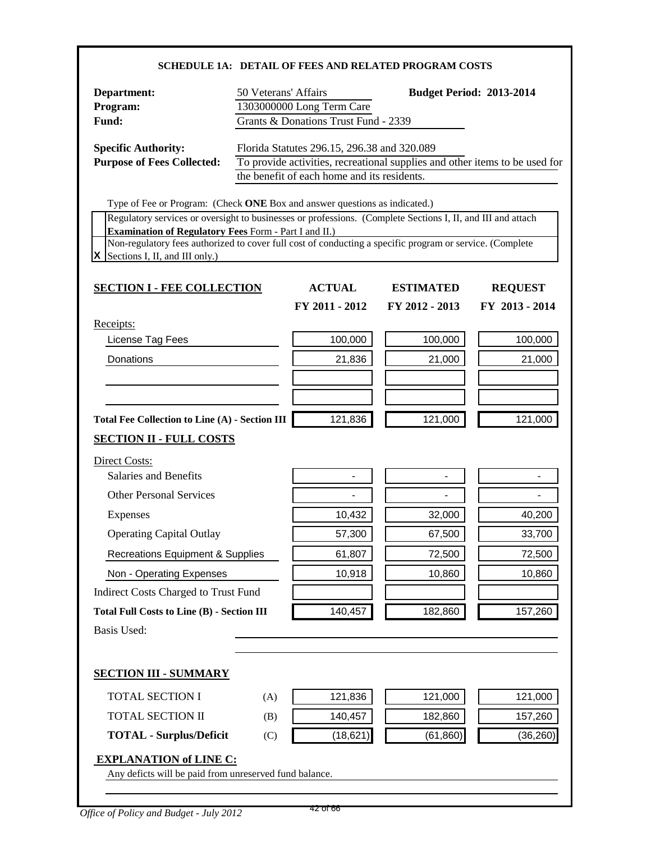#### **SCHEDULE 1A: DETAIL OF FEES AND RELATED PROGRAM COSTS**

| Department:<br>Program:<br>Fund:                                                                                                                                                                                                                                                                                                                                                                            | 50 Veterans' Affairs                                                                                                                                                      | 1303000000 Long Term Care<br>Grants & Donations Trust Fund - 2339 | <b>Budget Period: 2013-2014</b> |                |  |
|-------------------------------------------------------------------------------------------------------------------------------------------------------------------------------------------------------------------------------------------------------------------------------------------------------------------------------------------------------------------------------------------------------------|---------------------------------------------------------------------------------------------------------------------------------------------------------------------------|-------------------------------------------------------------------|---------------------------------|----------------|--|
| <b>Specific Authority:</b><br><b>Purpose of Fees Collected:</b>                                                                                                                                                                                                                                                                                                                                             | Florida Statutes 296.15, 296.38 and 320.089<br>To provide activities, recreational supplies and other items to be used for<br>the benefit of each home and its residents. |                                                                   |                                 |                |  |
| Type of Fee or Program: (Check ONE Box and answer questions as indicated.)<br>Regulatory services or oversight to businesses or professions. (Complete Sections I, II, and III and attach<br><b>Examination of Regulatory Fees Form - Part I and II.)</b><br>Non-regulatory fees authorized to cover full cost of conducting a specific program or service. (Complete<br>$X$ Sections I, II, and III only.) |                                                                                                                                                                           |                                                                   |                                 |                |  |
| <b>SECTION I - FEE COLLECTION</b>                                                                                                                                                                                                                                                                                                                                                                           |                                                                                                                                                                           | <b>ACTUAL</b>                                                     | <b>ESTIMATED</b>                | <b>REQUEST</b> |  |
|                                                                                                                                                                                                                                                                                                                                                                                                             |                                                                                                                                                                           | FY 2011 - 2012                                                    | FY 2012 - 2013                  | FY 2013 - 2014 |  |
| Receipts:<br>License Tag Fees                                                                                                                                                                                                                                                                                                                                                                               |                                                                                                                                                                           | 100,000                                                           | 100,000                         | 100,000        |  |
| Donations                                                                                                                                                                                                                                                                                                                                                                                                   |                                                                                                                                                                           | 21,836                                                            | 21,000                          | 21,000         |  |
|                                                                                                                                                                                                                                                                                                                                                                                                             |                                                                                                                                                                           |                                                                   |                                 |                |  |
|                                                                                                                                                                                                                                                                                                                                                                                                             |                                                                                                                                                                           |                                                                   |                                 |                |  |
| <b>Total Fee Collection to Line (A) - Section III</b>                                                                                                                                                                                                                                                                                                                                                       |                                                                                                                                                                           | 121,836                                                           | 121,000                         | 121,000        |  |
| <b>SECTION II - FULL COSTS</b>                                                                                                                                                                                                                                                                                                                                                                              |                                                                                                                                                                           |                                                                   |                                 |                |  |
| Direct Costs:                                                                                                                                                                                                                                                                                                                                                                                               |                                                                                                                                                                           |                                                                   |                                 |                |  |
| Salaries and Benefits                                                                                                                                                                                                                                                                                                                                                                                       |                                                                                                                                                                           |                                                                   |                                 |                |  |
| <b>Other Personal Services</b>                                                                                                                                                                                                                                                                                                                                                                              |                                                                                                                                                                           |                                                                   | $\overline{\phantom{0}}$        |                |  |
| <b>Expenses</b>                                                                                                                                                                                                                                                                                                                                                                                             |                                                                                                                                                                           | 10,432                                                            | 32,000                          | 40,200         |  |
| <b>Operating Capital Outlay</b>                                                                                                                                                                                                                                                                                                                                                                             |                                                                                                                                                                           | 57,300                                                            | 67,500                          | 33,700         |  |
| <b>Recreations Equipment &amp; Supplies</b>                                                                                                                                                                                                                                                                                                                                                                 |                                                                                                                                                                           | 61,807                                                            | 72,500                          | 72,500         |  |
| Non - Operating Expenses                                                                                                                                                                                                                                                                                                                                                                                    |                                                                                                                                                                           | 10,918                                                            | 10,860                          | 10,860         |  |
| <b>Indirect Costs Charged to Trust Fund</b>                                                                                                                                                                                                                                                                                                                                                                 |                                                                                                                                                                           |                                                                   |                                 |                |  |
| <b>Total Full Costs to Line (B) - Section III</b>                                                                                                                                                                                                                                                                                                                                                           |                                                                                                                                                                           | 140,457                                                           | 182,860                         | 157,260        |  |
| <b>Basis Used:</b>                                                                                                                                                                                                                                                                                                                                                                                          |                                                                                                                                                                           |                                                                   |                                 |                |  |
| <b>SECTION III - SUMMARY</b>                                                                                                                                                                                                                                                                                                                                                                                |                                                                                                                                                                           |                                                                   |                                 |                |  |
| <b>TOTAL SECTION I</b>                                                                                                                                                                                                                                                                                                                                                                                      | (A)                                                                                                                                                                       | 121,836                                                           | 121,000                         | 121,000        |  |
| TOTAL SECTION II                                                                                                                                                                                                                                                                                                                                                                                            | (B)                                                                                                                                                                       | 140,457                                                           | 182,860                         | 157,260        |  |
| <b>TOTAL - Surplus/Deficit</b>                                                                                                                                                                                                                                                                                                                                                                              | (C)                                                                                                                                                                       | (18, 621)                                                         | (61, 860)                       | (36, 260)      |  |
| <b>EXPLANATION of LINE C:</b><br>Any deficts will be paid from unreserved fund balance.                                                                                                                                                                                                                                                                                                                     |                                                                                                                                                                           |                                                                   |                                 |                |  |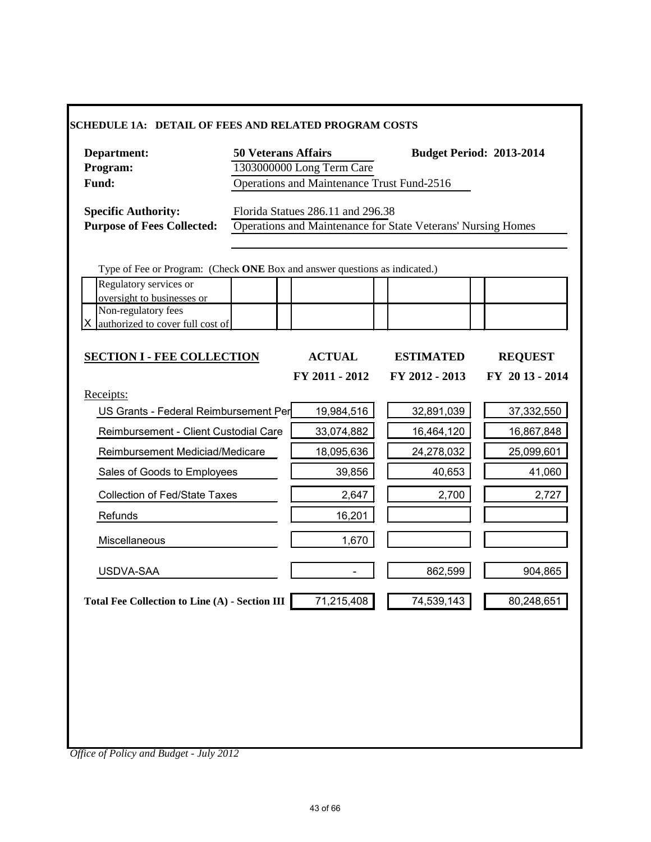| Department:<br>Program:<br>Fund:                                           | <b>50 Veterans Affairs</b> | 1303000000 Long Term Care<br>Operations and Maintenance Trust Fund-2516 |                                                              | <b>Budget Period: 2013-2014</b> |
|----------------------------------------------------------------------------|----------------------------|-------------------------------------------------------------------------|--------------------------------------------------------------|---------------------------------|
| <b>Specific Authority:</b><br><b>Purpose of Fees Collected:</b>            |                            | Florida Statues 286.11 and 296.38                                       | Operations and Maintenance for State Veterans' Nursing Homes |                                 |
| Type of Fee or Program: (Check ONE Box and answer questions as indicated.) |                            |                                                                         |                                                              |                                 |
| Regulatory services or<br>oversight to businesses or                       |                            |                                                                         |                                                              |                                 |
| Non-regulatory fees<br>authorized to cover full cost of                    |                            |                                                                         |                                                              |                                 |
| <b>SECTION I - FEE COLLECTION</b>                                          |                            | <b>ACTUAL</b>                                                           | <b>ESTIMATED</b>                                             | <b>REQUEST</b>                  |
| Receipts:                                                                  |                            | FY 2011 - 2012                                                          | FY 2012 - 2013                                               | FY 2013 - 2014                  |
| US Grants - Federal Reimbursement Per                                      |                            | 19,984,516                                                              | 32,891,039                                                   | 37,332,550                      |
| Reimbursement - Client Custodial Care                                      |                            | 33,074,882                                                              | 16,464,120                                                   | 16,867,848                      |
| Reimbursement Mediciad/Medicare                                            |                            | 18,095,636                                                              | 24,278,032                                                   | 25,099,601                      |
| Sales of Goods to Employees                                                |                            | 39,856                                                                  | 40,653                                                       | 41,060                          |
| <b>Collection of Fed/State Taxes</b>                                       |                            | 2,647                                                                   | 2,700                                                        | 2,727                           |
| Refunds                                                                    |                            | 16,201                                                                  |                                                              |                                 |
| Miscellaneous                                                              |                            | 1,670                                                                   |                                                              |                                 |
| USDVA-SAA                                                                  |                            |                                                                         | 862,599                                                      | 904,865                         |
| Total Fee Collection to Line (A) - Section III                             |                            | 71,215,408                                                              | 74,539,143                                                   | 80,248,651                      |
|                                                                            |                            |                                                                         |                                                              |                                 |
|                                                                            |                            |                                                                         |                                                              |                                 |
|                                                                            |                            |                                                                         |                                                              |                                 |
|                                                                            |                            |                                                                         |                                                              |                                 |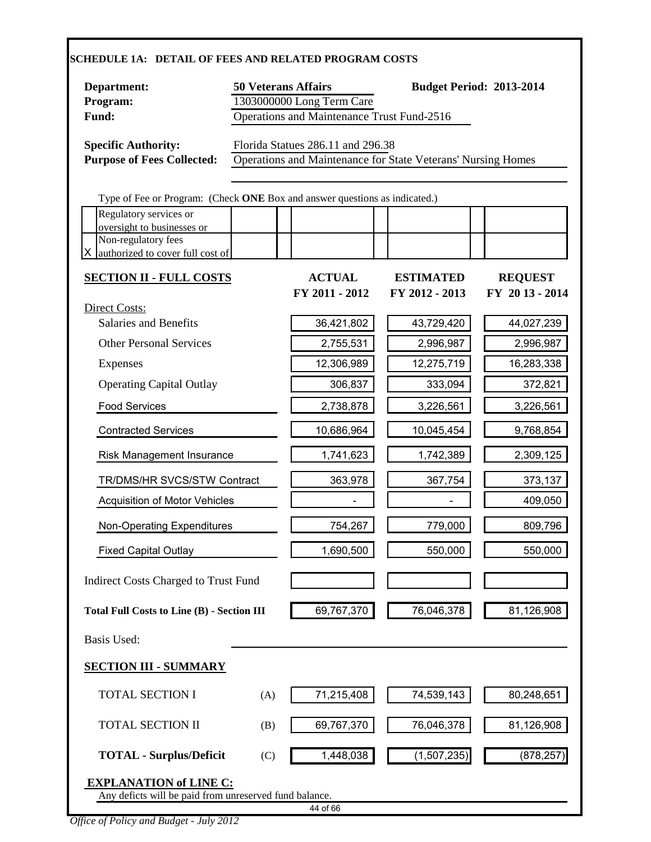| 1303000000 Long Term Care<br>Fund:<br>Operations and Maintenance Trust Fund-2516<br><b>Specific Authority:</b><br>Florida Statues 286.11 and 296.38<br><b>Purpose of Fees Collected:</b><br>Operations and Maintenance for State Veterans' Nursing Homes<br>Type of Fee or Program: (Check ONE Box and answer questions as indicated.)<br>Regulatory services or<br>oversight to businesses or<br>Non-regulatory fees<br>authorized to cover full cost of<br><b>SECTION II - FULL COSTS</b><br><b>ACTUAL</b><br><b>ESTIMATED</b><br><b>REQUEST</b><br>FY 2011 - 2012<br>FY 2012 - 2013<br>FY 2013 - 2014<br><b>Direct Costs:</b><br><b>Salaries and Benefits</b><br>36,421,802<br>43,729,420<br><b>Other Personal Services</b><br>2,755,531<br>2,996,987<br>12,306,989<br>12,275,719<br>Expenses<br><b>Operating Capital Outlay</b><br>306,837<br>333,094<br>2,738,878<br>3,226,561<br><b>Food Services</b><br>10,045,454<br>10,686,964<br><b>Contracted Services</b><br>1,741,623<br>1,742,389<br>Risk Management Insurance<br>TR/DMS/HR SVCS/STW Contract<br>363,978<br>367,754<br>Acquisition of Motor Vehicles<br>Non-Operating Expenditures<br>754,267<br>779,000<br>1,690,500<br>550,000<br><b>Fixed Capital Outlay</b><br>Indirect Costs Charged to Trust Fund<br>69,767,370<br>76,046,378<br><b>Total Full Costs to Line (B) - Section III</b><br><b>Basis Used:</b><br><b>SECTION III - SUMMARY</b><br>71,215,408<br>74,539,143<br><b>TOTAL SECTION I</b><br>(A) |            | <b>Budget Period: 2013-2014</b> |  | <b>50 Veterans Affairs</b> | Department:<br>Program: |
|---------------------------------------------------------------------------------------------------------------------------------------------------------------------------------------------------------------------------------------------------------------------------------------------------------------------------------------------------------------------------------------------------------------------------------------------------------------------------------------------------------------------------------------------------------------------------------------------------------------------------------------------------------------------------------------------------------------------------------------------------------------------------------------------------------------------------------------------------------------------------------------------------------------------------------------------------------------------------------------------------------------------------------------------------------------------------------------------------------------------------------------------------------------------------------------------------------------------------------------------------------------------------------------------------------------------------------------------------------------------------------------------------------------------------------------------------------------------------|------------|---------------------------------|--|----------------------------|-------------------------|
|                                                                                                                                                                                                                                                                                                                                                                                                                                                                                                                                                                                                                                                                                                                                                                                                                                                                                                                                                                                                                                                                                                                                                                                                                                                                                                                                                                                                                                                                           |            |                                 |  |                            |                         |
|                                                                                                                                                                                                                                                                                                                                                                                                                                                                                                                                                                                                                                                                                                                                                                                                                                                                                                                                                                                                                                                                                                                                                                                                                                                                                                                                                                                                                                                                           |            |                                 |  |                            |                         |
|                                                                                                                                                                                                                                                                                                                                                                                                                                                                                                                                                                                                                                                                                                                                                                                                                                                                                                                                                                                                                                                                                                                                                                                                                                                                                                                                                                                                                                                                           |            |                                 |  |                            |                         |
|                                                                                                                                                                                                                                                                                                                                                                                                                                                                                                                                                                                                                                                                                                                                                                                                                                                                                                                                                                                                                                                                                                                                                                                                                                                                                                                                                                                                                                                                           |            |                                 |  |                            |                         |
|                                                                                                                                                                                                                                                                                                                                                                                                                                                                                                                                                                                                                                                                                                                                                                                                                                                                                                                                                                                                                                                                                                                                                                                                                                                                                                                                                                                                                                                                           |            |                                 |  |                            |                         |
|                                                                                                                                                                                                                                                                                                                                                                                                                                                                                                                                                                                                                                                                                                                                                                                                                                                                                                                                                                                                                                                                                                                                                                                                                                                                                                                                                                                                                                                                           |            |                                 |  |                            |                         |
|                                                                                                                                                                                                                                                                                                                                                                                                                                                                                                                                                                                                                                                                                                                                                                                                                                                                                                                                                                                                                                                                                                                                                                                                                                                                                                                                                                                                                                                                           |            |                                 |  |                            |                         |
|                                                                                                                                                                                                                                                                                                                                                                                                                                                                                                                                                                                                                                                                                                                                                                                                                                                                                                                                                                                                                                                                                                                                                                                                                                                                                                                                                                                                                                                                           |            |                                 |  |                            |                         |
|                                                                                                                                                                                                                                                                                                                                                                                                                                                                                                                                                                                                                                                                                                                                                                                                                                                                                                                                                                                                                                                                                                                                                                                                                                                                                                                                                                                                                                                                           | 44,027,239 |                                 |  |                            |                         |
|                                                                                                                                                                                                                                                                                                                                                                                                                                                                                                                                                                                                                                                                                                                                                                                                                                                                                                                                                                                                                                                                                                                                                                                                                                                                                                                                                                                                                                                                           | 2,996,987  |                                 |  |                            |                         |
|                                                                                                                                                                                                                                                                                                                                                                                                                                                                                                                                                                                                                                                                                                                                                                                                                                                                                                                                                                                                                                                                                                                                                                                                                                                                                                                                                                                                                                                                           | 16,283,338 |                                 |  |                            |                         |
|                                                                                                                                                                                                                                                                                                                                                                                                                                                                                                                                                                                                                                                                                                                                                                                                                                                                                                                                                                                                                                                                                                                                                                                                                                                                                                                                                                                                                                                                           | 372,821    |                                 |  |                            |                         |
|                                                                                                                                                                                                                                                                                                                                                                                                                                                                                                                                                                                                                                                                                                                                                                                                                                                                                                                                                                                                                                                                                                                                                                                                                                                                                                                                                                                                                                                                           | 3,226,561  |                                 |  |                            |                         |
|                                                                                                                                                                                                                                                                                                                                                                                                                                                                                                                                                                                                                                                                                                                                                                                                                                                                                                                                                                                                                                                                                                                                                                                                                                                                                                                                                                                                                                                                           | 9,768,854  |                                 |  |                            |                         |
|                                                                                                                                                                                                                                                                                                                                                                                                                                                                                                                                                                                                                                                                                                                                                                                                                                                                                                                                                                                                                                                                                                                                                                                                                                                                                                                                                                                                                                                                           | 2,309,125  |                                 |  |                            |                         |
|                                                                                                                                                                                                                                                                                                                                                                                                                                                                                                                                                                                                                                                                                                                                                                                                                                                                                                                                                                                                                                                                                                                                                                                                                                                                                                                                                                                                                                                                           | 373,137    |                                 |  |                            |                         |
|                                                                                                                                                                                                                                                                                                                                                                                                                                                                                                                                                                                                                                                                                                                                                                                                                                                                                                                                                                                                                                                                                                                                                                                                                                                                                                                                                                                                                                                                           | 409,050    |                                 |  |                            |                         |
|                                                                                                                                                                                                                                                                                                                                                                                                                                                                                                                                                                                                                                                                                                                                                                                                                                                                                                                                                                                                                                                                                                                                                                                                                                                                                                                                                                                                                                                                           | 809,796    |                                 |  |                            |                         |
|                                                                                                                                                                                                                                                                                                                                                                                                                                                                                                                                                                                                                                                                                                                                                                                                                                                                                                                                                                                                                                                                                                                                                                                                                                                                                                                                                                                                                                                                           | 550,000    |                                 |  |                            |                         |
|                                                                                                                                                                                                                                                                                                                                                                                                                                                                                                                                                                                                                                                                                                                                                                                                                                                                                                                                                                                                                                                                                                                                                                                                                                                                                                                                                                                                                                                                           |            |                                 |  |                            |                         |
|                                                                                                                                                                                                                                                                                                                                                                                                                                                                                                                                                                                                                                                                                                                                                                                                                                                                                                                                                                                                                                                                                                                                                                                                                                                                                                                                                                                                                                                                           | 81,126,908 |                                 |  |                            |                         |
|                                                                                                                                                                                                                                                                                                                                                                                                                                                                                                                                                                                                                                                                                                                                                                                                                                                                                                                                                                                                                                                                                                                                                                                                                                                                                                                                                                                                                                                                           |            |                                 |  |                            |                         |
|                                                                                                                                                                                                                                                                                                                                                                                                                                                                                                                                                                                                                                                                                                                                                                                                                                                                                                                                                                                                                                                                                                                                                                                                                                                                                                                                                                                                                                                                           |            |                                 |  |                            |                         |
|                                                                                                                                                                                                                                                                                                                                                                                                                                                                                                                                                                                                                                                                                                                                                                                                                                                                                                                                                                                                                                                                                                                                                                                                                                                                                                                                                                                                                                                                           | 80,248,651 |                                 |  |                            |                         |
| <b>TOTAL SECTION II</b><br>69,767,370<br>76,046,378<br>(B)                                                                                                                                                                                                                                                                                                                                                                                                                                                                                                                                                                                                                                                                                                                                                                                                                                                                                                                                                                                                                                                                                                                                                                                                                                                                                                                                                                                                                | 81,126,908 |                                 |  |                            |                         |
| <b>TOTAL - Surplus/Deficit</b><br>1,448,038<br>(1,507,235)<br>(C)                                                                                                                                                                                                                                                                                                                                                                                                                                                                                                                                                                                                                                                                                                                                                                                                                                                                                                                                                                                                                                                                                                                                                                                                                                                                                                                                                                                                         | (878, 257) |                                 |  |                            |                         |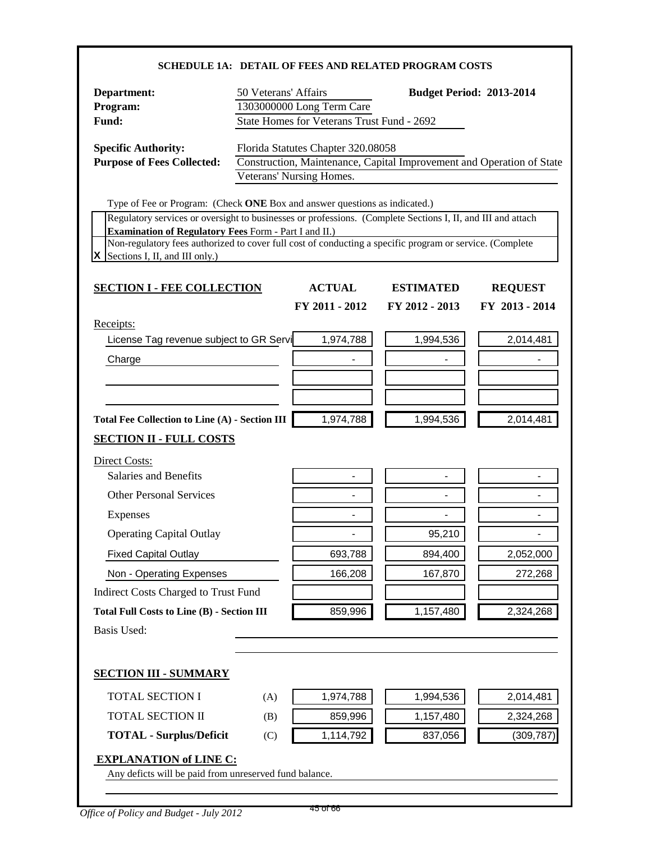|                                                                                                                                                                             |                      |                                                                         | <b>SCHEDULE 1A: DETAIL OF FEES AND RELATED PROGRAM COSTS</b>          |                                 |
|-----------------------------------------------------------------------------------------------------------------------------------------------------------------------------|----------------------|-------------------------------------------------------------------------|-----------------------------------------------------------------------|---------------------------------|
| Department:<br>Program:<br>Fund:                                                                                                                                            | 50 Veterans' Affairs | 1303000000 Long Term Care<br>State Homes for Veterans Trust Fund - 2692 |                                                                       | <b>Budget Period: 2013-2014</b> |
| <b>Specific Authority:</b><br><b>Purpose of Fees Collected:</b>                                                                                                             |                      | Florida Statutes Chapter 320.08058<br>Veterans' Nursing Homes.          | Construction, Maintenance, Capital Improvement and Operation of State |                                 |
| Type of Fee or Program: (Check ONE Box and answer questions as indicated.)                                                                                                  |                      |                                                                         |                                                                       |                                 |
| Regulatory services or oversight to businesses or professions. (Complete Sections I, II, and III and attach<br><b>Examination of Regulatory Fees Form - Part I and II.)</b> |                      |                                                                         |                                                                       |                                 |
| Non-regulatory fees authorized to cover full cost of conducting a specific program or service. (Complete                                                                    |                      |                                                                         |                                                                       |                                 |
| X<br>Sections I, II, and III only.)                                                                                                                                         |                      |                                                                         |                                                                       |                                 |
| <b>SECTION I - FEE COLLECTION</b>                                                                                                                                           |                      | <b>ACTUAL</b>                                                           | <b>ESTIMATED</b>                                                      | <b>REQUEST</b>                  |
|                                                                                                                                                                             |                      | FY 2011 - 2012                                                          | FY 2012 - 2013                                                        | FY 2013 - 2014                  |
| Receipts:                                                                                                                                                                   |                      |                                                                         |                                                                       |                                 |
| License Tag revenue subject to GR Servi                                                                                                                                     |                      | 1,974,788                                                               | 1,994,536                                                             | 2,014,481                       |
| Charge                                                                                                                                                                      |                      |                                                                         |                                                                       |                                 |
|                                                                                                                                                                             |                      |                                                                         |                                                                       |                                 |
|                                                                                                                                                                             |                      |                                                                         |                                                                       |                                 |
| Total Fee Collection to Line (A) - Section III                                                                                                                              |                      | 1,974,788                                                               | 1,994,536                                                             | 2,014,481                       |
| <b>SECTION II - FULL COSTS</b>                                                                                                                                              |                      |                                                                         |                                                                       |                                 |
| Direct Costs:                                                                                                                                                               |                      |                                                                         |                                                                       |                                 |
| <b>Salaries and Benefits</b>                                                                                                                                                |                      |                                                                         |                                                                       |                                 |
| <b>Other Personal Services</b>                                                                                                                                              |                      | $\overline{\phantom{0}}$                                                |                                                                       |                                 |
| <b>Expenses</b>                                                                                                                                                             |                      |                                                                         |                                                                       |                                 |
| <b>Operating Capital Outlay</b>                                                                                                                                             |                      |                                                                         | 95,210                                                                | $\overline{\phantom{0}}$        |
| <b>Fixed Capital Outlay</b>                                                                                                                                                 |                      | 693,788                                                                 | 894,400                                                               | 2,052,000                       |
| Non - Operating Expenses                                                                                                                                                    |                      | 166,208                                                                 | 167,870                                                               | 272,268                         |
| Indirect Costs Charged to Trust Fund                                                                                                                                        |                      |                                                                         |                                                                       |                                 |
| <b>Total Full Costs to Line (B) - Section III</b>                                                                                                                           |                      | 859,996                                                                 | 1,157,480                                                             | 2,324,268                       |
| <b>Basis Used:</b>                                                                                                                                                          |                      |                                                                         |                                                                       |                                 |
|                                                                                                                                                                             |                      |                                                                         |                                                                       |                                 |
| <b>SECTION III - SUMMARY</b>                                                                                                                                                |                      |                                                                         |                                                                       |                                 |
| <b>TOTAL SECTION I</b>                                                                                                                                                      | (A)                  | 1,974,788                                                               | 1,994,536                                                             | 2,014,481                       |
| TOTAL SECTION II                                                                                                                                                            | (B)                  | 859,996                                                                 | 1,157,480                                                             | 2,324,268                       |
| <b>TOTAL - Surplus/Deficit</b>                                                                                                                                              | (C)                  | 1,114,792                                                               | 837,056                                                               | (309, 787)                      |
| <b>EXPLANATION of LINE C:</b><br>Any deficts will be paid from unreserved fund balance.                                                                                     |                      |                                                                         |                                                                       |                                 |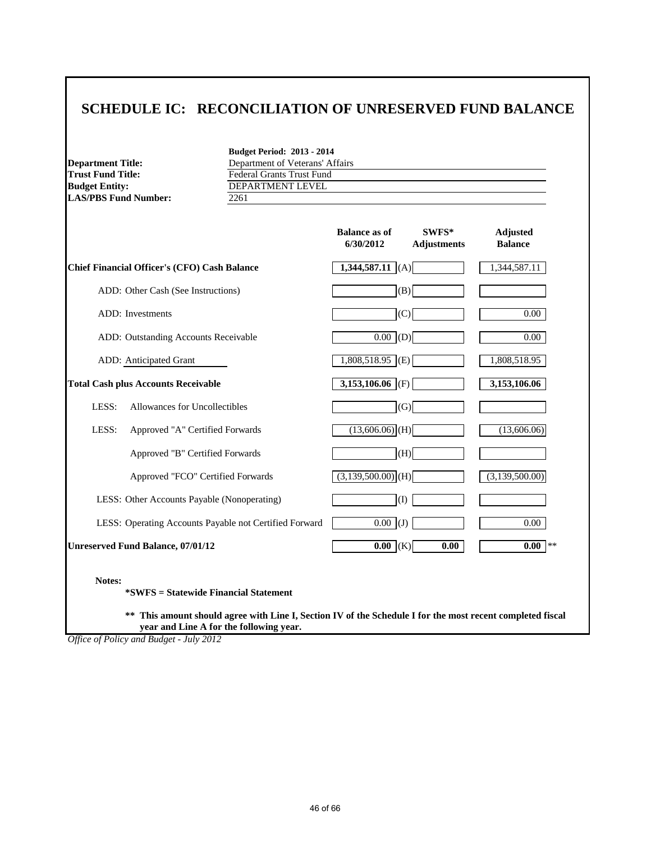| <b>Department Title:</b>    | Depa       |
|-----------------------------|------------|
| Trust Fund Title:           | Fede       |
| <b>Budget Entity:</b>       | <b>DEP</b> |
| <b>LAS/PBS Fund Number:</b> | 2261       |

**Budget Period: 2013 - 2014** Department of Veterans' Affairs **Federal Grants Trust Fund BUDGET ENTITY**<br> $\frac{DEPARTMENT LEVEL}{2261}$ 

| $1,344,587.11$ (A)<br>(B)<br>(C)<br>$0.00$ (D) | 1,344,587.11<br>0.00 |
|------------------------------------------------|----------------------|
|                                                |                      |
|                                                |                      |
|                                                |                      |
|                                                | $0.00\,$             |
| $1,808,518.95$ (E)                             | 1,808,518.95         |
| $3,153,106.06$ (F)                             | 3,153,106.06         |
| (G)                                            |                      |
| $(13,606.06)$ <sub>(H)</sub>                   | (13,606.06)          |
| (H)                                            |                      |
| $(3,139,500.00)$ (H)                           | (3,139,500.00)       |
| (1)                                            |                      |
| $0.00$ (J)                                     | 0.00                 |
|                                                | 0.00<br>**           |
|                                                | 0.00(K)<br>0.00      |

**Notes:**

**\*SWFS = Statewide Financial Statement** 

**\*\* This amount should agree with Line I, Section IV of the Schedule I for the most recent completed fiscal year and Line A for the following year.**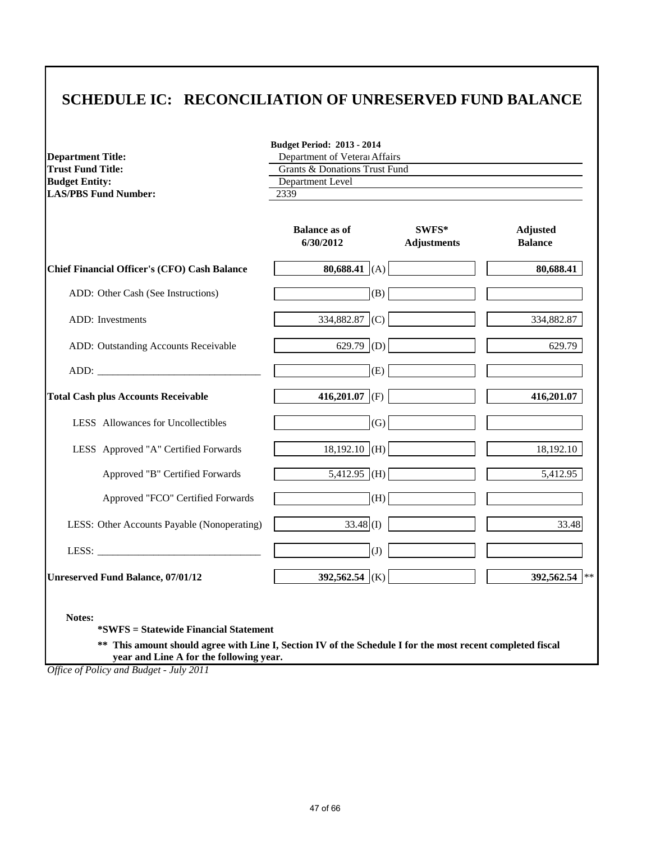**Budget Period: 2013 - 2014**

| <b>Department Title:</b>                                                                                                                                                                                                       | Department of Veteral Affairs                                |                               |                                   |  |
|--------------------------------------------------------------------------------------------------------------------------------------------------------------------------------------------------------------------------------|--------------------------------------------------------------|-------------------------------|-----------------------------------|--|
| <b>Trust Fund Title:</b><br><b>Budget Entity:</b>                                                                                                                                                                              | <b>Grants &amp; Donations Trust Fund</b><br>Department Level |                               |                                   |  |
| <b>LAS/PBS Fund Number:</b>                                                                                                                                                                                                    | 2339                                                         |                               |                                   |  |
|                                                                                                                                                                                                                                | <b>Balance as of</b><br>6/30/2012                            | $SWFS*$<br><b>Adjustments</b> | <b>Adjusted</b><br><b>Balance</b> |  |
| Chief Financial Officer's (CFO) Cash Balance                                                                                                                                                                                   | 80,688.41 $(A)$                                              |                               | 80,688.41                         |  |
| ADD: Other Cash (See Instructions)                                                                                                                                                                                             | (B)                                                          |                               |                                   |  |
| <b>ADD</b> : Investments                                                                                                                                                                                                       | 334,882.87 (C)                                               |                               | 334,882.87                        |  |
| ADD: Outstanding Accounts Receivable                                                                                                                                                                                           | 629.79 (D)                                                   |                               | 629.79                            |  |
| ADD: The contract of the contract of the contract of the contract of the contract of the contract of the contract of the contract of the contract of the contract of the contract of the contract of the contract of the contr | (E)                                                          |                               |                                   |  |
| <b>Total Cash plus Accounts Receivable</b>                                                                                                                                                                                     | 416,201.07 (F)                                               |                               | 416,201.07                        |  |
| LESS Allowances for Uncollectibles                                                                                                                                                                                             | (G)                                                          |                               |                                   |  |
| LESS Approved "A" Certified Forwards                                                                                                                                                                                           | $18,192.10$ (H)                                              |                               | 18,192.10                         |  |
| Approved "B" Certified Forwards                                                                                                                                                                                                | $5,412.95$ (H)                                               |                               | 5,412.95                          |  |
| Approved "FCO" Certified Forwards                                                                                                                                                                                              | (H)                                                          |                               |                                   |  |
| LESS: Other Accounts Payable (Nonoperating)                                                                                                                                                                                    | $33.48$ (I)                                                  |                               | 33.48                             |  |
| LESS: $\qquad$                                                                                                                                                                                                                 | (J)                                                          |                               |                                   |  |
| Unreserved Fund Balance, 07/01/12                                                                                                                                                                                              | 392,562.54 (K)                                               |                               | 392,562.54 **                     |  |

**Notes:**

**\*SWFS = Statewide Financial Statement** 

**\*\* This amount should agree with Line I, Section IV of the Schedule I for the most recent completed fiscal year and Line A for the following year.**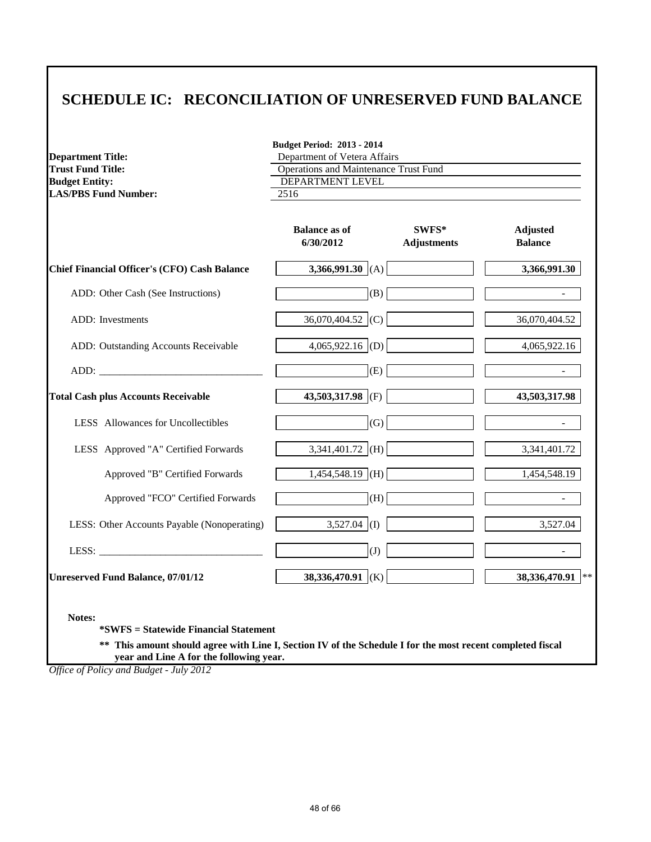**Budget Period: 2013 - 2014**

| <b>Department Title:</b><br>Department of Vetera Affairs                 |                                   |                             |                                   |  |
|--------------------------------------------------------------------------|-----------------------------------|-----------------------------|-----------------------------------|--|
| <b>Trust Fund Title:</b><br><b>Operations and Maintenance Trust Fund</b> |                                   |                             |                                   |  |
| <b>Budget Entity:</b>                                                    | <b>DEPARTMENT LEVEL</b>           |                             |                                   |  |
| <b>LAS/PBS Fund Number:</b>                                              | 2516                              |                             |                                   |  |
|                                                                          | <b>Balance as of</b><br>6/30/2012 | SWFS*<br><b>Adjustments</b> | <b>Adjusted</b><br><b>Balance</b> |  |
| <b>Chief Financial Officer's (CFO) Cash Balance</b>                      | 3,366,991.30 (A)                  |                             | 3,366,991.30                      |  |
| ADD: Other Cash (See Instructions)                                       | (B)                               |                             |                                   |  |
| ADD: Investments                                                         | 36,070,404.52 (C)                 |                             | 36,070,404.52                     |  |
| ADD: Outstanding Accounts Receivable                                     | 4,065,922.16 (D)                  |                             | 4,065,922.16                      |  |
|                                                                          | (E)                               |                             |                                   |  |
| <b>Total Cash plus Accounts Receivable</b>                               | 43,503,317.98 (F)                 |                             | 43,503,317.98                     |  |
| LESS Allowances for Uncollectibles                                       | (G)                               |                             | $\sim$                            |  |
| LESS Approved "A" Certified Forwards                                     | 3,341,401.72 $ $ (H)              |                             | 3,341,401.72                      |  |
| Approved "B" Certified Forwards                                          | $1,454,548.19$ (H)                |                             | 1,454,548.19                      |  |
| Approved "FCO" Certified Forwards                                        | (H)                               |                             |                                   |  |
| LESS: Other Accounts Payable (Nonoperating)                              | $3,527.04$ (I)                    |                             | 3,527.04                          |  |
| LESS:                                                                    | (J)                               |                             | $\overline{a}$                    |  |
| <b>Unreserved Fund Balance, 07/01/12</b>                                 | 38,336,470.91 (K)                 |                             | 38,336,470.91 **                  |  |

**\*SWFS = Statewide Financial Statement** 

**\*\* This amount should agree with Line I, Section IV of the Schedule I for the most recent completed fiscal year and Line A for the following year.**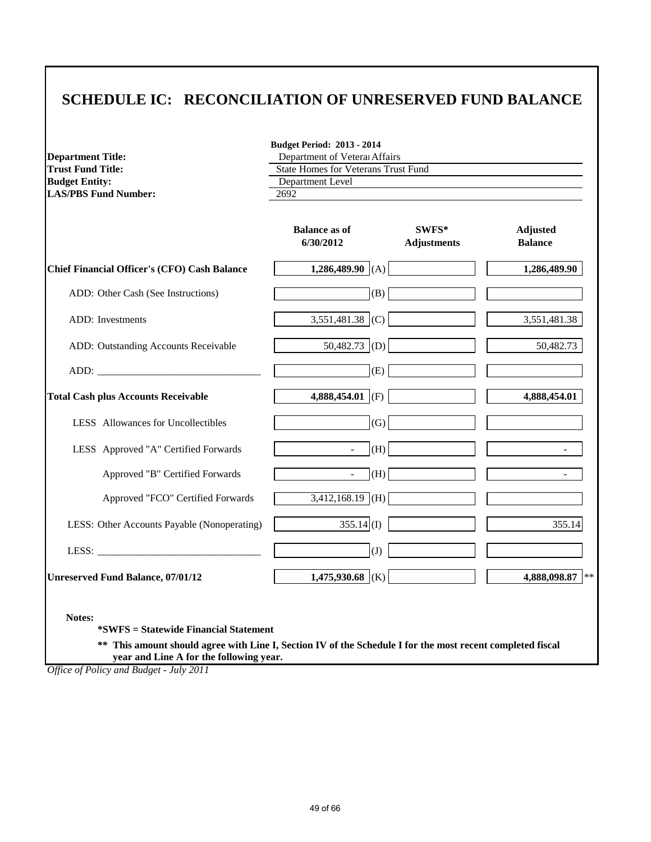**Budget Period: 2013 - 2014**

| <b>Department Title:</b>                            | Department of Veteral Affairs              |                             |                                   |  |
|-----------------------------------------------------|--------------------------------------------|-----------------------------|-----------------------------------|--|
| <b>Trust Fund Title:</b>                            | <b>State Homes for Veterans Trust Fund</b> |                             |                                   |  |
| <b>Budget Entity:</b>                               | Department Level                           |                             |                                   |  |
| <b>LAS/PBS Fund Number:</b>                         | 2692                                       |                             |                                   |  |
|                                                     | <b>Balance as of</b><br>6/30/2012          | SWFS*<br><b>Adjustments</b> | <b>Adjusted</b><br><b>Balance</b> |  |
| <b>Chief Financial Officer's (CFO) Cash Balance</b> | 1,286,489.90 (A)                           |                             | 1,286,489.90                      |  |
| ADD: Other Cash (See Instructions)                  | (B)                                        |                             |                                   |  |
| <b>ADD</b> : Investments                            | 3,551,481.38 (C)                           |                             | 3,551,481.38                      |  |
| ADD: Outstanding Accounts Receivable                | $50,482.73$ (D)                            |                             | 50,482.73                         |  |
|                                                     | (E)                                        |                             |                                   |  |
| <b>Total Cash plus Accounts Receivable</b>          | 4,888,454.01 (F)                           |                             | 4,888,454.01                      |  |
| LESS Allowances for Uncollectibles                  | (G)                                        |                             |                                   |  |
| LESS Approved "A" Certified Forwards                | (H)                                        |                             |                                   |  |
| Approved "B" Certified Forwards                     | (H)<br>$\blacksquare$                      |                             |                                   |  |
| Approved "FCO" Certified Forwards                   | $3,412,168.19$ (H)                         |                             |                                   |  |
| LESS: Other Accounts Payable (Nonoperating)         | $355.14$ (I)                               |                             | 355.14                            |  |
|                                                     | $\left( J\right)$                          |                             |                                   |  |
| <b>Unreserved Fund Balance, 07/01/12</b>            | 1,475,930.68 (K)                           |                             | 4,888,098.87                      |  |

**\*SWFS = Statewide Financial Statement** 

**\*\* This amount should agree with Line I, Section IV of the Schedule I for the most recent completed fiscal year and Line A for the following year.**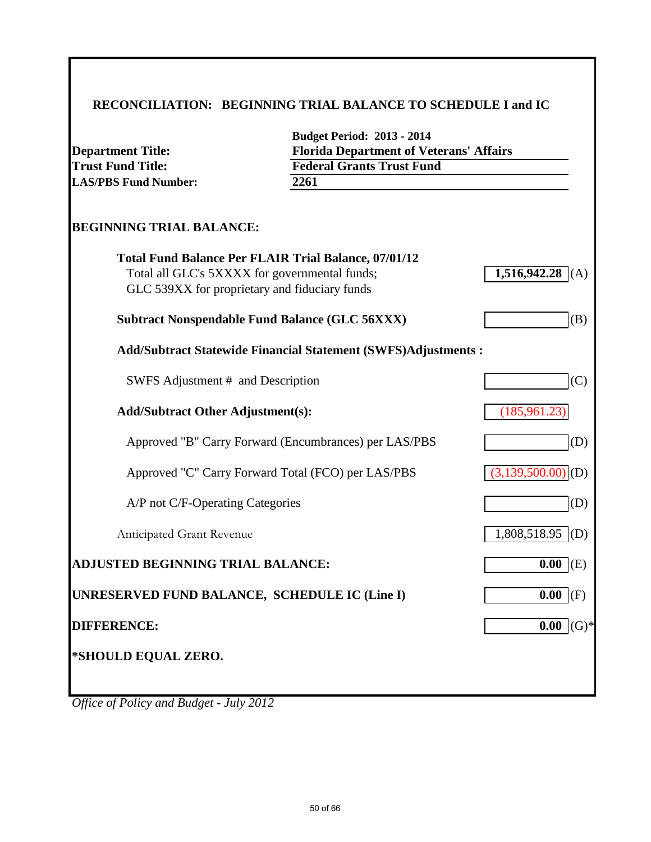| <b>Department Title:</b><br><b>Trust Fund Title:</b><br><b>LAS/PBS Fund Number:</b>            | <b>Budget Period: 2013 - 2014</b><br><b>Florida Department of Veterans' Affairs</b><br><b>Federal Grants Trust Fund</b><br>2261 |                       |
|------------------------------------------------------------------------------------------------|---------------------------------------------------------------------------------------------------------------------------------|-----------------------|
| <b>BEGINNING TRIAL BALANCE:</b>                                                                |                                                                                                                                 |                       |
| Total all GLC's 5XXXX for governmental funds;<br>GLC 539XX for proprietary and fiduciary funds | <b>Total Fund Balance Per FLAIR Trial Balance, 07/01/12</b>                                                                     | 1,516,942.28<br>(A)   |
|                                                                                                | <b>Subtract Nonspendable Fund Balance (GLC 56XXX)</b>                                                                           | (B)                   |
|                                                                                                | <b>Add/Subtract Statewide Financial Statement (SWFS)Adjustments:</b>                                                            |                       |
| SWFS Adjustment # and Description                                                              |                                                                                                                                 | (C)                   |
| <b>Add/Subtract Other Adjustment(s):</b>                                                       |                                                                                                                                 | (185, 961.23)         |
|                                                                                                | Approved "B" Carry Forward (Encumbrances) per LAS/PBS                                                                           | (D)                   |
|                                                                                                | Approved "C" Carry Forward Total (FCO) per LAS/PBS                                                                              | $(3,139,500.00)$ (D)  |
| A/P not C/F-Operating Categories                                                               |                                                                                                                                 | (D)                   |
| Anticipated Grant Revenue                                                                      |                                                                                                                                 | 1,808,518.95<br>(D)   |
| <b>ADJUSTED BEGINNING TRIAL BALANCE:</b>                                                       |                                                                                                                                 | $0.00$ (E)            |
| UNRESERVED FUND BALANCE, SCHEDULE IC (Line I)                                                  |                                                                                                                                 | $\overline{0.00}$ (F) |
| <b>DIFFERENCE:</b>                                                                             |                                                                                                                                 | 0.00<br>$(G)$ *       |
| *SHOULD EQUAL ZERO.                                                                            |                                                                                                                                 |                       |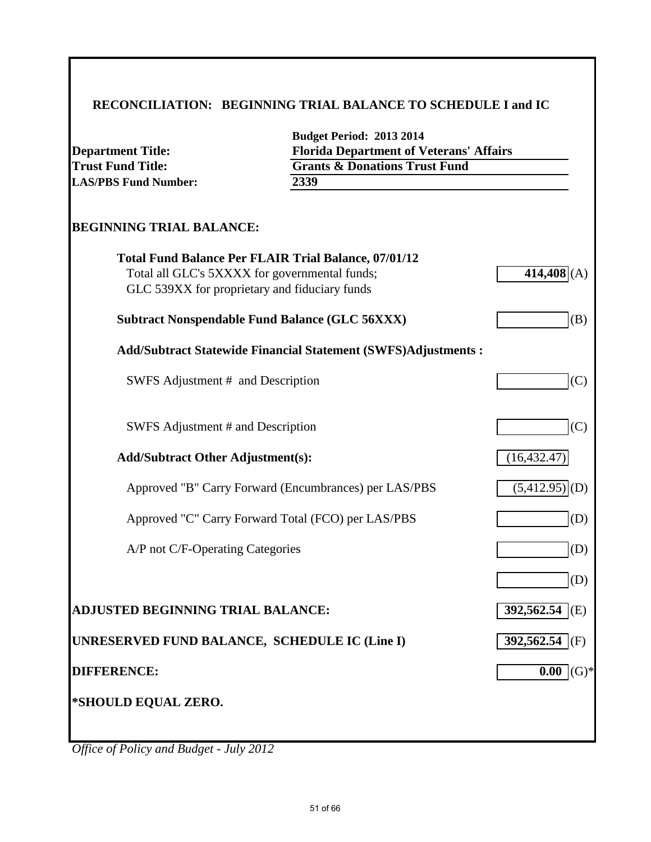| <b>Department Title:</b><br><b>Trust Fund Title:</b>                                           | <b>Budget Period: 2013 2014</b><br><b>Florida Department of Veterans' Affairs</b><br><b>Grants &amp; Donations Trust Fund</b> |                             |
|------------------------------------------------------------------------------------------------|-------------------------------------------------------------------------------------------------------------------------------|-----------------------------|
| <b>LAS/PBS Fund Number:</b>                                                                    | 2339                                                                                                                          |                             |
| <b>BEGINNING TRIAL BALANCE:</b>                                                                |                                                                                                                               |                             |
| Total all GLC's 5XXXX for governmental funds;<br>GLC 539XX for proprietary and fiduciary funds | <b>Total Fund Balance Per FLAIR Trial Balance, 07/01/12</b>                                                                   | 414,408(A)                  |
| <b>Subtract Nonspendable Fund Balance (GLC 56XXX)</b>                                          |                                                                                                                               | (B)                         |
|                                                                                                | <b>Add/Subtract Statewide Financial Statement (SWFS)Adjustments:</b>                                                          |                             |
| SWFS Adjustment # and Description                                                              |                                                                                                                               | (C)                         |
| SWFS Adjustment # and Description                                                              |                                                                                                                               | (C)                         |
| <b>Add/Subtract Other Adjustment(s):</b>                                                       |                                                                                                                               | (16, 432.47)                |
|                                                                                                | Approved "B" Carry Forward (Encumbrances) per LAS/PBS                                                                         | (5,412.95)<br>(D)           |
|                                                                                                | Approved "C" Carry Forward Total (FCO) per LAS/PBS                                                                            | (D)                         |
| A/P not C/F-Operating Categories                                                               |                                                                                                                               | (D)                         |
|                                                                                                |                                                                                                                               | (D)                         |
| ADJUSTED BEGINNING TRIAL BALANCE:                                                              |                                                                                                                               | $392,562.54$ <sup>(E)</sup> |
| UNRESERVED FUND BALANCE, SCHEDULE IC (Line I)                                                  |                                                                                                                               | 392,562.54 (F)              |
| <b>DIFFERENCE:</b>                                                                             |                                                                                                                               | $0.00$ (G)*                 |
| *SHOULD EQUAL ZERO.                                                                            |                                                                                                                               |                             |
|                                                                                                |                                                                                                                               |                             |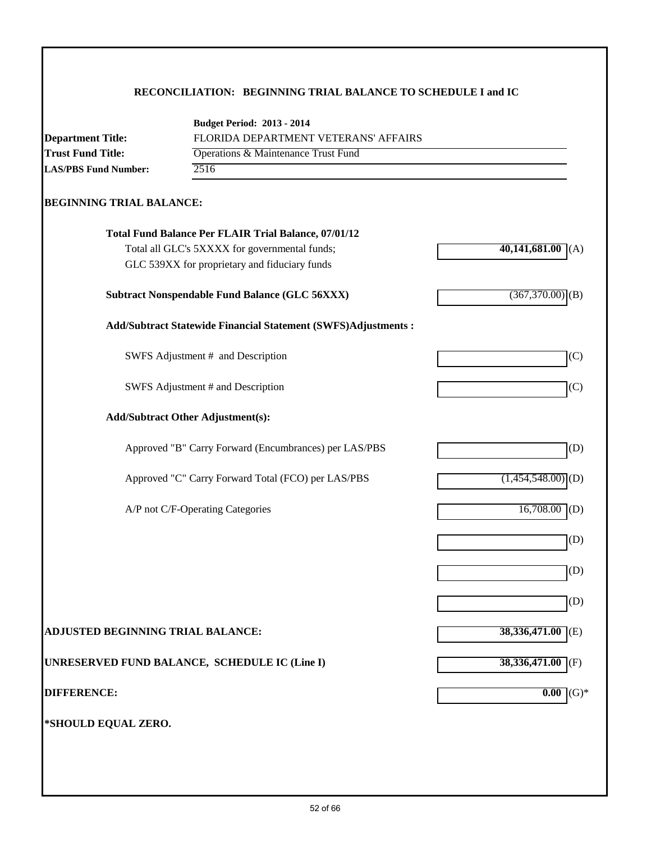| <b>Department Title:</b>                                | <b>Budget Period: 2013 - 2014</b><br>FLORIDA DEPARTMENT VETERANS' AFFAIRS |                        |
|---------------------------------------------------------|---------------------------------------------------------------------------|------------------------|
|                                                         |                                                                           |                        |
| <b>Trust Fund Title:</b><br><b>LAS/PBS Fund Number:</b> | Operations & Maintenance Trust Fund<br>2516                               |                        |
|                                                         |                                                                           |                        |
| <b>BEGINNING TRIAL BALANCE:</b>                         |                                                                           |                        |
|                                                         | Total Fund Balance Per FLAIR Trial Balance, 07/01/12                      |                        |
|                                                         | Total all GLC's 5XXXX for governmental funds;                             | 40,141,681.00(A)       |
|                                                         | GLC 539XX for proprietary and fiduciary funds                             |                        |
|                                                         | <b>Subtract Nonspendable Fund Balance (GLC 56XXX)</b>                     | $(367,370.00)$ (B)     |
|                                                         | Add/Subtract Statewide Financial Statement (SWFS)Adjustments :            |                        |
|                                                         | SWFS Adjustment # and Description                                         | (C)                    |
|                                                         | SWFS Adjustment # and Description                                         | (C)                    |
|                                                         | <b>Add/Subtract Other Adjustment(s):</b>                                  |                        |
|                                                         | Approved "B" Carry Forward (Encumbrances) per LAS/PBS                     | (D)                    |
|                                                         | Approved "C" Carry Forward Total (FCO) per LAS/PBS                        | $(1,454,548.00)$ (D)   |
|                                                         | A/P not C/F-Operating Categories                                          | 16,708.00<br>(D)       |
|                                                         |                                                                           | (D)                    |
|                                                         |                                                                           | (D)                    |
|                                                         |                                                                           | (D)                    |
| <b>ADJUSTED BEGINNING TRIAL BALANCE:</b>                |                                                                           | 38, 336, 471.00<br>(E) |
|                                                         | UNRESERVED FUND BALANCE, SCHEDULE IC (Line I)                             | 38,336,471.00<br>(F)   |
| <b>DIFFERENCE:</b>                                      |                                                                           | 0.00<br>$(G)*$         |
| *SHOULD EQUAL ZERO.                                     |                                                                           |                        |
|                                                         |                                                                           |                        |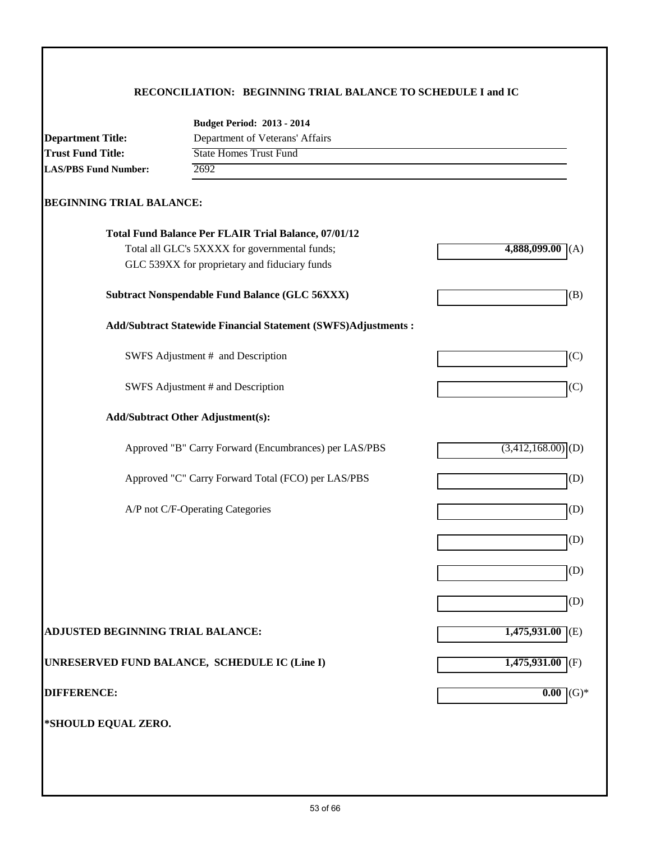|                                          | <b>Budget Period: 2013 - 2014</b>                                    |                      |
|------------------------------------------|----------------------------------------------------------------------|----------------------|
| <b>Department Title:</b>                 | Department of Veterans' Affairs                                      |                      |
| <b>Trust Fund Title:</b>                 | <b>State Homes Trust Fund</b>                                        |                      |
| <b>LAS/PBS Fund Number:</b>              | 2692                                                                 |                      |
| <b>BEGINNING TRIAL BALANCE:</b>          |                                                                      |                      |
|                                          | <b>Total Fund Balance Per FLAIR Trial Balance, 07/01/12</b>          |                      |
|                                          | Total all GLC's 5XXXX for governmental funds;                        | 4,888,099.00<br>(A)  |
|                                          | GLC 539XX for proprietary and fiduciary funds                        |                      |
|                                          | <b>Subtract Nonspendable Fund Balance (GLC 56XXX)</b>                | (B)                  |
|                                          | <b>Add/Subtract Statewide Financial Statement (SWFS)Adjustments:</b> |                      |
|                                          | SWFS Adjustment # and Description                                    | (C)                  |
|                                          | SWFS Adjustment # and Description                                    | (C)                  |
|                                          | <b>Add/Subtract Other Adjustment(s):</b>                             |                      |
|                                          | Approved "B" Carry Forward (Encumbrances) per LAS/PBS                | $(3,412,168.00)$ (D) |
|                                          | Approved "C" Carry Forward Total (FCO) per LAS/PBS                   | (D)                  |
|                                          | A/P not C/F-Operating Categories                                     | (D)                  |
|                                          |                                                                      | (D)                  |
|                                          |                                                                      | (D)                  |
|                                          |                                                                      | (D)                  |
| <b>ADJUSTED BEGINNING TRIAL BALANCE:</b> |                                                                      | 1,475,931.00<br>E(E) |
|                                          | UNRESERVED FUND BALANCE, SCHEDULE IC (Line I)                        | $1,475,931.00$ (F)   |
| <b>DIFFERENCE:</b>                       |                                                                      | 0.00<br>$(G)*$       |
|                                          |                                                                      |                      |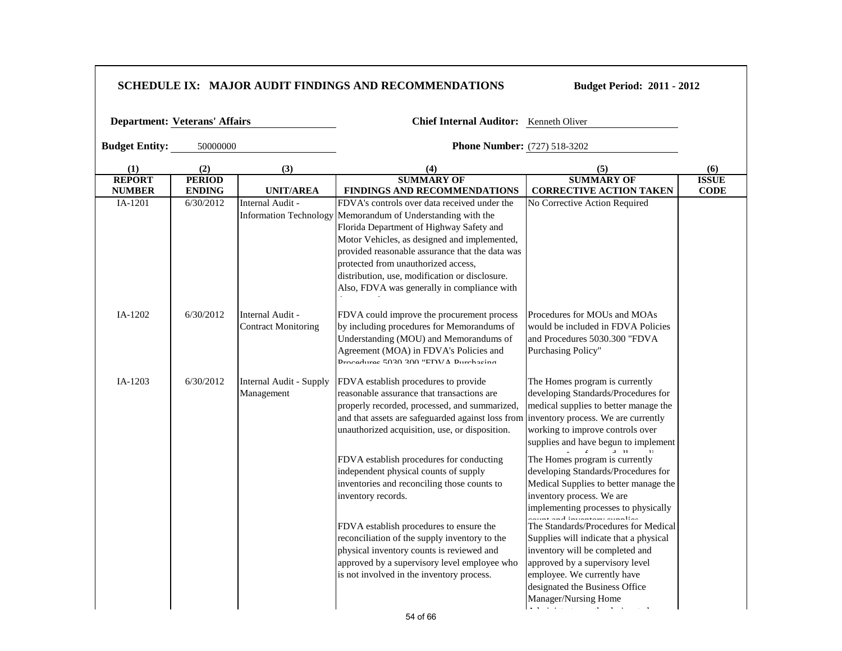|                                |                                      |                                                | <b>SCHEDULE IX: MAJOR AUDIT FINDINGS AND RECOMMENDATIONS</b>                                                                                                                                                                                                                                                                                                                                       | <b>Budget Period: 2011 - 2012</b>                                                                                                                                                                                                             |                             |
|--------------------------------|--------------------------------------|------------------------------------------------|----------------------------------------------------------------------------------------------------------------------------------------------------------------------------------------------------------------------------------------------------------------------------------------------------------------------------------------------------------------------------------------------------|-----------------------------------------------------------------------------------------------------------------------------------------------------------------------------------------------------------------------------------------------|-----------------------------|
|                                | <b>Department: Veterans' Affairs</b> |                                                | Chief Internal Auditor: Kenneth Oliver                                                                                                                                                                                                                                                                                                                                                             |                                                                                                                                                                                                                                               |                             |
| <b>Budget Entity:</b>          | 50000000                             |                                                | <b>Phone Number:</b> (727) 518-3202                                                                                                                                                                                                                                                                                                                                                                |                                                                                                                                                                                                                                               |                             |
| (1)                            | (2)                                  | (3)                                            | (4)                                                                                                                                                                                                                                                                                                                                                                                                | (5)                                                                                                                                                                                                                                           | (6)                         |
| <b>REPORT</b><br><b>NUMBER</b> | <b>PERIOD</b><br><b>ENDING</b>       | <b>UNIT/AREA</b>                               | <b>SUMMARY OF</b><br>FINDINGS AND RECOMMENDATIONS                                                                                                                                                                                                                                                                                                                                                  | <b>SUMMARY OF</b><br><b>CORRECTIVE ACTION TAKEN</b>                                                                                                                                                                                           | <b>ISSUE</b><br><b>CODE</b> |
| IA-1201                        | 6/30/2012                            | Internal Audit -                               | FDVA's controls over data received under the<br>Information Technology Memorandum of Understanding with the<br>Florida Department of Highway Safety and<br>Motor Vehicles, as designed and implemented,<br>provided reasonable assurance that the data was<br>protected from unauthorized access,<br>distribution, use, modification or disclosure.<br>Also, FDVA was generally in compliance with | No Corrective Action Required                                                                                                                                                                                                                 |                             |
| IA-1202                        | 6/30/2012                            | Internal Audit -<br><b>Contract Monitoring</b> | FDVA could improve the procurement process<br>by including procedures for Memorandums of<br>Understanding (MOU) and Memorandums of<br>Agreement (MOA) in FDVA's Policies and<br>Drocedures 5020 200 "EDVA Durchssing                                                                                                                                                                               | Procedures for MOUs and MOAs<br>would be included in FDVA Policies<br>and Procedures 5030.300 "FDVA<br>Purchasing Policy"                                                                                                                     |                             |
| IA-1203                        | 6/30/2012                            | Internal Audit - Supply<br>Management          | FDVA establish procedures to provide<br>reasonable assurance that transactions are<br>properly recorded, processed, and summarized,<br>and that assets are safeguarded against loss from<br>unauthorized acquisition, use, or disposition.                                                                                                                                                         | The Homes program is currently<br>developing Standards/Procedures for<br>medical supplies to better manage the<br>inventory process. We are currently<br>working to improve controls over<br>supplies and have begun to implement             |                             |
|                                |                                      |                                                | FDVA establish procedures for conducting<br>independent physical counts of supply<br>inventories and reconciling those counts to<br>inventory records.                                                                                                                                                                                                                                             | The Homes program is currently<br>developing Standards/Procedures for<br>Medical Supplies to better manage the<br>inventory process. We are<br>implementing processes to physically                                                           |                             |
|                                |                                      |                                                | FDVA establish procedures to ensure the<br>reconciliation of the supply inventory to the<br>physical inventory counts is reviewed and<br>approved by a supervisory level employee who<br>is not involved in the inventory process.<br>$F = 500$                                                                                                                                                    | The Standards/Procedures for Medical<br>Supplies will indicate that a physical<br>inventory will be completed and<br>approved by a supervisory level<br>employee. We currently have<br>designated the Business Office<br>Manager/Nursing Home |                             |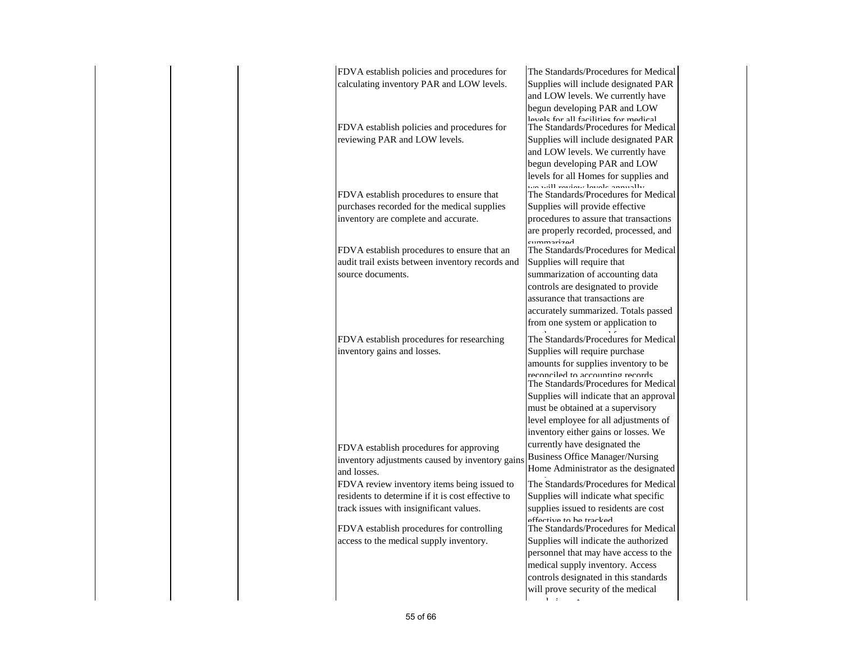| FDVA establish policies and procedures for<br>calculating inventory PAR and LOW levels.                                                                                                                                                                                                                                                          | The Standards/Procedures for Medical<br>Supplies will include designated PAR<br>and LOW levels. We currently have                                                                                                                                                                                                                                                                                                                 |
|--------------------------------------------------------------------------------------------------------------------------------------------------------------------------------------------------------------------------------------------------------------------------------------------------------------------------------------------------|-----------------------------------------------------------------------------------------------------------------------------------------------------------------------------------------------------------------------------------------------------------------------------------------------------------------------------------------------------------------------------------------------------------------------------------|
| FDVA establish policies and procedures for<br>reviewing PAR and LOW levels.                                                                                                                                                                                                                                                                      | begun developing PAR and LOW<br>lavale for all facilities for medical<br>The Standards/Procedures for Medical<br>Supplies will include designated PAR<br>and LOW levels. We currently have<br>begun developing PAR and LOW                                                                                                                                                                                                        |
| FDVA establish procedures to ensure that<br>purchases recorded for the medical supplies<br>inventory are complete and accurate.                                                                                                                                                                                                                  | levels for all Homes for supplies and<br>يتألف ومسوء والمتماز بسوائيهما أأأنت وببر<br>The Standards/Procedures for Medical<br>Supplies will provide effective<br>procedures to assure that transactions<br>are properly recorded, processed, and                                                                                                                                                                                  |
| FDVA establish procedures to ensure that an<br>audit trail exists between inventory records and<br>source documents.                                                                                                                                                                                                                             | summorizad<br>The Standards/Procedures for Medical<br>Supplies will require that<br>summarization of accounting data<br>controls are designated to provide<br>assurance that transactions are<br>accurately summarized. Totals passed<br>from one system or application to                                                                                                                                                        |
| FDVA establish procedures for researching<br>inventory gains and losses.                                                                                                                                                                                                                                                                         | The Standards/Procedures for Medical<br>Supplies will require purchase<br>amounts for supplies inventory to be<br>reconciled to accounting records<br>The Standards/Procedures for Medical<br>Supplies will indicate that an approval<br>must be obtained at a supervisory<br>level employee for all adjustments of<br>inventory either gains or losses. We                                                                       |
| FDVA establish procedures for approving<br>inventory adjustments caused by inventory gains<br>and losses.<br>FDVA review inventory items being issued to<br>residents to determine if it is cost effective to<br>track issues with insignificant values.<br>FDVA establish procedures for controlling<br>access to the medical supply inventory. | currently have designated the<br><b>Business Office Manager/Nursing</b><br>Home Administrator as the designated<br>The Standards/Procedures for Medical<br>Supplies will indicate what specific<br>supplies issued to residents are cost<br>effective to he tracked<br>The Standards/Procedures for Medical<br>Supplies will indicate the authorized<br>personnel that may have access to the<br>medical supply inventory. Access |
|                                                                                                                                                                                                                                                                                                                                                  | controls designated in this standards<br>will prove security of the medical                                                                                                                                                                                                                                                                                                                                                       |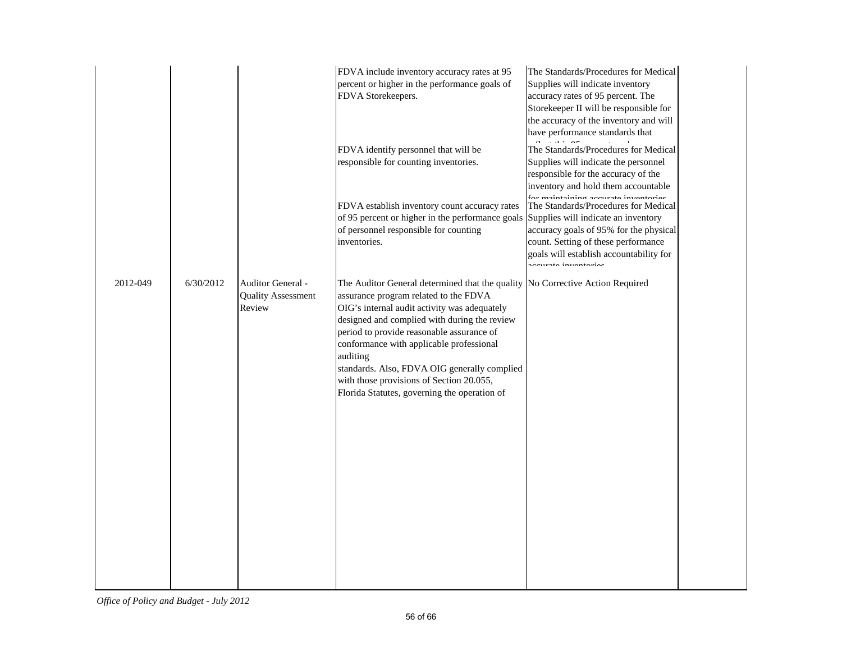|          |           |                                                          | FDVA include inventory accuracy rates at 95<br>percent or higher in the performance goals of<br>FDVA Storekeepers.                                                                                                                                                                                                                                                                                                                                                      | The Standards/Procedures for Medical<br>Supplies will indicate inventory<br>accuracy rates of 95 percent. The<br>Storekeeper II will be responsible for<br>the accuracy of the inventory and will<br>have performance standards that                                     |
|----------|-----------|----------------------------------------------------------|-------------------------------------------------------------------------------------------------------------------------------------------------------------------------------------------------------------------------------------------------------------------------------------------------------------------------------------------------------------------------------------------------------------------------------------------------------------------------|--------------------------------------------------------------------------------------------------------------------------------------------------------------------------------------------------------------------------------------------------------------------------|
|          |           |                                                          | FDVA identify personnel that will be<br>responsible for counting inventories.                                                                                                                                                                                                                                                                                                                                                                                           | $\Delta$ $\tau$<br>The Standards/Procedures for Medical<br>Supplies will indicate the personnel<br>responsible for the accuracy of the<br>inventory and hold them accountable                                                                                            |
|          |           |                                                          | FDVA establish inventory count accuracy rates<br>of 95 percent or higher in the performance goals<br>of personnel responsible for counting<br>inventories.                                                                                                                                                                                                                                                                                                              | for maintaining acquirate inventories<br>The Standards/Procedures for Medical<br>Supplies will indicate an inventory<br>accuracy goals of 95% for the physical<br>count. Setting of these performance<br>goals will establish accountability for<br>aanunta turrautautaa |
| 2012-049 | 6/30/2012 | Auditor General -<br><b>Quality Assessment</b><br>Review | The Auditor General determined that the quality No Corrective Action Required<br>assurance program related to the FDVA<br>OIG's internal audit activity was adequately<br>designed and complied with during the review<br>period to provide reasonable assurance of<br>conformance with applicable professional<br>auditing<br>standards. Also, FDVA OIG generally complied<br>with those provisions of Section 20.055,<br>Florida Statutes, governing the operation of |                                                                                                                                                                                                                                                                          |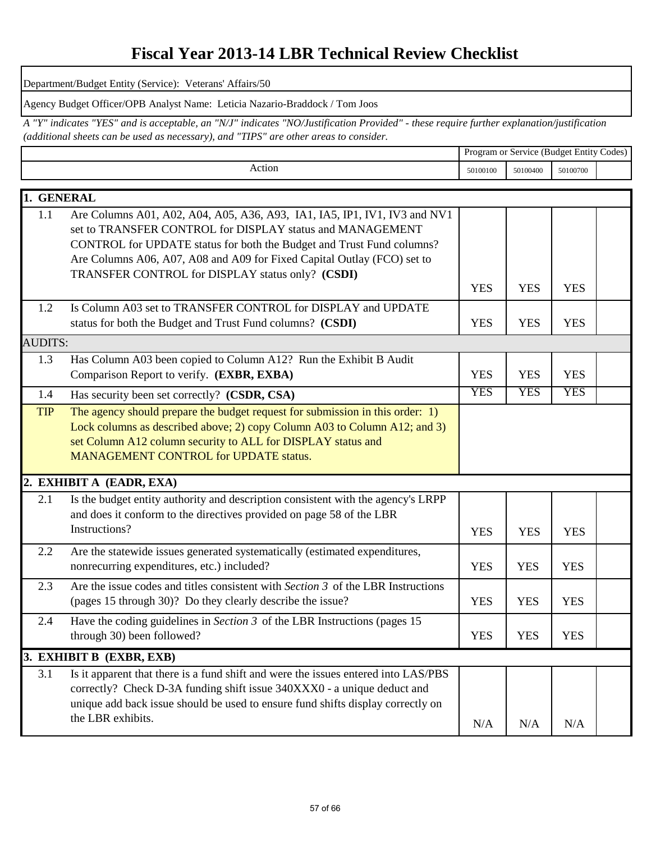# **Fiscal Year 2013-14 LBR Technical Review Checklist**

Department/Budget Entity (Service): Veterans' Affairs/50

 $\Gamma$ 

Agency Budget Officer/OPB Analyst Name: Leticia Nazario-Braddock / Tom Joos

*A "Y" indicates "YES" and is acceptable, an "N/J" indicates "NO/Justification Provided" - these require further explanation/justification (additional sheets can be used as necessary), and "TIPS" are other areas to consider.* 

|                |                                                                                                                                                                                                                                                                                                                                                | Program or Service (Budget Entity Codes) |            |            |  |
|----------------|------------------------------------------------------------------------------------------------------------------------------------------------------------------------------------------------------------------------------------------------------------------------------------------------------------------------------------------------|------------------------------------------|------------|------------|--|
|                | Action                                                                                                                                                                                                                                                                                                                                         | 50100100                                 | 50100400   | 50100700   |  |
|                |                                                                                                                                                                                                                                                                                                                                                |                                          |            |            |  |
| 1. GENERAL     |                                                                                                                                                                                                                                                                                                                                                |                                          |            |            |  |
| 1.1            | Are Columns A01, A02, A04, A05, A36, A93, IA1, IA5, IP1, IV1, IV3 and NV1<br>set to TRANSFER CONTROL for DISPLAY status and MANAGEMENT<br>CONTROL for UPDATE status for both the Budget and Trust Fund columns?<br>Are Columns A06, A07, A08 and A09 for Fixed Capital Outlay (FCO) set to<br>TRANSFER CONTROL for DISPLAY status only? (CSDI) | <b>YES</b>                               | <b>YES</b> | <b>YES</b> |  |
| 1.2            | Is Column A03 set to TRANSFER CONTROL for DISPLAY and UPDATE<br>status for both the Budget and Trust Fund columns? (CSDI)                                                                                                                                                                                                                      | <b>YES</b>                               | <b>YES</b> | <b>YES</b> |  |
| <b>AUDITS:</b> |                                                                                                                                                                                                                                                                                                                                                |                                          |            |            |  |
| 1.3            | Has Column A03 been copied to Column A12? Run the Exhibit B Audit<br>Comparison Report to verify. (EXBR, EXBA)                                                                                                                                                                                                                                 | <b>YES</b>                               | <b>YES</b> | <b>YES</b> |  |
| 1.4            | Has security been set correctly? (CSDR, CSA)                                                                                                                                                                                                                                                                                                   | <b>YES</b>                               | <b>YES</b> | <b>YES</b> |  |
| <b>TIP</b>     | The agency should prepare the budget request for submission in this order: 1)<br>Lock columns as described above; 2) copy Column A03 to Column A12; and 3)<br>set Column A12 column security to ALL for DISPLAY status and<br><b>MANAGEMENT CONTROL for UPDATE status.</b>                                                                     |                                          |            |            |  |
|                | 2. EXHIBIT A (EADR, EXA)                                                                                                                                                                                                                                                                                                                       |                                          |            |            |  |
| 2.1            | Is the budget entity authority and description consistent with the agency's LRPP<br>and does it conform to the directives provided on page 58 of the LBR<br>Instructions?                                                                                                                                                                      | <b>YES</b>                               | <b>YES</b> | <b>YES</b> |  |
| 2.2            | Are the statewide issues generated systematically (estimated expenditures,<br>nonrecurring expenditures, etc.) included?                                                                                                                                                                                                                       | <b>YES</b>                               | <b>YES</b> | <b>YES</b> |  |
| 2.3            | Are the issue codes and titles consistent with Section $\beta$ of the LBR Instructions<br>(pages 15 through 30)? Do they clearly describe the issue?                                                                                                                                                                                           | <b>YES</b>                               | <b>YES</b> | <b>YES</b> |  |
| 2.4            | Have the coding guidelines in <i>Section 3</i> of the LBR Instructions (pages 15<br>through 30) been followed?                                                                                                                                                                                                                                 | <b>YES</b>                               | <b>YES</b> | <b>YES</b> |  |
|                | 3. EXHIBIT B (EXBR, EXB)                                                                                                                                                                                                                                                                                                                       |                                          |            |            |  |
| 3.1            | Is it apparent that there is a fund shift and were the issues entered into LAS/PBS<br>correctly? Check D-3A funding shift issue 340XXX0 - a unique deduct and<br>unique add back issue should be used to ensure fund shifts display correctly on<br>the LBR exhibits.                                                                          | N/A                                      | N/A        | N/A        |  |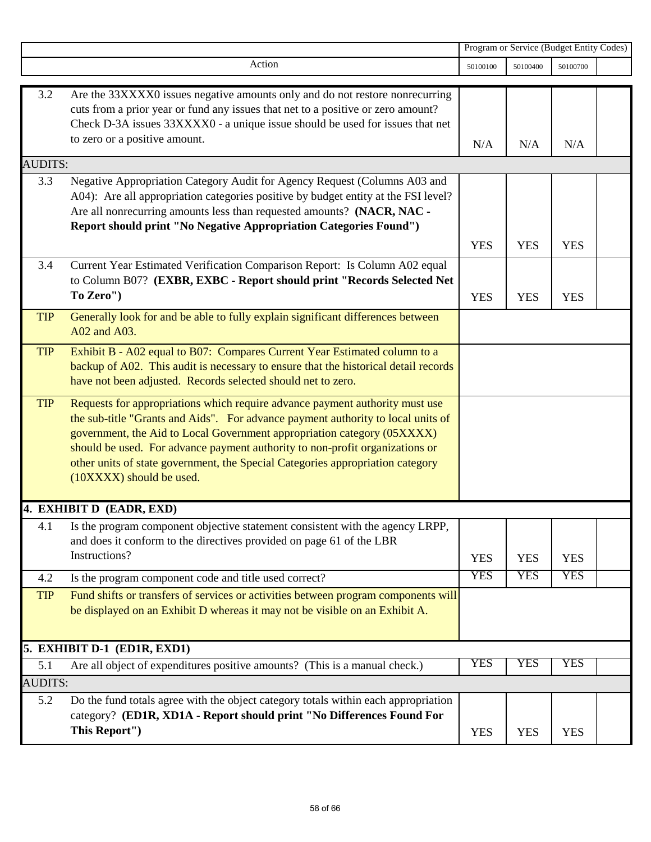|                |                                                                                     | Program or Service (Budget Entity Codes) |            |            |  |
|----------------|-------------------------------------------------------------------------------------|------------------------------------------|------------|------------|--|
|                | Action                                                                              | 50100100                                 | 50100400   | 50100700   |  |
|                |                                                                                     |                                          |            |            |  |
| 3.2            | Are the 33XXXX0 issues negative amounts only and do not restore nonrecurring        |                                          |            |            |  |
|                | cuts from a prior year or fund any issues that net to a positive or zero amount?    |                                          |            |            |  |
|                | Check D-3A issues 33XXXX0 - a unique issue should be used for issues that net       |                                          |            |            |  |
|                | to zero or a positive amount.                                                       | N/A                                      | N/A        | N/A        |  |
| <b>AUDITS:</b> |                                                                                     |                                          |            |            |  |
| 3.3            | Negative Appropriation Category Audit for Agency Request (Columns A03 and           |                                          |            |            |  |
|                | A04): Are all appropriation categories positive by budget entity at the FSI level?  |                                          |            |            |  |
|                | Are all nonrecurring amounts less than requested amounts? (NACR, NAC -              |                                          |            |            |  |
|                | Report should print "No Negative Appropriation Categories Found")                   |                                          |            |            |  |
|                |                                                                                     | <b>YES</b>                               | <b>YES</b> | <b>YES</b> |  |
| 3.4            | Current Year Estimated Verification Comparison Report: Is Column A02 equal          |                                          |            |            |  |
|                | to Column B07? (EXBR, EXBC - Report should print "Records Selected Net              |                                          |            |            |  |
|                | To Zero")                                                                           | <b>YES</b>                               | <b>YES</b> | <b>YES</b> |  |
|                |                                                                                     |                                          |            |            |  |
| <b>TIP</b>     | Generally look for and be able to fully explain significant differences between     |                                          |            |            |  |
|                | A02 and A03.                                                                        |                                          |            |            |  |
| <b>TIP</b>     | Exhibit B - A02 equal to B07: Compares Current Year Estimated column to a           |                                          |            |            |  |
|                | backup of A02. This audit is necessary to ensure that the historical detail records |                                          |            |            |  |
|                | have not been adjusted. Records selected should net to zero.                        |                                          |            |            |  |
| <b>TIP</b>     | Requests for appropriations which require advance payment authority must use        |                                          |            |            |  |
|                | the sub-title "Grants and Aids". For advance payment authority to local units of    |                                          |            |            |  |
|                | government, the Aid to Local Government appropriation category (05XXXX)             |                                          |            |            |  |
|                | should be used. For advance payment authority to non-profit organizations or        |                                          |            |            |  |
|                | other units of state government, the Special Categories appropriation category      |                                          |            |            |  |
|                | (10XXXX) should be used.                                                            |                                          |            |            |  |
|                |                                                                                     |                                          |            |            |  |
|                | 4. EXHIBIT D (EADR, EXD)                                                            |                                          |            |            |  |
| 4.1            | Is the program component objective statement consistent with the agency LRPP,       |                                          |            |            |  |
|                | and does it conform to the directives provided on page 61 of the LBR                |                                          |            |            |  |
|                | Instructions?                                                                       | <b>YES</b>                               | <b>YES</b> | <b>YES</b> |  |
| 4.2            | Is the program component code and title used correct?                               | <b>YES</b>                               | <b>YES</b> | <b>YES</b> |  |
| <b>TIP</b>     | Fund shifts or transfers of services or activities between program components will  |                                          |            |            |  |
|                | be displayed on an Exhibit D whereas it may not be visible on an Exhibit A.         |                                          |            |            |  |
|                |                                                                                     |                                          |            |            |  |
|                | 5. EXHIBIT D-1 (ED1R, EXD1)                                                         |                                          |            |            |  |
| 5.1            | Are all object of expenditures positive amounts? (This is a manual check.)          | <b>YES</b>                               | <b>YES</b> | <b>YES</b> |  |
| <b>AUDITS:</b> |                                                                                     |                                          |            |            |  |
| 5.2            | Do the fund totals agree with the object category totals within each appropriation  |                                          |            |            |  |
|                | category? (ED1R, XD1A - Report should print "No Differences Found For               |                                          |            |            |  |
|                | This Report")                                                                       | <b>YES</b>                               | <b>YES</b> | <b>YES</b> |  |
|                |                                                                                     |                                          |            |            |  |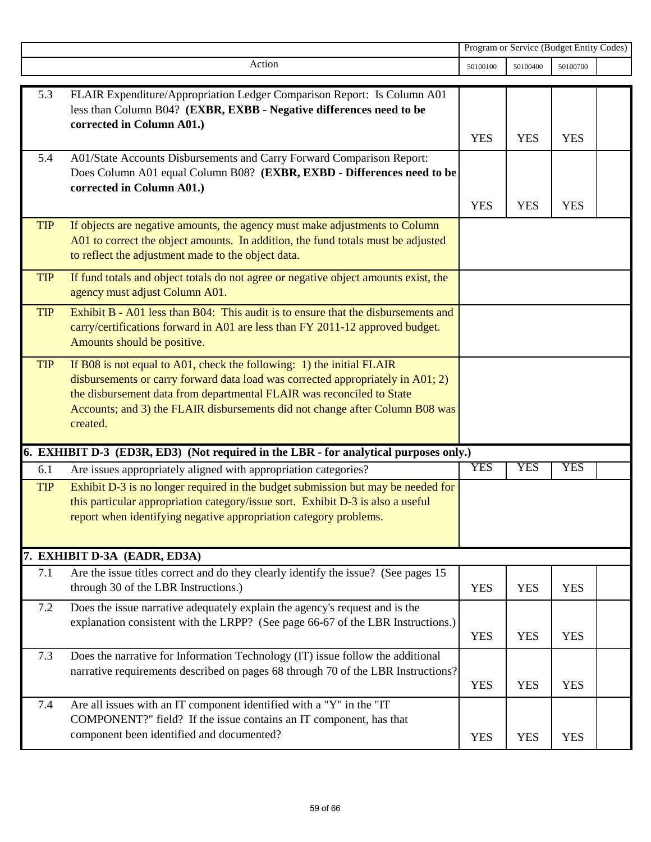|            |                                                                                                                                                                                                                                                                                                                               | Program or Service (Budget Entity Codes) |            |            |  |
|------------|-------------------------------------------------------------------------------------------------------------------------------------------------------------------------------------------------------------------------------------------------------------------------------------------------------------------------------|------------------------------------------|------------|------------|--|
|            | Action                                                                                                                                                                                                                                                                                                                        | 50100100                                 | 50100400   | 50100700   |  |
| 5.3        | FLAIR Expenditure/Appropriation Ledger Comparison Report: Is Column A01<br>less than Column B04? (EXBR, EXBB - Negative differences need to be<br>corrected in Column A01.)                                                                                                                                                   | <b>YES</b>                               | <b>YES</b> | <b>YES</b> |  |
| 5.4        | A01/State Accounts Disbursements and Carry Forward Comparison Report:<br>Does Column A01 equal Column B08? (EXBR, EXBD - Differences need to be<br>corrected in Column A01.)                                                                                                                                                  | <b>YES</b>                               | <b>YES</b> | <b>YES</b> |  |
| <b>TIP</b> | If objects are negative amounts, the agency must make adjustments to Column<br>A01 to correct the object amounts. In addition, the fund totals must be adjusted<br>to reflect the adjustment made to the object data.                                                                                                         |                                          |            |            |  |
| <b>TIP</b> | If fund totals and object totals do not agree or negative object amounts exist, the<br>agency must adjust Column A01.                                                                                                                                                                                                         |                                          |            |            |  |
| <b>TIP</b> | Exhibit B - A01 less than B04: This audit is to ensure that the disbursements and<br>carry/certifications forward in A01 are less than FY 2011-12 approved budget.<br>Amounts should be positive.                                                                                                                             |                                          |            |            |  |
| <b>TIP</b> | If B08 is not equal to A01, check the following: 1) the initial FLAIR<br>disbursements or carry forward data load was corrected appropriately in A01; 2)<br>the disbursement data from departmental FLAIR was reconciled to State<br>Accounts; and 3) the FLAIR disbursements did not change after Column B08 was<br>created. |                                          |            |            |  |
|            | <b>6. EXHIBIT D-3</b> (ED3R, ED3) (Not required in the LBR - for analytical purposes only.)                                                                                                                                                                                                                                   |                                          |            |            |  |
| 6.1        | Are issues appropriately aligned with appropriation categories?                                                                                                                                                                                                                                                               | <b>YES</b>                               | <b>YES</b> | <b>YES</b> |  |
| <b>TIP</b> | Exhibit D-3 is no longer required in the budget submission but may be needed for<br>this particular appropriation category/issue sort. Exhibit D-3 is also a useful<br>report when identifying negative appropriation category problems.                                                                                      |                                          |            |            |  |
|            | 7. EXHIBIT D-3A (EADR, ED3A)                                                                                                                                                                                                                                                                                                  |                                          |            |            |  |
| 7.1        | Are the issue titles correct and do they clearly identify the issue? (See pages 15)<br>through 30 of the LBR Instructions.)                                                                                                                                                                                                   | <b>YES</b>                               | <b>YES</b> | <b>YES</b> |  |
| 7.2        | Does the issue narrative adequately explain the agency's request and is the<br>explanation consistent with the LRPP? (See page 66-67 of the LBR Instructions.)                                                                                                                                                                | <b>YES</b>                               | <b>YES</b> | <b>YES</b> |  |
| 7.3        | Does the narrative for Information Technology (IT) issue follow the additional<br>narrative requirements described on pages 68 through 70 of the LBR Instructions?                                                                                                                                                            | <b>YES</b>                               | <b>YES</b> | <b>YES</b> |  |
| 7.4        | Are all issues with an IT component identified with a "Y" in the "IT<br>COMPONENT?" field? If the issue contains an IT component, has that<br>component been identified and documented?                                                                                                                                       | <b>YES</b>                               | <b>YES</b> | <b>YES</b> |  |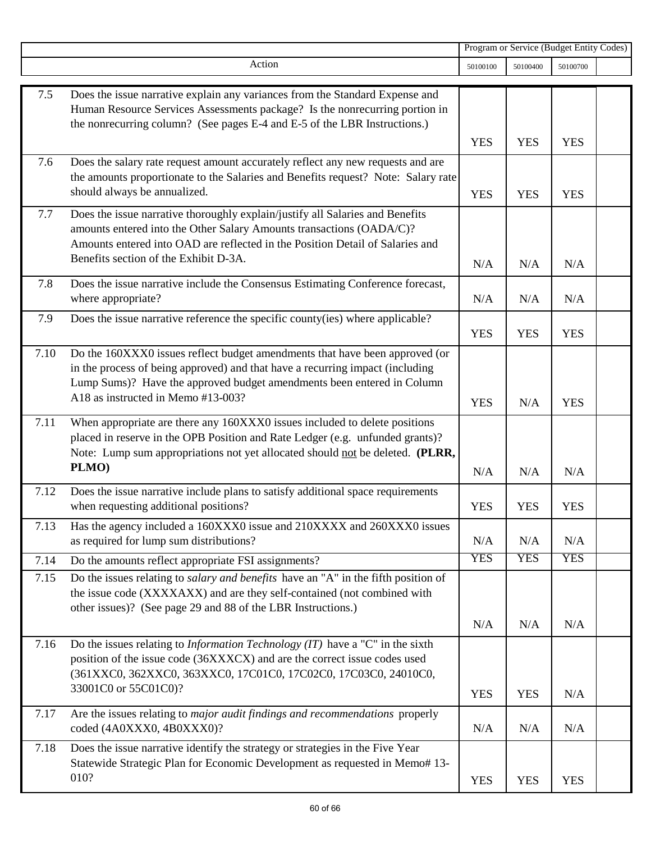|      |                                                                                                                                                                                                                                                                                 | Program or Service (Budget Entity Codes) |            |            |  |
|------|---------------------------------------------------------------------------------------------------------------------------------------------------------------------------------------------------------------------------------------------------------------------------------|------------------------------------------|------------|------------|--|
|      | Action                                                                                                                                                                                                                                                                          | 50100100                                 | 50100400   | 50100700   |  |
| 7.5  | Does the issue narrative explain any variances from the Standard Expense and<br>Human Resource Services Assessments package? Is the nonrecurring portion in<br>the nonrecurring column? (See pages E-4 and E-5 of the LBR Instructions.)                                        |                                          |            |            |  |
|      |                                                                                                                                                                                                                                                                                 | <b>YES</b>                               | <b>YES</b> | <b>YES</b> |  |
| 7.6  | Does the salary rate request amount accurately reflect any new requests and are<br>the amounts proportionate to the Salaries and Benefits request? Note: Salary rate<br>should always be annualized.                                                                            | <b>YES</b>                               | <b>YES</b> | <b>YES</b> |  |
| 7.7  | Does the issue narrative thoroughly explain/justify all Salaries and Benefits<br>amounts entered into the Other Salary Amounts transactions (OADA/C)?<br>Amounts entered into OAD are reflected in the Position Detail of Salaries and<br>Benefits section of the Exhibit D-3A. | N/A                                      | N/A        | N/A        |  |
| 7.8  | Does the issue narrative include the Consensus Estimating Conference forecast,<br>where appropriate?                                                                                                                                                                            | N/A                                      | N/A        | N/A        |  |
| 7.9  | Does the issue narrative reference the specific county(ies) where applicable?                                                                                                                                                                                                   | <b>YES</b>                               | <b>YES</b> | <b>YES</b> |  |
| 7.10 | Do the 160XXX0 issues reflect budget amendments that have been approved (or<br>in the process of being approved) and that have a recurring impact (including<br>Lump Sums)? Have the approved budget amendments been entered in Column<br>A18 as instructed in Memo #13-003?    | <b>YES</b>                               | N/A        | <b>YES</b> |  |
| 7.11 | When appropriate are there any 160XXX0 issues included to delete positions<br>placed in reserve in the OPB Position and Rate Ledger (e.g. unfunded grants)?<br>Note: Lump sum appropriations not yet allocated should not be deleted. (PLRR,<br>PLMO)                           | N/A                                      | N/A        | N/A        |  |
| 7.12 | Does the issue narrative include plans to satisfy additional space requirements<br>when requesting additional positions?                                                                                                                                                        | <b>YES</b>                               | <b>YES</b> | <b>YES</b> |  |
| 7.13 | Has the agency included a 160XXX0 issue and 210XXXX and 260XXX0 issues<br>as required for lump sum distributions?                                                                                                                                                               | N/A                                      | N/A        | N/A        |  |
| 7.14 | Do the amounts reflect appropriate FSI assignments?                                                                                                                                                                                                                             | <b>YES</b>                               | <b>YES</b> | <b>YES</b> |  |
| 7.15 | Do the issues relating to <i>salary and benefits</i> have an "A" in the fifth position of<br>the issue code (XXXXAXX) and are they self-contained (not combined with<br>other issues)? (See page 29 and 88 of the LBR Instructions.)                                            | N/A                                      | N/A        | N/A        |  |
| 7.16 | Do the issues relating to <i>Information Technology (IT)</i> have a "C" in the sixth<br>position of the issue code (36XXXCX) and are the correct issue codes used<br>(361XXC0, 362XXC0, 363XXC0, 17C01C0, 17C02C0, 17C03C0, 24010C0,<br>33001C0 or 55C01C0)?                    | <b>YES</b>                               | <b>YES</b> | N/A        |  |
| 7.17 | Are the issues relating to major audit findings and recommendations properly<br>coded (4A0XXX0, 4B0XXX0)?                                                                                                                                                                       | N/A                                      | N/A        | N/A        |  |
| 7.18 | Does the issue narrative identify the strategy or strategies in the Five Year<br>Statewide Strategic Plan for Economic Development as requested in Memo# 13-<br>010?                                                                                                            | <b>YES</b>                               | <b>YES</b> | <b>YES</b> |  |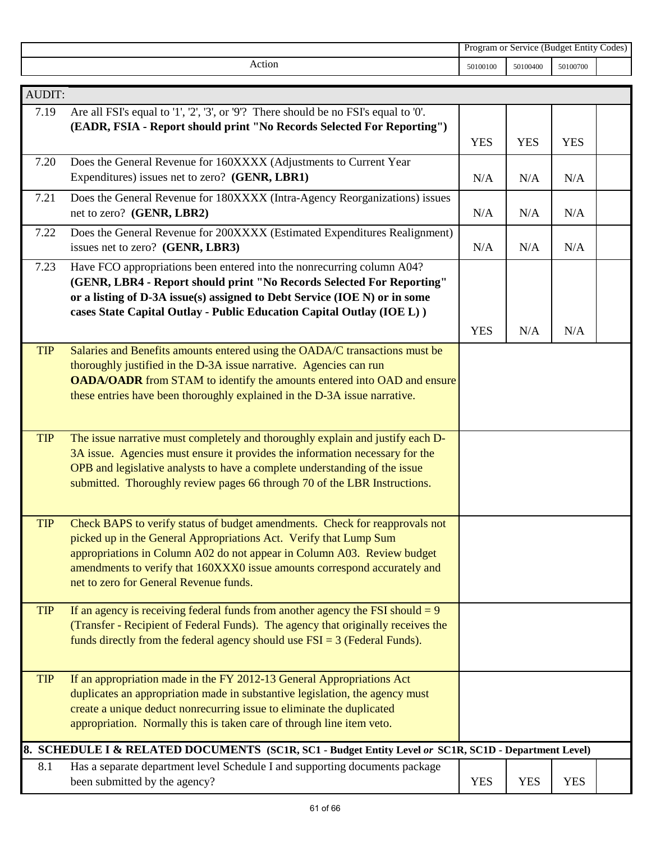|               |                                                                                                                                                                                                                                                                                                                                                    | Program or Service (Budget Entity Codes) |            |            |  |
|---------------|----------------------------------------------------------------------------------------------------------------------------------------------------------------------------------------------------------------------------------------------------------------------------------------------------------------------------------------------------|------------------------------------------|------------|------------|--|
|               | Action                                                                                                                                                                                                                                                                                                                                             | 50100100                                 | 50100400   | 50100700   |  |
| <b>AUDIT:</b> |                                                                                                                                                                                                                                                                                                                                                    |                                          |            |            |  |
| 7.19          | Are all FSI's equal to '1', '2', '3', or '9'? There should be no FSI's equal to '0'.<br>(EADR, FSIA - Report should print "No Records Selected For Reporting")                                                                                                                                                                                     | <b>YES</b>                               | <b>YES</b> | <b>YES</b> |  |
| 7.20          | Does the General Revenue for 160XXXX (Adjustments to Current Year<br>Expenditures) issues net to zero? (GENR, LBR1)                                                                                                                                                                                                                                | N/A                                      | N/A        | N/A        |  |
| 7.21          | Does the General Revenue for 180XXXX (Intra-Agency Reorganizations) issues<br>net to zero? (GENR, LBR2)                                                                                                                                                                                                                                            | N/A                                      | N/A        | N/A        |  |
| 7.22          | Does the General Revenue for 200XXXX (Estimated Expenditures Realignment)<br>issues net to zero? (GENR, LBR3)                                                                                                                                                                                                                                      | N/A                                      | N/A        | N/A        |  |
| 7.23          | Have FCO appropriations been entered into the nonrecurring column A04?<br>(GENR, LBR4 - Report should print "No Records Selected For Reporting"<br>or a listing of D-3A issue(s) assigned to Debt Service (IOE N) or in some<br>cases State Capital Outlay - Public Education Capital Outlay (IOE L))                                              | <b>YES</b>                               | N/A        | N/A        |  |
| <b>TIP</b>    | Salaries and Benefits amounts entered using the OADA/C transactions must be<br>thoroughly justified in the D-3A issue narrative. Agencies can run<br><b>OADA/OADR</b> from STAM to identify the amounts entered into OAD and ensure<br>these entries have been thoroughly explained in the D-3A issue narrative.                                   |                                          |            |            |  |
| <b>TIP</b>    | The issue narrative must completely and thoroughly explain and justify each D-<br>3A issue. Agencies must ensure it provides the information necessary for the<br>OPB and legislative analysts to have a complete understanding of the issue<br>submitted. Thoroughly review pages 66 through 70 of the LBR Instructions.                          |                                          |            |            |  |
| <b>TIP</b>    | Check BAPS to verify status of budget amendments. Check for reapprovals not<br>picked up in the General Appropriations Act. Verify that Lump Sum<br>appropriations in Column A02 do not appear in Column A03. Review budget<br>amendments to verify that 160XXX0 issue amounts correspond accurately and<br>net to zero for General Revenue funds. |                                          |            |            |  |
| <b>TIP</b>    | If an agency is receiving federal funds from another agency the FSI should $= 9$<br>(Transfer - Recipient of Federal Funds). The agency that originally receives the<br>funds directly from the federal agency should use $FSI = 3$ (Federal Funds).                                                                                               |                                          |            |            |  |
| <b>TIP</b>    | If an appropriation made in the FY 2012-13 General Appropriations Act<br>duplicates an appropriation made in substantive legislation, the agency must<br>create a unique deduct nonrecurring issue to eliminate the duplicated<br>appropriation. Normally this is taken care of through line item veto.                                            |                                          |            |            |  |
|               | 8. SCHEDULE I & RELATED DOCUMENTS (SC1R, SC1 - Budget Entity Level or SC1R, SC1D - Department Level)                                                                                                                                                                                                                                               |                                          |            |            |  |
| 8.1           | Has a separate department level Schedule I and supporting documents package<br>been submitted by the agency?                                                                                                                                                                                                                                       | <b>YES</b>                               | <b>YES</b> | <b>YES</b> |  |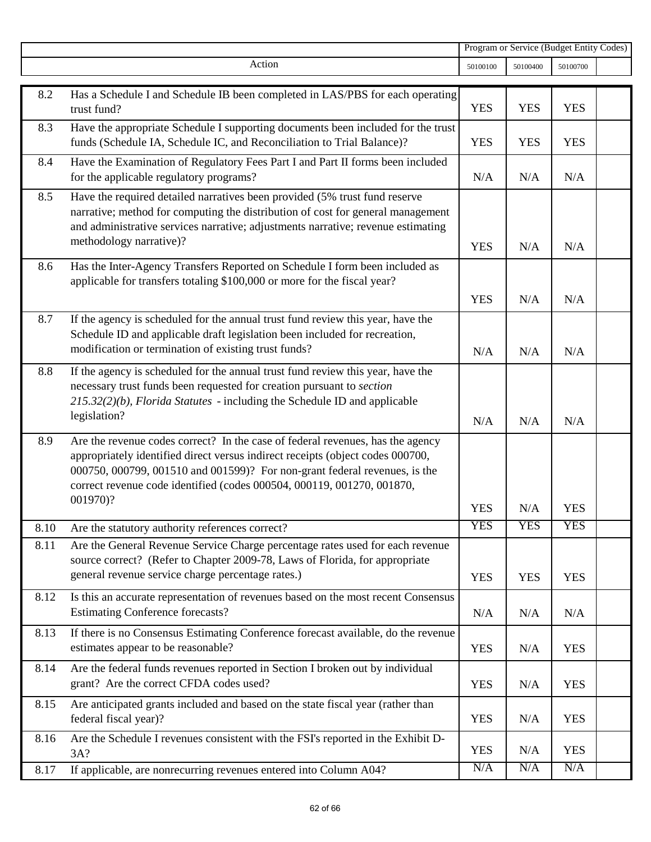|      |                                                                                                                                                                                                                                                                                                                                      |            | Program or Service (Budget Entity Codes) |            |  |
|------|--------------------------------------------------------------------------------------------------------------------------------------------------------------------------------------------------------------------------------------------------------------------------------------------------------------------------------------|------------|------------------------------------------|------------|--|
|      | Action                                                                                                                                                                                                                                                                                                                               | 50100100   | 50100400                                 | 50100700   |  |
| 8.2  | Has a Schedule I and Schedule IB been completed in LAS/PBS for each operating<br>trust fund?                                                                                                                                                                                                                                         | <b>YES</b> | <b>YES</b>                               | <b>YES</b> |  |
| 8.3  | Have the appropriate Schedule I supporting documents been included for the trust<br>funds (Schedule IA, Schedule IC, and Reconciliation to Trial Balance)?                                                                                                                                                                           | <b>YES</b> | <b>YES</b>                               | <b>YES</b> |  |
| 8.4  | Have the Examination of Regulatory Fees Part I and Part II forms been included<br>for the applicable regulatory programs?                                                                                                                                                                                                            | N/A        | N/A                                      | N/A        |  |
| 8.5  | Have the required detailed narratives been provided (5% trust fund reserve<br>narrative; method for computing the distribution of cost for general management<br>and administrative services narrative; adjustments narrative; revenue estimating<br>methodology narrative)?                                                         | <b>YES</b> | N/A                                      | N/A        |  |
| 8.6  | Has the Inter-Agency Transfers Reported on Schedule I form been included as<br>applicable for transfers totaling \$100,000 or more for the fiscal year?                                                                                                                                                                              | <b>YES</b> | N/A                                      | N/A        |  |
| 8.7  | If the agency is scheduled for the annual trust fund review this year, have the<br>Schedule ID and applicable draft legislation been included for recreation,<br>modification or termination of existing trust funds?                                                                                                                | N/A        | N/A                                      | N/A        |  |
| 8.8  | If the agency is scheduled for the annual trust fund review this year, have the<br>necessary trust funds been requested for creation pursuant to section<br>$215.32(2)(b)$ , Florida Statutes - including the Schedule ID and applicable<br>legislation?                                                                             | N/A        | N/A                                      | N/A        |  |
| 8.9  | Are the revenue codes correct? In the case of federal revenues, has the agency<br>appropriately identified direct versus indirect receipts (object codes 000700,<br>000750, 000799, 001510 and 001599)? For non-grant federal revenues, is the<br>correct revenue code identified (codes 000504, 000119, 001270, 001870,<br>001970)? | <b>YES</b> | N/A                                      | <b>YES</b> |  |
| 8.10 | Are the statutory authority references correct?                                                                                                                                                                                                                                                                                      | <b>YES</b> | <b>YES</b>                               | <b>YES</b> |  |
| 8.11 | Are the General Revenue Service Charge percentage rates used for each revenue<br>source correct? (Refer to Chapter 2009-78, Laws of Florida, for appropriate<br>general revenue service charge percentage rates.)                                                                                                                    | <b>YES</b> | <b>YES</b>                               | <b>YES</b> |  |
| 8.12 | Is this an accurate representation of revenues based on the most recent Consensus<br><b>Estimating Conference forecasts?</b>                                                                                                                                                                                                         | N/A        | N/A                                      | N/A        |  |
| 8.13 | If there is no Consensus Estimating Conference forecast available, do the revenue<br>estimates appear to be reasonable?                                                                                                                                                                                                              | <b>YES</b> | N/A                                      | <b>YES</b> |  |
| 8.14 | Are the federal funds revenues reported in Section I broken out by individual<br>grant? Are the correct CFDA codes used?                                                                                                                                                                                                             | <b>YES</b> | N/A                                      | <b>YES</b> |  |
| 8.15 | Are anticipated grants included and based on the state fiscal year (rather than<br>federal fiscal year)?                                                                                                                                                                                                                             | <b>YES</b> | N/A                                      | <b>YES</b> |  |
| 8.16 | Are the Schedule I revenues consistent with the FSI's reported in the Exhibit D-<br>3A?                                                                                                                                                                                                                                              | <b>YES</b> | N/A                                      | <b>YES</b> |  |
| 8.17 | If applicable, are nonrecurring revenues entered into Column A04?                                                                                                                                                                                                                                                                    | N/A        | N/A                                      | N/A        |  |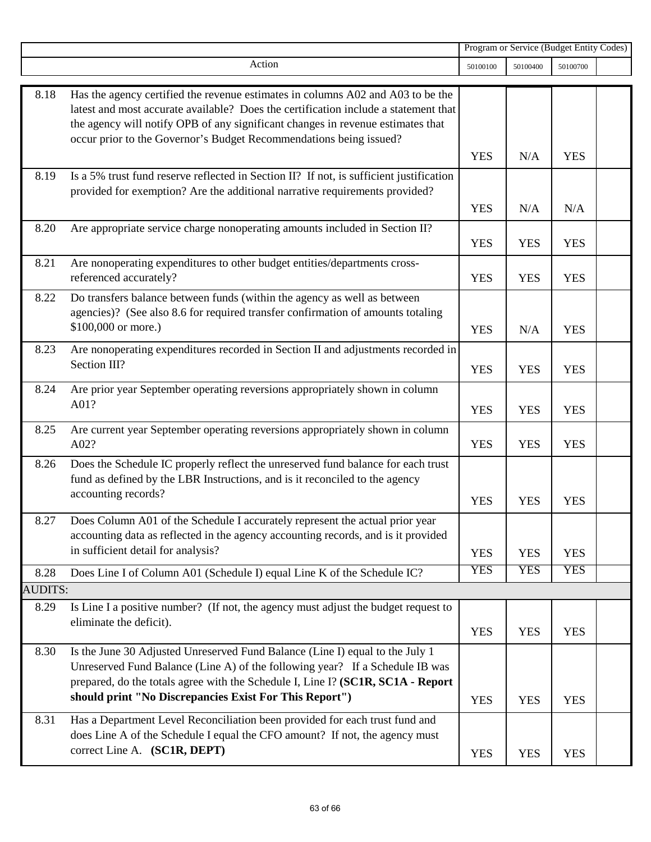|                |                                                                                                                                                                                                                                                                                                                                 | Program or Service (Budget Entity Codes) |            |            |  |
|----------------|---------------------------------------------------------------------------------------------------------------------------------------------------------------------------------------------------------------------------------------------------------------------------------------------------------------------------------|------------------------------------------|------------|------------|--|
|                | Action                                                                                                                                                                                                                                                                                                                          | 50100100                                 | 50100400   | 50100700   |  |
| 8.18           | Has the agency certified the revenue estimates in columns A02 and A03 to be the<br>latest and most accurate available? Does the certification include a statement that<br>the agency will notify OPB of any significant changes in revenue estimates that<br>occur prior to the Governor's Budget Recommendations being issued? | <b>YES</b>                               | N/A        | <b>YES</b> |  |
| 8.19           | Is a 5% trust fund reserve reflected in Section II? If not, is sufficient justification<br>provided for exemption? Are the additional narrative requirements provided?                                                                                                                                                          | <b>YES</b>                               | N/A        | N/A        |  |
| 8.20           | Are appropriate service charge nonoperating amounts included in Section II?                                                                                                                                                                                                                                                     | <b>YES</b>                               | <b>YES</b> | <b>YES</b> |  |
| 8.21           | Are nonoperating expenditures to other budget entities/departments cross-<br>referenced accurately?                                                                                                                                                                                                                             | <b>YES</b>                               | <b>YES</b> | <b>YES</b> |  |
| 8.22           | Do transfers balance between funds (within the agency as well as between<br>agencies)? (See also 8.6 for required transfer confirmation of amounts totaling<br>\$100,000 or more.)                                                                                                                                              | <b>YES</b>                               | N/A        | <b>YES</b> |  |
| 8.23           | Are nonoperating expenditures recorded in Section II and adjustments recorded in<br>Section III?                                                                                                                                                                                                                                | <b>YES</b>                               | <b>YES</b> | <b>YES</b> |  |
| 8.24           | Are prior year September operating reversions appropriately shown in column<br>A01?                                                                                                                                                                                                                                             | <b>YES</b>                               | <b>YES</b> | <b>YES</b> |  |
| 8.25           | Are current year September operating reversions appropriately shown in column<br>A02?                                                                                                                                                                                                                                           | <b>YES</b>                               | <b>YES</b> | <b>YES</b> |  |
| 8.26           | Does the Schedule IC properly reflect the unreserved fund balance for each trust<br>fund as defined by the LBR Instructions, and is it reconciled to the agency<br>accounting records?                                                                                                                                          | <b>YES</b>                               | <b>YES</b> | <b>YES</b> |  |
| 8.27           | Does Column A01 of the Schedule I accurately represent the actual prior year<br>accounting data as reflected in the agency accounting records, and is it provided<br>in sufficient detail for analysis?                                                                                                                         | <b>YES</b>                               | <b>YES</b> | <b>YES</b> |  |
| 8.28           | Does Line I of Column A01 (Schedule I) equal Line K of the Schedule IC?                                                                                                                                                                                                                                                         | <b>YES</b>                               | <b>YES</b> | <b>YES</b> |  |
| <b>AUDITS:</b> |                                                                                                                                                                                                                                                                                                                                 |                                          |            |            |  |
| 8.29           | Is Line I a positive number? (If not, the agency must adjust the budget request to<br>eliminate the deficit).                                                                                                                                                                                                                   | <b>YES</b>                               | <b>YES</b> | <b>YES</b> |  |
| 8.30           | Is the June 30 Adjusted Unreserved Fund Balance (Line I) equal to the July 1<br>Unreserved Fund Balance (Line A) of the following year? If a Schedule IB was<br>prepared, do the totals agree with the Schedule I, Line I? (SC1R, SC1A - Report<br>should print "No Discrepancies Exist For This Report")                       | <b>YES</b>                               | <b>YES</b> | <b>YES</b> |  |
| 8.31           | Has a Department Level Reconciliation been provided for each trust fund and<br>does Line A of the Schedule I equal the CFO amount? If not, the agency must<br>correct Line A. (SC1R, DEPT)                                                                                                                                      | <b>YES</b>                               | <b>YES</b> | <b>YES</b> |  |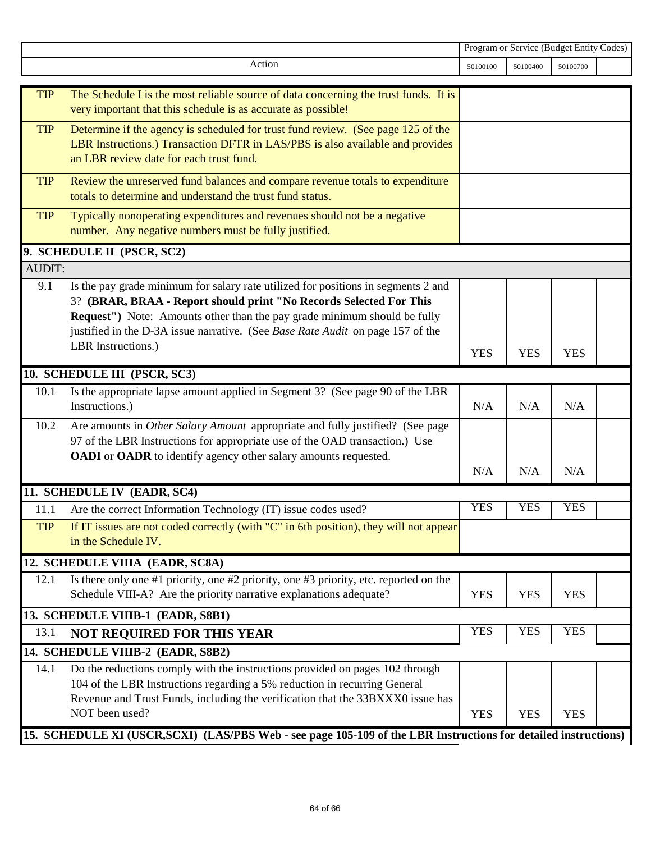|               |                                                                                                                                                                                                                                                                                                                       | Program or Service (Budget Entity Codes) |            |            |  |
|---------------|-----------------------------------------------------------------------------------------------------------------------------------------------------------------------------------------------------------------------------------------------------------------------------------------------------------------------|------------------------------------------|------------|------------|--|
|               | Action                                                                                                                                                                                                                                                                                                                | 50100100                                 | 50100400   | 50100700   |  |
| <b>TIP</b>    | The Schedule I is the most reliable source of data concerning the trust funds. It is<br>very important that this schedule is as accurate as possible!                                                                                                                                                                 |                                          |            |            |  |
| <b>TIP</b>    | Determine if the agency is scheduled for trust fund review. (See page 125 of the<br>LBR Instructions.) Transaction DFTR in LAS/PBS is also available and provides<br>an LBR review date for each trust fund.                                                                                                          |                                          |            |            |  |
| <b>TIP</b>    | Review the unreserved fund balances and compare revenue totals to expenditure<br>totals to determine and understand the trust fund status.                                                                                                                                                                            |                                          |            |            |  |
| <b>TIP</b>    | Typically nonoperating expenditures and revenues should not be a negative<br>number. Any negative numbers must be fully justified.                                                                                                                                                                                    |                                          |            |            |  |
|               | 9. SCHEDULE II (PSCR, SC2)                                                                                                                                                                                                                                                                                            |                                          |            |            |  |
| <b>AUDIT:</b> |                                                                                                                                                                                                                                                                                                                       |                                          |            |            |  |
| 9.1           | Is the pay grade minimum for salary rate utilized for positions in segments 2 and<br>3? (BRAR, BRAA - Report should print "No Records Selected For This<br>Request") Note: Amounts other than the pay grade minimum should be fully<br>justified in the D-3A issue narrative. (See Base Rate Audit on page 157 of the |                                          |            |            |  |
|               | LBR Instructions.)                                                                                                                                                                                                                                                                                                    | <b>YES</b>                               | <b>YES</b> | <b>YES</b> |  |
|               | 10. SCHEDULE III (PSCR, SC3)                                                                                                                                                                                                                                                                                          |                                          |            |            |  |
| 10.1          | Is the appropriate lapse amount applied in Segment 3? (See page 90 of the LBR<br>Instructions.)                                                                                                                                                                                                                       | N/A                                      | N/A        | N/A        |  |
| 10.2          | Are amounts in Other Salary Amount appropriate and fully justified? (See page<br>97 of the LBR Instructions for appropriate use of the OAD transaction.) Use<br><b>OADI</b> or <b>OADR</b> to identify agency other salary amounts requested.                                                                         | N/A                                      | N/A        | N/A        |  |
|               | 11. SCHEDULE IV (EADR, SC4)                                                                                                                                                                                                                                                                                           |                                          |            |            |  |
| 11.1          | Are the correct Information Technology (IT) issue codes used?                                                                                                                                                                                                                                                         | <b>YES</b>                               | <b>YES</b> | <b>YES</b> |  |
| <b>TIP</b>    | If IT issues are not coded correctly (with "C" in 6th position), they will not appear<br>in the Schedule IV.                                                                                                                                                                                                          |                                          |            |            |  |
|               | 12. SCHEDULE VIIIA (EADR, SC8A)                                                                                                                                                                                                                                                                                       |                                          |            |            |  |
| 12.1          | Is there only one #1 priority, one #2 priority, one #3 priority, etc. reported on the<br>Schedule VIII-A? Are the priority narrative explanations adequate?                                                                                                                                                           | <b>YES</b>                               | <b>YES</b> | <b>YES</b> |  |
|               | 13. SCHEDULE VIIIB-1 (EADR, S8B1)                                                                                                                                                                                                                                                                                     |                                          |            |            |  |
| 13.1          | <b>NOT REQUIRED FOR THIS YEAR</b>                                                                                                                                                                                                                                                                                     | <b>YES</b>                               | <b>YES</b> | <b>YES</b> |  |
|               | 14. SCHEDULE VIIIB-2 (EADR, S8B2)                                                                                                                                                                                                                                                                                     |                                          |            |            |  |
| 14.1          | Do the reductions comply with the instructions provided on pages 102 through<br>104 of the LBR Instructions regarding a 5% reduction in recurring General<br>Revenue and Trust Funds, including the verification that the 33BXXX0 issue has<br>NOT been used?                                                         | <b>YES</b>                               | <b>YES</b> | <b>YES</b> |  |
|               | 15. SCHEDULE XI (USCR, SCXI) (LAS/PBS Web - see page 105-109 of the LBR Instructions for detailed instructions)                                                                                                                                                                                                       |                                          |            |            |  |
|               |                                                                                                                                                                                                                                                                                                                       |                                          |            |            |  |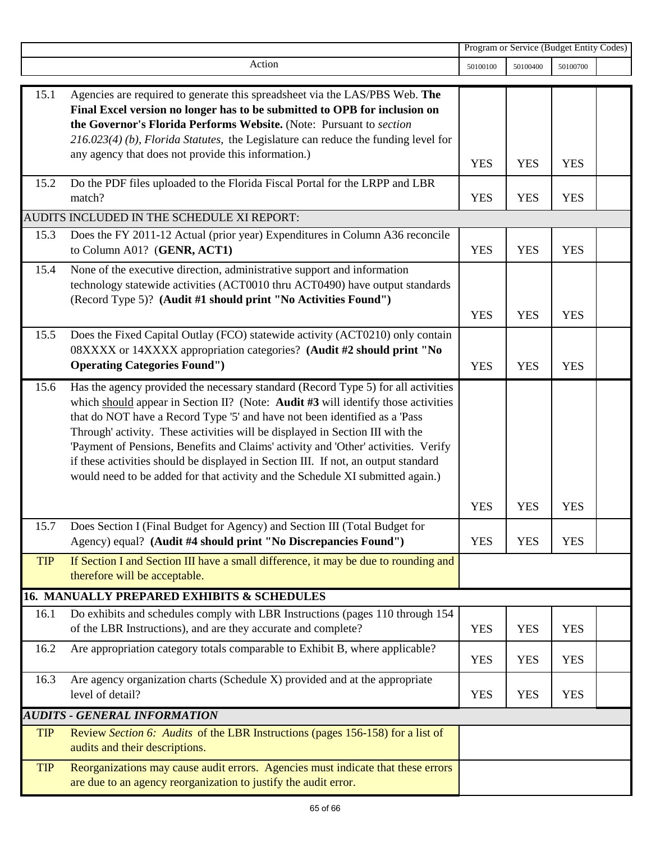|            |                                                                                                                                                                                                                                                                                                                                                                                                                                                                                                                                                                                                     | Program or Service (Budget Entity Codes) |            |            |  |
|------------|-----------------------------------------------------------------------------------------------------------------------------------------------------------------------------------------------------------------------------------------------------------------------------------------------------------------------------------------------------------------------------------------------------------------------------------------------------------------------------------------------------------------------------------------------------------------------------------------------------|------------------------------------------|------------|------------|--|
|            | Action                                                                                                                                                                                                                                                                                                                                                                                                                                                                                                                                                                                              | 50100100                                 | 50100400   | 50100700   |  |
|            |                                                                                                                                                                                                                                                                                                                                                                                                                                                                                                                                                                                                     |                                          |            |            |  |
| 15.1       | Agencies are required to generate this spreadsheet via the LAS/PBS Web. The<br>Final Excel version no longer has to be submitted to OPB for inclusion on<br>the Governor's Florida Performs Website. (Note: Pursuant to section<br>$216.023(4)$ (b), Florida Statutes, the Legislature can reduce the funding level for<br>any agency that does not provide this information.)                                                                                                                                                                                                                      |                                          |            |            |  |
|            |                                                                                                                                                                                                                                                                                                                                                                                                                                                                                                                                                                                                     | <b>YES</b>                               | <b>YES</b> | <b>YES</b> |  |
| 15.2       | Do the PDF files uploaded to the Florida Fiscal Portal for the LRPP and LBR<br>match?                                                                                                                                                                                                                                                                                                                                                                                                                                                                                                               | <b>YES</b>                               | <b>YES</b> | <b>YES</b> |  |
|            | AUDITS INCLUDED IN THE SCHEDULE XI REPORT:                                                                                                                                                                                                                                                                                                                                                                                                                                                                                                                                                          |                                          |            |            |  |
| 15.3       | Does the FY 2011-12 Actual (prior year) Expenditures in Column A36 reconcile<br>to Column A01? (GENR, ACT1)                                                                                                                                                                                                                                                                                                                                                                                                                                                                                         | <b>YES</b>                               | <b>YES</b> | <b>YES</b> |  |
| 15.4       | None of the executive direction, administrative support and information<br>technology statewide activities (ACT0010 thru ACT0490) have output standards<br>(Record Type 5)? (Audit #1 should print "No Activities Found")                                                                                                                                                                                                                                                                                                                                                                           | <b>YES</b>                               | <b>YES</b> | <b>YES</b> |  |
| 15.5       | Does the Fixed Capital Outlay (FCO) statewide activity (ACT0210) only contain<br>08XXXX or 14XXXX appropriation categories? (Audit #2 should print "No<br><b>Operating Categories Found")</b>                                                                                                                                                                                                                                                                                                                                                                                                       | <b>YES</b>                               | <b>YES</b> | <b>YES</b> |  |
| 15.6       | Has the agency provided the necessary standard (Record Type 5) for all activities<br>which should appear in Section II? (Note: Audit #3 will identify those activities<br>that do NOT have a Record Type '5' and have not been identified as a 'Pass<br>Through' activity. These activities will be displayed in Section III with the<br>'Payment of Pensions, Benefits and Claims' activity and 'Other' activities. Verify<br>if these activities should be displayed in Section III. If not, an output standard<br>would need to be added for that activity and the Schedule XI submitted again.) |                                          |            |            |  |
|            |                                                                                                                                                                                                                                                                                                                                                                                                                                                                                                                                                                                                     | <b>YES</b>                               | <b>YES</b> | <b>YES</b> |  |
| 15.7       | Does Section I (Final Budget for Agency) and Section III (Total Budget for<br>Agency) equal? (Audit #4 should print "No Discrepancies Found")                                                                                                                                                                                                                                                                                                                                                                                                                                                       | <b>YES</b>                               | <b>YES</b> | <b>YES</b> |  |
| <b>TIP</b> | If Section I and Section III have a small difference, it may be due to rounding and<br>therefore will be acceptable.                                                                                                                                                                                                                                                                                                                                                                                                                                                                                |                                          |            |            |  |
|            | <b>16. MANUALLY PREPARED EXHIBITS &amp; SCHEDULES</b>                                                                                                                                                                                                                                                                                                                                                                                                                                                                                                                                               |                                          |            |            |  |
| 16.1       | Do exhibits and schedules comply with LBR Instructions (pages 110 through 154<br>of the LBR Instructions), and are they accurate and complete?                                                                                                                                                                                                                                                                                                                                                                                                                                                      | <b>YES</b>                               | <b>YES</b> | <b>YES</b> |  |
| 16.2       | Are appropriation category totals comparable to Exhibit B, where applicable?                                                                                                                                                                                                                                                                                                                                                                                                                                                                                                                        | <b>YES</b>                               | <b>YES</b> | <b>YES</b> |  |
| 16.3       | Are agency organization charts (Schedule X) provided and at the appropriate<br>level of detail?                                                                                                                                                                                                                                                                                                                                                                                                                                                                                                     | <b>YES</b>                               | <b>YES</b> | <b>YES</b> |  |
|            | <b>AUDITS - GENERAL INFORMATION</b>                                                                                                                                                                                                                                                                                                                                                                                                                                                                                                                                                                 |                                          |            |            |  |
| <b>TIP</b> | Review Section 6: Audits of the LBR Instructions (pages 156-158) for a list of<br>audits and their descriptions.                                                                                                                                                                                                                                                                                                                                                                                                                                                                                    |                                          |            |            |  |
| <b>TIP</b> | Reorganizations may cause audit errors. Agencies must indicate that these errors<br>are due to an agency reorganization to justify the audit error.                                                                                                                                                                                                                                                                                                                                                                                                                                                 |                                          |            |            |  |